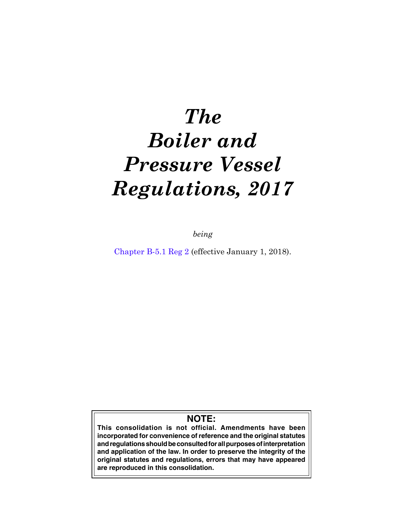# *The Boiler and Pressure Vessel Regulations, 2017*

*being*

[Chapter B-5.1 Reg 2](https://publications.saskatchewan.ca:443/api/v1/products/88257/formats/104948/download) (effective January 1, 2018).

# **NOTE:**

**This consolidation is not official. Amendments have been incorporated for convenience of reference and the original statutes and regulations should be consulted for all purposes of interpretation and application of the law. In order to preserve the integrity of the original statutes and regulations, errors that may have appeared are reproduced in this consolidation.**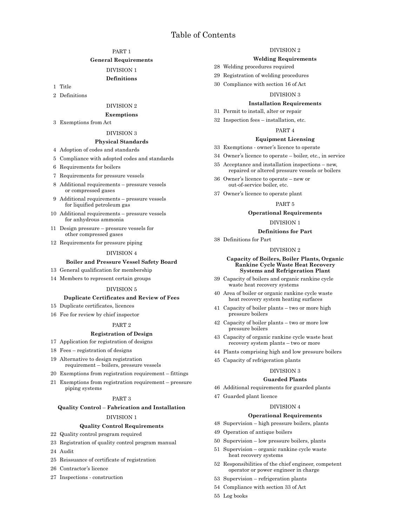# Table of Contents

# [PART](#page-4-0) 1

#### **[General Requirements](#page-4-0)**

#### [DIVISION](#page-4-0) 1

# **[Definitions](#page-4-0)**

- 1 [Title](#page-4-0)
- 2 [Definitions](#page-4-0)

# [DIVISION](#page-7-0) 2

#### **[Exemptions](#page-7-0)**

3 [Exemptions from Act](#page-7-0)

#### [DIVISION](#page-9-0) 3

## **[Physical Standards](#page-9-0)**

- 4 [Adoption of codes and standards](#page-9-0)
- 5 [Compliance with adopted codes and standards](#page-10-0)
- 6 [Requirements for boilers](#page-11-0)
- 7 [Requirements for pressure vessels](#page-11-0)
- 8 [Additional requirements pressure vessels](#page-11-0) [or compressed gases](#page-11-0)
- 9 [Additional requirements pressure vessels](#page-11-0) [for liquified petroleum gas](#page-11-0)
- 10 [Additional requirements pressure vessels](#page-12-0) [for anhydrous ammonia](#page-12-0)
- 11 [Design pressure pressure vessels for](#page-12-0) [other compressed gases](#page-12-0)
- 12 [Requirements for pressure piping](#page-12-0)

#### [DIVISION](#page-12-0) 4

# **[Boiler and Pressure Vessel Safety Board](#page-12-0)**

- 13 [General qualification for membership](#page-12-0)
- 14 [Members to represent certain groups](#page-13-0)

#### [DIVISION](#page-13-0) 5

#### **[Duplicate Certificates and Review of Fees](#page-13-0)**

- 15 [Duplicate certificates, licences](#page-13-0)
- 16 [Fee for review by chief inspector](#page-13-0)

#### [PART](#page-14-0) 2

#### **[Registration of Design](#page-14-0)**

- 17 [Application for registration of designs](#page-14-0)
- 18 [Fees registration of designs](#page-15-0)
- 19 [Alternative to design registration](#page-15-0) [requirement – boilers, pressure vessels](#page-15-0)
- 20 [Exemptions from registration requirement fittings](#page-16-0)
- 21 [Exemptions from registration requirement pressure](#page-17-0) [piping systems](#page-17-0)

#### [PART](#page-17-0) 3

#### **Quality Control** – **[Fabrication and Installation](#page-17-0)**

#### [DIVISION](#page-17-0) 1

#### **[Quality Control Requirements](#page-17-0)**

#### 22 [Quality control program required](#page-17-0)

- 23 [Registration of quality control program manual](#page-17-0)
- 24 [Audit](#page-19-0)
- 25 [Reissuance of certificate of registration](#page-19-0)
- 26 [Contractor's licence](#page-19-0)
- 27 [Inspections construction](#page-20-0)

# [DIVISION](#page-20-0) 2

#### **[Welding Requirements](#page-20-0)**

- 28 [Welding procedures required](#page-20-0)
- 29 [Registration of welding procedures](#page-20-0)
- 30 [Compliance with section](#page-21-0) 16 of Act

#### [DIVISION](#page-21-0) 3

#### **[Installation Requirements](#page-21-0)**

- 31 [Permit to install, alter or repair](#page-21-0)
- 32 [Inspection fees installation, etc.](#page-21-0)

# [PART](#page-22-0) 4

# **[Equipment Licensing](#page-22-0)**

- 33 [Exemptions owner's licence to operate](#page-22-0)
- 34 [Owner's licence to operate boiler, etc., in service](#page-22-0)
- 35 [Acceptance and installation inspections new,](#page-22-0) [repaired or altered pressure vessels or boilers](#page-22-0)
- 36 [Owner's licence to operate new or](#page-23-0)  [out-of-service boiler, etc.](#page-23-0)
- 37 [Owner's licence to operate plant](#page-23-0)

#### [PART](#page-23-0) 5

#### **[Operational Requirements](#page-23-0)**

#### [DIVISION](#page-23-0) 1

#### **[Definitions for Part](#page-23-0)**

# 38 [Definitions for Part](#page-23-0)

# [DIVISION](#page-25-0) 2

#### **[Capacity of Boilers, Boiler Plants, Organic](#page-25-0) [Rankine Cycle Waste Heat Recovery](#page-25-0) [Systems and Refrigeration Plant](#page-25-0)**

- 39 [Capacity of boilers and organic rankine cycle](#page-25-0) [waste heat recovery systems](#page-25-0)
- 40 [Area of boiler or organic rankine cycle waste](#page-25-0) [heat recovery system heating surfaces](#page-25-0)
- 41 [Capacity of boiler plants two or more high](#page-26-0) [pressure boilers](#page-26-0)
- 42 [Capacity of boiler plants two or more low](#page-27-0) [pressure boilers](#page-27-0)
- 43 [Capacity of organic rankine cycle waste heat](#page-27-0) [recovery system plants – two or more](#page-27-0)
- 44 [Plants comprising high and low pressure boilers](#page-27-0)

# 45 [Capacity of refrigeration plants](#page-27-0)

#### [DIVISION](#page-28-0) 3

#### **[Guarded Plants](#page-28-0)**

- 46 [Additional requirements for guarded plants](#page-28-0)
- 47 [Guarded plant licence](#page-28-0)

#### [DIVISION](#page-29-0) 4

#### **[Operational Requirements](#page-29-0)**

- 48 [Supervision high pressure boilers, plants](#page-29-0)
- 49 [Operation of antique boilers](#page-30-0)
- 50 [Supervision low pressure boilers, plants](#page-30-0)
- 51 [Supervision organic rankine cycle waste](#page-31-0) [heat recovery systems](#page-31-0)
- 52 [Responsibilities of the chief engineer, competent](#page-32-0) [operator or power engineer in charge](#page-32-0)
- 53 [Supervision refrigeration plants](#page-34-0)
- 54 [Compliance with section](#page-34-0) 33 of Act
- 55 [Log books](#page-34-0)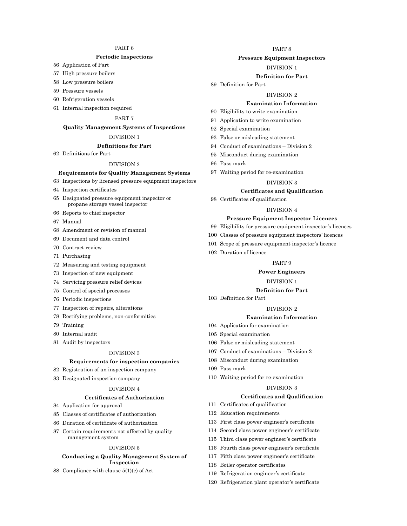# [PART](#page-35-0) 6

# **[Periodic Inspections](#page-35-0)**

- [Application of Part](#page-35-0)
- [High pressure boilers](#page-36-0)
- [Low pressure boilers](#page-37-0)
- [Pressure vessels](#page-37-0)
- [Refrigeration vessels](#page-38-0)
- [Internal inspection required](#page-38-0)

#### [PART](#page-38-0) 7

#### **[Quality Management Systems of Inspections](#page-38-0)**

# [DIVISION](#page-38-0) 1

# **[Definitions for Part](#page-38-0)**

[Definitions for Part](#page-38-0)

# [DIVISION](#page-39-0) 2

- **[Requirements for Quality Management Systems](#page-39-0)**
- [Inspections by licensed pressure equipment inspectors](#page-39-0)
- [Inspection certificates](#page-39-0)
- [Designated pressure equipment inspector or](#page-40-0) [propane storage vessel inspector](#page-40-0)
- [Reports to chief inspector](#page-40-0)
- [Manual](#page-40-0)
- [Amendment or revision of manual](#page-41-0)
- [Document and data control](#page-41-0)
- [Contract review](#page-41-0)
- [Purchasing](#page-42-0)
- [Measuring and testing equipment](#page-42-0)
- [Inspection of new equipment](#page-42-0)
- [Servicing pressure relief devices](#page-42-0)
- [Control of special processes](#page-42-0)
- [Periodic inspections](#page-42-0)
- [Inspection of repairs, alterations](#page-43-0)
- [Rectifying problems, non-conformities](#page-43-0)
- [Training](#page-43-0)
- [Internal audit](#page-43-0)
- [Audit by inspectors](#page-43-0)

#### [DIVISION](#page-44-0) 3

#### **[Requirements for inspection companies](#page-44-0)**

- [Registration of an inspection company](#page-44-0)
- [Designated inspection company](#page-45-0)

#### [DIVISION](#page-45-0) 4

#### **[Certificates of Authorization](#page-45-0)**

- [Application for approval](#page-45-0)
- [Classes of certificates of authorization](#page-46-0)
- [Duration of certificate of authorization](#page-47-0)
- [Certain requirements not affected by quality](#page-47-0) [management system](#page-47-0)

#### [DIVISION](#page-48-0) 5

#### **[Conducting a Quality Management System of](#page-48-0)  [Inspection](#page-48-0)**

[Compliance with clause](#page-48-0) 5(1)(e) of Act

# [PART](#page-48-0) 8

# **[Pressure Equipment Inspectors](#page-48-0)**

#### [DIVISION](#page-48-0) 1

#### **[Definition for Part](#page-48-0)**

#### [Definition for Part](#page-48-0)

#### [DIVISION](#page-48-0) 2

#### **[Examination Information](#page-48-0)**

- [Eligibility to write examination](#page-48-0)
- [Application to write examination](#page-49-0)
- [Special examination](#page-49-0)
- [False or misleading statement](#page-50-0)
- [Conduct of examinations Division](#page-50-0) 2
- [Misconduct during examination](#page-50-0)
- [Pass mark](#page-50-0)
- [Waiting period for re-examination](#page-50-0)

#### [DIVISION](#page-51-0) 3

#### **[Certificates and Qualification](#page-51-0)**

[Certificates of qualification](#page-51-0)

#### [DIVISION](#page-51-0) 4

#### **[Pressure Equipment Inspector Licences](#page-51-0)**

- [Eligibility for pressure equipment inspector's licences](#page-51-0)
- [Classes of pressure equipment inspectors' licences](#page-52-0)
- [Scope of pressure equipment inspector's licence](#page-52-0)
- [Duration of licence](#page-53-0)

#### [PART](#page-53-0) 9

#### **[Power Engineers](#page-53-0)**

#### [DIVISION](#page-53-0) 1

#### **[Definition for Part](#page-53-0)**

[Definition for Part](#page-53-0)

# [DIVISION](#page-54-0) 2

# **[Examination Information](#page-54-0)**

- [Application for examination](#page-54-0)
- [Special examination](#page-54-0)
- [False or misleading statement](#page-54-0)
- [Conduct of examinations Division](#page-54-0) 2
- [Misconduct during examination](#page-55-0)
- [Pass mark](#page-55-0)
- [Waiting period for re-examination](#page-55-0)

# [DIVISION](#page-56-0) 3

#### **[Certificates and Qualification](#page-56-0)**

- [Certificates of qualification](#page-56-0)
- [Education requirements](#page-56-0)
- [First class power engineer's certificate](#page-57-0)
- [Second class power engineer's certificate](#page-58-0)
- [Third class power engineer's certificate](#page-58-0)
- [Fourth class power engineer's certificate](#page-59-0)
- [Fifth class power engineer's certificate](#page-61-0)
- [Boiler operator certificates](#page-61-0)
- [Refrigeration engineer's certificate](#page-62-0)
- [Refrigeration plant operator's certificate](#page-62-0)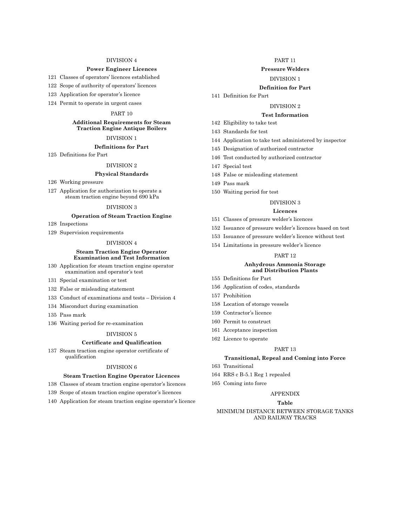#### [DIVISION](#page-62-0) 4

#### **[Power Engineer Licences](#page-62-0)**

121 [Classes of operators' licences established](#page-62-0)

122 [Scope of authority of operators' licences](#page-63-0)

- 123 [Application for operator's licence](#page-65-0)
- 124 [Permit to operate in urgent cases](#page-65-0)

#### [PART](#page-66-0) 10

#### **[Additional Requirements for Steam](#page-66-0)  [Traction Engine Antique Boilers](#page-66-0)**

#### [DIVISION](#page-66-0) 1

#### **[Definitions for Part](#page-66-0)**

125 [Definitions for Part](#page-66-0)

# [DIVISION](#page-66-0) 2

## **[Physical Standards](#page-66-0)**

- 126 [Working pressure](#page-66-0)
- 127 [Application for authorization to operate a](#page-66-0) [steam traction engine beyond](#page-66-0) 690 kPa

#### [DIVISION](#page-67-0) 3

# **[Operation of Steam Traction Engine](#page-67-0)**

128 [Inspections](#page-67-0)

129 [Supervision requirements](#page-67-0)

## [DIVISION](#page-68-0) 4

#### **[Steam Traction Engine Operator](#page-68-0)  [Examination and Test Information](#page-68-0)**

- 130 [Application for steam traction engine operator](#page-68-0) [examination and operator's test](#page-68-0)
- 131 [Special examination or test](#page-68-0)
- 132 [False or misleading statement](#page-69-0)
- 133 [Conduct of examinations and tests Division](#page-69-0) 4
- 134 [Misconduct during examination](#page-69-0)
- 135 [Pass mark](#page-70-0)
- 136 [Waiting period for re-examination](#page-70-0)

#### [DIVISION](#page-70-0) 5

#### **[Certificate and Qualification](#page-70-0)**

137 [Steam traction engine operator certificate of](#page-70-0) [qualification](#page-70-0)

#### [DIVISION](#page-70-0) 6

#### **[Steam Traction Engine Operator Licences](#page-70-0)**

- 138 [Classes of steam traction engine operator's licences](#page-70-0)
- 139 [Scope of steam traction engine operator's licences](#page-70-0)
- 140 [Application for steam traction engine operator's licence](#page-71-0)

# [PART](#page-72-0) 11

# **[Pressure Welders](#page-72-0)**

## [DIVISION](#page-72-0) 1

#### **[Definition for Part](#page-72-0)**

#### 141 [Definition for Part](#page-72-0)

#### [DIVISION](#page-72-0) 2

#### **[Test Information](#page-72-0)**

- 142 [Eligibility to take test](#page-72-0)
- 143 [Standards for test](#page-72-0)
- 144 [Application to take test administered by inspector](#page-73-0)
- 145 [Designation of authorized contractor](#page-73-0)
- 146 [Test conducted by authorized contractor](#page-73-0)
- 147 [Special test](#page-74-0)
- 148 [False or misleading statement](#page-74-0)
- 149 [Pass mark](#page-74-0)
- 150 [Waiting period for test](#page-74-0)

#### [DIVISION](#page-74-0) 3

#### **[Licences](#page-74-0)**

- 151 [Classes of pressure welder's licences](#page-74-0)
- 152 [Issuance of pressure welder's licences based on test](#page-75-0)
- 153 [Issuance of pressure welder's licence without test](#page-76-0)
- 154 [Limitations in pressure welder's licence](#page-76-0)

#### [PART](#page-77-0) 12

#### **[Anhydrous Ammonia Storage](#page-77-0) [and Distribution Plants](#page-77-0)**

- 155 [Definitions for Part](#page-77-0)
- 156 [Application of codes, standards](#page-77-0)
- 157 [Prohibition](#page-77-0)
- 158 [Location of storage vessels](#page-77-0)
- 159 [Contractor's licence](#page-78-0)
- 160 [Permit to construct](#page-78-0)
- 161 [Acceptance inspection](#page-79-0)
- 162 [Licence to operate](#page-80-0)

#### [PART](#page-80-0) 13

#### **[Transitional, Repeal and Coming into Force](#page-80-0)**

- 163 [Transitional](#page-80-0)
- 164 [RRS c B-5.1 Reg](#page-81-0) 1 repealed
- 165 [Coming into force](#page-81-0)

#### [APPENDIX](#page-81-0)

#### **[Table](#page-81-0)**

#### [MINIMUM DISTANCE BETWEEN STORAGE TANKS](#page-81-0)  [AND RAILWAY TRACKS](#page-81-0)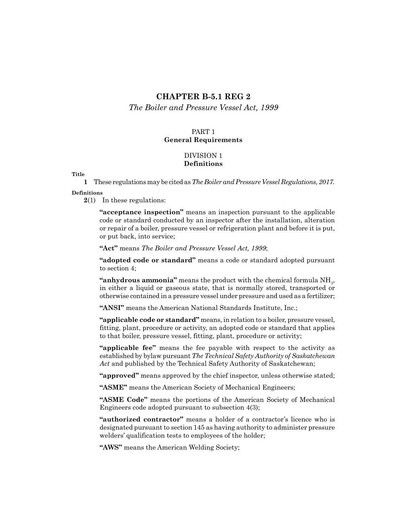# **CHAPTER B-5.1 REG 2**

<span id="page-4-0"></span>*[The Boiler and Pressure Vessel Act,](http://www.publications.gov.sk.ca/freelaw/documents/English/Statutes/Statutes/B5-1.pdf) 1999*

# PART 1 **General Requirements**

# DIVISION 1 **Definitions**

#### **Title**

**1** These regulations may be cited as *The Boiler and Pressure Vessel Regulations, 2017.*

## **Definitions**

**2**(1) In these regulations:

**"acceptance inspection"** means an inspection pursuant to the applicable code or standard conducted by an inspector after the installation, alteration or repair of a boiler, pressure vessel or refrigeration plant and before it is put, or put back, into service;

**"Act"** means *The Boiler and Pressure Vessel Act, 1999*;

**"adopted code or standard"** means a code or standard adopted pursuant to section 4;

" $\mathbf{anhydrous}\ \mathbf{ammonia}$ " means the product with the chemical formula  $\mathrm{NH}_3\mathrm{_{3}$ in either a liquid or gaseous state, that is normally stored, transported or otherwise contained in a pressure vessel under pressure and used as a fertilizer;

**"ANSI"** means the American National Standards Institute, Inc.;

**"applicable code or standard"** means, in relation to a boiler, pressure vessel, fitting, plant, procedure or activity, an adopted code or standard that applies to that boiler, pressure vessel, fitting, plant, procedure or activity;

**"applicable fee"** means the fee payable with respect to the activity as established by bylaw pursuant *The Technical Safety Authority of Saskatchewan Act* and published by the Technical Safety Authority of Saskatchewan;

**"approved"** means approved by the chief inspector, unless otherwise stated;

**"ASME"** means the American Society of Mechanical Engineers;

**"ASME Code"** means the portions of the American Society of Mechanical Engineers code adopted pursuant to subsection 4(3);

**"authorized contractor"** means a holder of a contractor's licence who is designated pursuant to section 145 as having authority to administer pressure welders' qualification tests to employees of the holder;

**"AWS"** means the American Welding Society;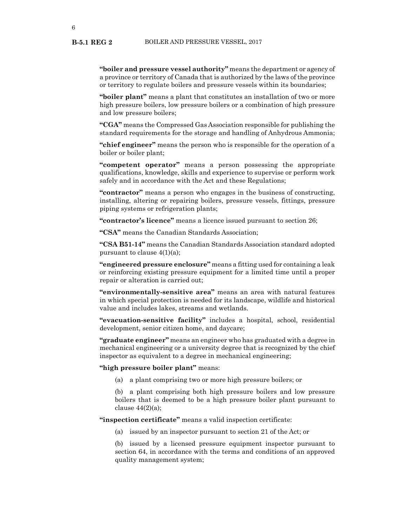**B-5.1 REG 2**

**"boiler and pressure vessel authority"** means the department or agency of a province or territory of Canada that is authorized by the laws of the province or territory to regulate boilers and pressure vessels within its boundaries;

**"boiler plant"** means a plant that constitutes an installation of two or more high pressure boilers, low pressure boilers or a combination of high pressure and low pressure boilers;

**"CGA"** means the Compressed Gas Association responsible for publishing the standard requirements for the storage and handling of Anhydrous Ammonia;

**"chief engineer"** means the person who is responsible for the operation of a boiler or boiler plant;

**"competent operator"** means a person possessing the appropriate qualifications, knowledge, skills and experience to supervise or perform work safely and in accordance with the Act and these Regulations;

**"contractor"** means a person who engages in the business of constructing, installing, altering or repairing boilers, pressure vessels, fittings, pressure piping systems or refrigeration plants;

**"contractor's licence"** means a licence issued pursuant to section 26;

**"CSA"** means the Canadian Standards Association;

**"CSA B51-14"** means the Canadian Standards Association standard adopted pursuant to clause  $4(1)(a)$ ;

**"engineered pressure enclosure"** means a fitting used for containing a leak or reinforcing existing pressure equipment for a limited time until a proper repair or alteration is carried out;

**"environmentally-sensitive area"** means an area with natural features in which special protection is needed for its landscape, wildlife and historical value and includes lakes, streams and wetlands.

**"evacuation-sensitive facility"** includes a hospital, school, residential development, senior citizen home, and daycare;

**"graduate engineer"** means an engineer who has graduated with a degree in mechanical engineering or a university degree that is recognized by the chief inspector as equivalent to a degree in mechanical engineering;

**"high pressure boiler plant"** means:

(a) a plant comprising two or more high pressure boilers; or

(b) a plant comprising both high pressure boilers and low pressure boilers that is deemed to be a high pressure boiler plant pursuant to clause  $44(2)(a)$ ;

**"inspection certificate"** means a valid inspection certificate:

(a) issued by an inspector pursuant to section 21 of the Act; or

(b) issued by a licensed pressure equipment inspector pursuant to section 64, in accordance with the terms and conditions of an approved quality management system;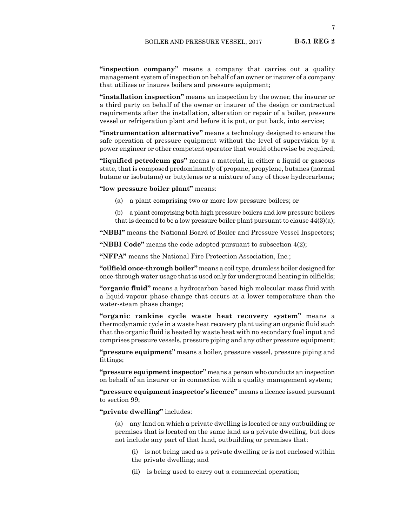**"inspection company"** means a company that carries out a quality management system of inspection on behalf of an owner or insurer of a company that utilizes or insures boilers and pressure equipment;

**"installation inspection"** means an inspection by the owner, the insurer or a third party on behalf of the owner or insurer of the design or contractual requirements after the installation, alteration or repair of a boiler, pressure vessel or refrigeration plant and before it is put, or put back, into service;

**"instrumentation alternative"** means a technology designed to ensure the safe operation of pressure equipment without the level of supervision by a power engineer or other competent operator that would otherwise be required;

**"liquified petroleum gas"** means a material, in either a liquid or gaseous state, that is composed predominantly of propane, propylene, butanes (normal butane or isobutane) or butylenes or a mixture of any of those hydrocarbons;

**"low pressure boiler plant"** means:

- (a) a plant comprising two or more low pressure boilers; or
- (b) a plant comprising both high pressure boilers and low pressure boilers that is deemed to be a low pressure boiler plant pursuant to clause  $44(3)(a)$ ;

**"NBBI"** means the National Board of Boiler and Pressure Vessel Inspectors;

**"NBBI Code"** means the code adopted pursuant to subsection 4(2);

**"NFPA"** means the National Fire Protection Association, Inc.;

**"oilfield once-through boiler"** means a coil type, drumless boiler designed for once-through water usage that is used only for underground heating in oilfields;

**"organic fluid"** means a hydrocarbon based high molecular mass fluid with a liquid-vapour phase change that occurs at a lower temperature than the water-steam phase change;

**"organic rankine cycle waste heat recovery system"** means a thermodynamic cycle in a waste heat recovery plant using an organic fluid such that the organic fluid is heated by waste heat with no secondary fuel input and comprises pressure vessels, pressure piping and any other pressure equipment;

**"pressure equipment"** means a boiler, pressure vessel, pressure piping and fittings;

**"pressure equipment inspector"** means a person who conducts an inspection on behalf of an insurer or in connection with a quality management system;

**"pressure equipment inspector's licence"** means a licence issued pursuant to section 99;

**"private dwelling"** includes:

(a) any land on which a private dwelling is located or any outbuilding or premises that is located on the same land as a private dwelling, but does not include any part of that land, outbuilding or premises that:

(i) is not being used as a private dwelling or is not enclosed within the private dwelling; and

(ii) is being used to carry out a commercial operation;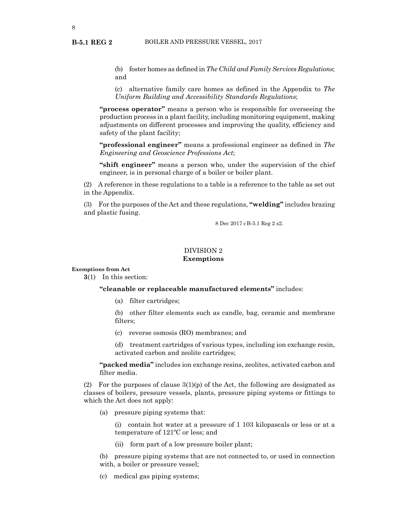<span id="page-7-0"></span>**B-5.1 REG 2**

(b) foster homes as defined in *The Child and Family Services Regulations*; and

(c) alternative family care homes as defined in the Appendix to *The Uniform Building and Accessibility Standards Regulations*;

**"process operator"** means a person who is responsible for overseeing the production process in a plant facility, including monitoring equipment, making adjustments on different processes and improving the quality, efficiency and safety of the plant facility;

**"professional engineer"** means a professional engineer as defined in *The Engineering and Geoscience Professions Act*;

**"shift engineer"** means a person who, under the supervision of the chief engineer, is in personal charge of a boiler or boiler plant.

(2) A reference in these regulations to a table is a reference to the table as set out in the Appendix.

(3) For the purposes of the Act and these regulations, **"welding"** includes brazing and plastic fusing.

8 Dec 2017 cB-5.1 Reg 2 s2.

# DIVISION 2 **Exemptions**

#### **Exemptions from Act**

**3**(1) In this section:

**"cleanable or replaceable manufactured elements"** includes:

(a) filter cartridges;

(b) other filter elements such as candle, bag, ceramic and membrane filters;

(c) reverse osmosis (RO) membranes; and

(d) treatment cartridges of various types, including ion exchange resin, activated carbon and zeolite cartridges;

**"packed media"** includes ion exchange resins, zeolites, activated carbon and filter media.

(2) For the purposes of clause  $3(1)(p)$  of the Act, the following are designated as classes of boilers, pressure vessels, plants, pressure piping systems or fittings to which the Act does not apply:

(a) pressure piping systems that:

(i) contain hot water at a pressure of 1 103 kilopascals or less or at a temperature of 121ºC or less; and

(ii) form part of a low pressure boiler plant;

(b) pressure piping systems that are not connected to, or used in connection with, a boiler or pressure vessel;

(c) medical gas piping systems;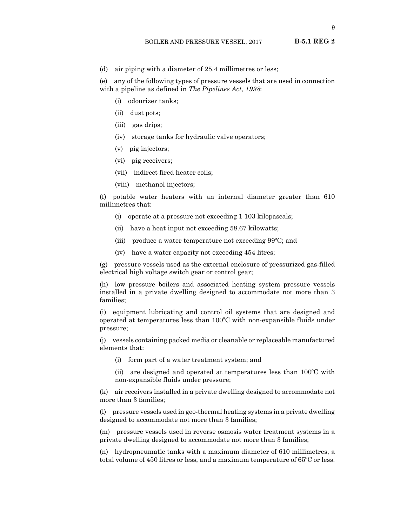- **B-5.1 REG 2**
- (d) air piping with a diameter of 25.4 millimetres or less;

(e) any of the following types of pressure vessels that are used in connection with a pipeline as defined in *The Pipelines Act, 1998*:

- (i) odourizer tanks;
- (ii) dust pots;
- (iii) gas drips;
- (iv) storage tanks for hydraulic valve operators;
- (v) pig injectors;
- (vi) pig receivers;
- (vii) indirect fired heater coils;
- (viii) methanol injectors;

(f) potable water heaters with an internal diameter greater than 610 millimetres that:

- (i) operate at a pressure not exceeding 1 103 kilopascals;
- (ii) have a heat input not exceeding 58.67 kilowatts;
- (iii) produce a water temperature not exceeding 99ºC; and
- (iv) have a water capacity not exceeding 454 litres;

(g) pressure vessels used as the external enclosure of pressurized gas-filled electrical high voltage switch gear or control gear;

(h) low pressure boilers and associated heating system pressure vessels installed in a private dwelling designed to accommodate not more than 3 families;

(i) equipment lubricating and control oil systems that are designed and operated at temperatures less than 100ºC with non-expansible fluids under pressure;

(j) vessels containing packed media or cleanable or replaceable manufactured elements that:

(i) form part of a water treatment system; and

(ii) are designed and operated at temperatures less than 100ºC with non-expansible fluids under pressure;

(k) air receivers installed in a private dwelling designed to accommodate not more than 3 families;

(l) pressure vessels used in geo-thermal heating systems in a private dwelling designed to accommodate not more than 3 families;

(m) pressure vessels used in reverse osmosis water treatment systems in a private dwelling designed to accommodate not more than 3 families;

(n) hydropneumatic tanks with a maximum diameter of 610 millimetres, a total volume of 450 litres or less, and a maximum temperature of 65ºC or less.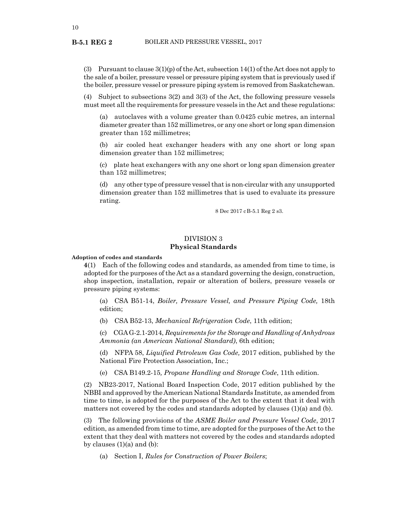(3) Pursuant to clause  $3(1)(p)$  of the Act, subsection  $14(1)$  of the Act does not apply to the sale of a boiler, pressure vessel or pressure piping system that is previously used if the boiler, pressure vessel or pressure piping system is removed from Saskatchewan.

(4) Subject to subsections 3(2) and 3(3) of the Act, the following pressure vessels must meet all the requirements for pressure vessels in the Act and these regulations:

(a) autoclaves with a volume greater than 0.0425 cubic metres, an internal diameter greater than 152 millimetres, or any one short or long span dimension greater than 152 millimetres;

(b) air cooled heat exchanger headers with any one short or long span dimension greater than 152 millimetres;

(c) plate heat exchangers with any one short or long span dimension greater than 152 millimetres;

(d) any other type of pressure vessel that is non-circular with any unsupported dimension greater than 152 millimetres that is used to evaluate its pressure rating.

8 Dec 2017 cB-5.1 Reg 2 s3.

# DIVISION 3 **Physical Standards**

**Adoption of codes and standards**

**4**(1) Each of the following codes and standards, as amended from time to time, is adopted for the purposes of the Act as a standard governing the design, construction, shop inspection, installation, repair or alteration of boilers, pressure vessels or pressure piping systems:

(a) CSA B51-14, *Boiler, Pressure Vessel, and Pressure Piping Code,* 18th edition;

(b) CSA B52-13, *Mechanical Refrigeration Code*, 11th edition;

(c) CGA G-2.1-2014, *Requirements for the Storage and Handling of Anhydrous Ammonia (an American National Standard)*, 6th edition;

(d) NFPA 58, *Liquified Petroleum Gas Code,* 2017 edition, published by the National Fire Protection Association, Inc.;

(e) CSA B149.2-15*, Propane Handling and Storage Code*, 11th edition.

(2) NB23-2017, National Board Inspection Code, 2017 edition published by the NBBI and approved by the American National Standards Institute, as amended from time to time, is adopted for the purposes of the Act to the extent that it deal with matters not covered by the codes and standards adopted by clauses  $(1)(a)$  and  $(b)$ .

(3) The following provisions of the *ASME Boiler and Pressure Vessel Code*, 2017 edition, as amended from time to time, are adopted for the purposes of the Act to the extent that they deal with matters not covered by the codes and standards adopted by clauses  $(1)(a)$  and  $(b)$ :

(a) Section I, *Rules for Construction of Power Boilers*;

#### <span id="page-9-0"></span>**B-5.1 REG 2**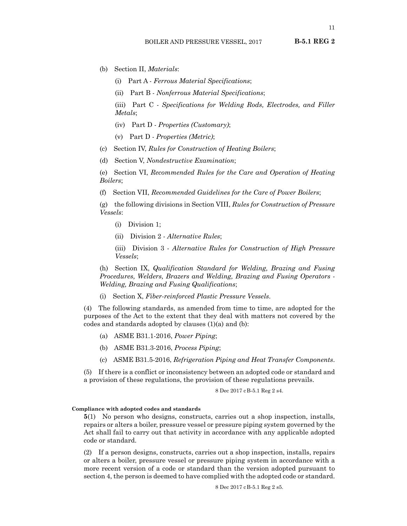<span id="page-10-0"></span>(b) Section II, *Materials*:

- (i) Part A *Ferrous Material Specifications*;
- (ii) Part B *Nonferrous Material Specifications*;

(iii) Part C - *Specifications for Welding Rods, Electrodes, and Filler Metals*;

- (iv) Part D *Properties (Customary)*;
- (v) Part D *Properties (Metric)*;
- (c) Section IV, *Rules for Construction of Heating Boilers*;
- (d) Section V, *Nondestructive Examination*;

(e) Section VI, *Recommended Rules for the Care and Operation of Heating Boilers*;

(f) Section VII, *Recommended Guidelines for the Care of Power Boilers*;

(g) the following divisions in Section VIII, *Rules for Construction of Pressure Vessels*:

- (i) Division 1;
- (ii) Division 2 *Alternative Rules*;

(iii) Division 3 - *Alternative Rules for Construction of High Pressure Vessels*;

(h) Section IX, *Qualification Standard for Welding, Brazing and Fusing Procedures, Welders, Brazers and Welding, Brazing and Fusing Operators – Welding, Brazing and Fusing Qualifications*;

(i) Section X, *Fiber‑reinforced Plastic Pressure Vessels*.

(4) The following standards, as amended from time to time, are adopted for the purposes of the Act to the extent that they deal with matters not covered by the codes and standards adopted by clauses (1)(a) and (b):

- (a) ASME B31.1-2016, *Power Piping*;
- (b) ASME B31.3-2016, *Process Piping*;
- (c) ASME B31.5-2016, *Refrigeration Piping and Heat Transfer Components*.

(5) If there is a conflict or inconsistency between an adopted code or standard and a provision of these regulations, the provision of these regulations prevails.

## 8 Dec 2017 cB-5.1 Reg 2 s4.

## **Compliance with adopted codes and standards**

**5**(1) No person who designs, constructs, carries out a shop inspection, installs, repairs or alters a boiler, pressure vessel or pressure piping system governed by the Act shall fail to carry out that activity in accordance with any applicable adopted code or standard.

(2) If a person designs, constructs, carries out a shop inspection, installs, repairs or alters a boiler, pressure vessel or pressure piping system in accordance with a more recent version of a code or standard than the version adopted pursuant to section 4, the person is deemed to have complied with the adopted code or standard.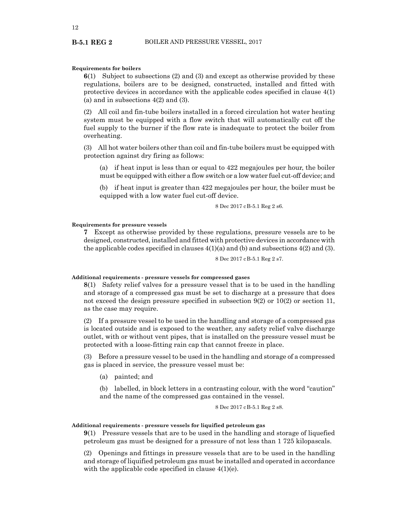#### **Requirements for boilers**

**6**(1) Subject to subsections (2) and (3) and except as otherwise provided by these regulations, boilers are to be designed, constructed, installed and fitted with protective devices in accordance with the applicable codes specified in clause 4(1) (a) and in subsections 4(2) and (3).

(2) All coil and fin-tube boilers installed in a forced circulation hot water heating system must be equipped with a flow switch that will automatically cut off the fuel supply to the burner if the flow rate is inadequate to protect the boiler from overheating.

(3) All hot water boilers other than coil and fin-tube boilers must be equipped with protection against dry firing as follows:

(a) if heat input is less than or equal to 422 megajoules per hour, the boiler must be equipped with either a flow switch or a low water fuel cut-off device; and

(b) if heat input is greater than 422 megajoules per hour, the boiler must be equipped with a low water fuel cut-off device.

8 Dec 2017 cB-5.1 Reg 2 s6.

#### **Requirements for pressure vessels**

**7** Except as otherwise provided by these regulations, pressure vessels are to be designed, constructed, installed and fitted with protective devices in accordance with the applicable codes specified in clauses  $4(1)(a)$  and (b) and subsections  $4(2)$  and (3).

8 Dec 2017 cB-5.1 Reg 2 s7.

#### **Additional requirements - pressure vessels for compressed gases**

**8**(1) Safety relief valves for a pressure vessel that is to be used in the handling and storage of a compressed gas must be set to discharge at a pressure that does not exceed the design pressure specified in subsection 9(2) or 10(2) or section 11, as the case may require.

(2) If a pressure vessel to be used in the handling and storage of a compressed gas is located outside and is exposed to the weather, any safety relief valve discharge outlet, with or without vent pipes, that is installed on the pressure vessel must be protected with a loose-fitting rain cap that cannot freeze in place.

(3) Before a pressure vessel to be used in the handling and storage of a compressed gas is placed in service, the pressure vessel must be:

(a) painted; and

(b) labelled, in block letters in a contrasting colour, with the word "caution" and the name of the compressed gas contained in the vessel.

8 Dec 2017 cB-5.1 Reg 2 s8.

#### **Additional requirements - pressure vessels for liquified petroleum gas**

**9**(1) Pressure vessels that are to be used in the handling and storage of liquefied petroleum gas must be designed for a pressure of not less than 1 725 kilopascals.

(2) Openings and fittings in pressure vessels that are to be used in the handling and storage of liquified petroleum gas must be installed and operated in accordance with the applicable code specified in clause  $4(1)(e)$ .

<span id="page-11-0"></span>**B-5.1 REG 2**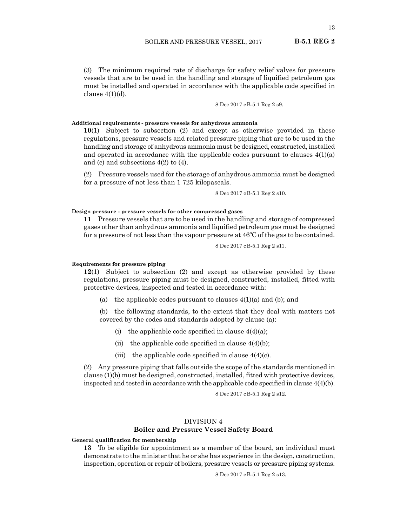13

<span id="page-12-0"></span>(3) The minimum required rate of discharge for safety relief valves for pressure vessels that are to be used in the handling and storage of liquified petroleum gas must be installed and operated in accordance with the applicable code specified in clause  $4(1)(d)$ .

8 Dec 2017 cB-5.1 Reg 2 s9.

# **Additional requirements - pressure vessels for anhydrous ammonia**

**10**(1) Subject to subsection (2) and except as otherwise provided in these regulations, pressure vessels and related pressure piping that are to be used in the handling and storage of anhydrous ammonia must be designed, constructed, installed and operated in accordance with the applicable codes pursuant to clauses  $4(1)(a)$ and (c) and subsections 4(2) to (4).

(2) Pressure vessels used for the storage of anhydrous ammonia must be designed for a pressure of not less than 1 725 kilopascals.

8 Dec 2017 cB-5.1 Reg 2 s10.

#### **Design pressure - pressure vessels for other compressed gases**

**11** Pressure vessels that are to be used in the handling and storage of compressed gases other than anhydrous ammonia and liquified petroleum gas must be designed for a pressure of not less than the vapour pressure at  $46^{\circ}$ C of the gas to be contained.

8 Dec 2017 cB-5.1 Reg 2 s11.

#### **Requirements for pressure piping**

**12**(1) Subject to subsection (2) and except as otherwise provided by these regulations, pressure piping must be designed, constructed, installed, fitted with protective devices, inspected and tested in accordance with:

(a) the applicable codes pursuant to clauses  $4(1)(a)$  and (b); and

(b) the following standards, to the extent that they deal with matters not covered by the codes and standards adopted by clause (a):

- (i) the applicable code specified in clause  $4(4)(a)$ ;
- (ii) the applicable code specified in clause  $4(4)(b)$ ;
- (iii) the applicable code specified in clause  $4(4)(c)$ .

(2) Any pressure piping that falls outside the scope of the standards mentioned in clause (1)(b) must be designed, constructed, installed, fitted with protective devices, inspected and tested in accordance with the applicable code specified in clause 4(4)(b).

8 Dec 2017 cB-5.1 Reg 2 s12.

# DIVISION 4 **Boiler and Pressure Vessel Safety Board**

**General qualification for membership**

**13** To be eligible for appointment as a member of the board, an individual must demonstrate to the minister that he or she has experience in the design, construction, inspection, operation or repair of boilers, pressure vessels or pressure piping systems.

8 Dec 2017 cB-5.1 Reg 2 s13.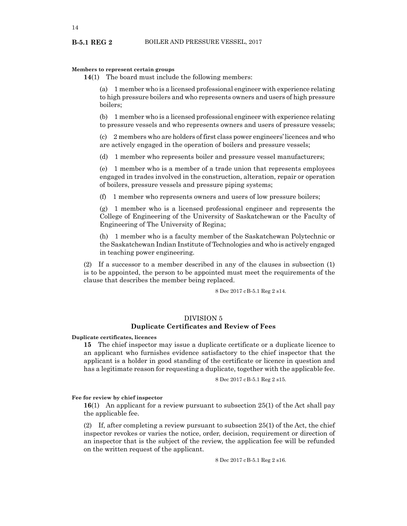## **Members to represent certain groups**

**14**(1) The board must include the following members:

(a) 1 member who is a licensed professional engineer with experience relating to high pressure boilers and who represents owners and users of high pressure boilers;

(b) 1 member who is a licensed professional engineer with experience relating to pressure vessels and who represents owners and users of pressure vessels;

(c) 2 members who are holders of first class power engineers' licences and who are actively engaged in the operation of boilers and pressure vessels;

(d) 1 member who represents boiler and pressure vessel manufacturers;

(e) 1 member who is a member of a trade union that represents employees engaged in trades involved in the construction, alteration, repair or operation of boilers, pressure vessels and pressure piping systems;

(f) 1 member who represents owners and users of low pressure boilers;

(g) 1 member who is a licensed professional engineer and represents the College of Engineering of the University of Saskatchewan or the Faculty of Engineering of The University of Regina;

(h) 1 member who is a faculty member of the Saskatchewan Polytechnic or the Saskatchewan Indian Institute of Technologies and who is actively engaged in teaching power engineering.

(2) If a successor to a member described in any of the clauses in subsection (1) is to be appointed, the person to be appointed must meet the requirements of the clause that describes the member being replaced.

8 Dec 2017 cB-5.1 Reg 2 s14.

# DIVISION 5

# **Duplicate Certificates and Review of Fees**

**Duplicate certificates, licences**

**15** The chief inspector may issue a duplicate certificate or a duplicate licence to an applicant who furnishes evidence satisfactory to the chief inspector that the applicant is a holder in good standing of the certificate or licence in question and has a legitimate reason for requesting a duplicate, together with the applicable fee.

8 Dec 2017 cB-5.1 Reg 2 s15.

# **Fee for review by chief inspector**

**16**(1) An applicant for a review pursuant to subsection 25(1) of the Act shall pay the applicable fee.

(2) If, after completing a review pursuant to subsection 25(1) of the Act, the chief inspector revokes or varies the notice, order, decision, requirement or direction of an inspector that is the subject of the review, the application fee will be refunded on the written request of the applicant.

8 Dec 2017 cB-5.1 Reg 2 s16.

<span id="page-13-0"></span>**B-5.1 REG 2**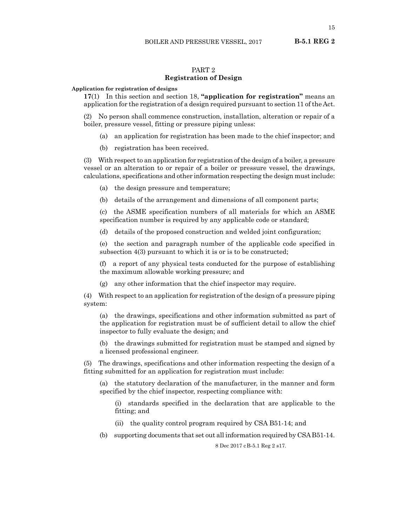15

# PART 2

# **Registration of Design**

#### <span id="page-14-0"></span>**Application for registration of designs**

**17**(1) In this section and section 18, **"application for registration"** means an application for the registration of a design required pursuant to section 11 of the Act.

(2) No person shall commence construction, installation, alteration or repair of a boiler, pressure vessel, fitting or pressure piping unless:

- (a) an application for registration has been made to the chief inspector; and
- (b) registration has been received.

(3) With respect to an application for registration of the design of a boiler, a pressure vessel or an alteration to or repair of a boiler or pressure vessel, the drawings, calculations, specifications and other information respecting the design must include:

(a) the design pressure and temperature;

(b) details of the arrangement and dimensions of all component parts;

(c) the ASME specification numbers of all materials for which an ASME specification number is required by any applicable code or standard;

(d) details of the proposed construction and welded joint configuration;

(e) the section and paragraph number of the applicable code specified in subsection 4(3) pursuant to which it is or is to be constructed;

(f) a report of any physical tests conducted for the purpose of establishing the maximum allowable working pressure; and

(g) any other information that the chief inspector may require.

(4) With respect to an application for registration of the design of a pressure piping system:

(a) the drawings, specifications and other information submitted as part of the application for registration must be of sufficient detail to allow the chief inspector to fully evaluate the design; and

(b) the drawings submitted for registration must be stamped and signed by a licensed professional engineer.

(5) The drawings, specifications and other information respecting the design of a fitting submitted for an application for registration must include:

(a) the statutory declaration of the manufacturer, in the manner and form specified by the chief inspector, respecting compliance with:

(i) standards specified in the declaration that are applicable to the fitting; and

(ii) the quality control program required by CSA B51-14; and

(b) supporting documents that set out all information required by CSA B51-14.

8 Dec 2017 cB-5.1 Reg 2 s17.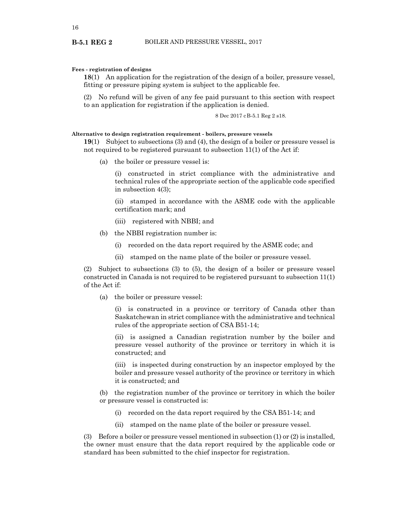#### **Fees - registration of designs**

**18**(1) An application for the registration of the design of a boiler, pressure vessel, fitting or pressure piping system is subject to the applicable fee.

(2) No refund will be given of any fee paid pursuant to this section with respect to an application for registration if the application is denied.

8 Dec 2017 cB-5.1 Reg 2 s18.

#### **Alternative to design registration requirement - boilers, pressure vessels**

**19**(1) Subject to subsections (3) and (4), the design of a boiler or pressure vessel is not required to be registered pursuant to subsection 11(1) of the Act if:

(a) the boiler or pressure vessel is:

(i) constructed in strict compliance with the administrative and technical rules of the appropriate section of the applicable code specified in subsection 4(3);

(ii) stamped in accordance with the ASME code with the applicable certification mark; and

- (iii) registered with NBBI; and
- (b) the NBBI registration number is:
	- (i) recorded on the data report required by the ASME code; and
	- (ii) stamped on the name plate of the boiler or pressure vessel.

(2) Subject to subsections (3) to (5), the design of a boiler or pressure vessel constructed in Canada is not required to be registered pursuant to subsection 11(1) of the Act if:

(a) the boiler or pressure vessel:

(i) is constructed in a province or territory of Canada other than Saskatchewan in strict compliance with the administrative and technical rules of the appropriate section of CSA B51-14;

(ii) is assigned a Canadian registration number by the boiler and pressure vessel authority of the province or territory in which it is constructed; and

(iii) is inspected during construction by an inspector employed by the boiler and pressure vessel authority of the province or territory in which it is constructed; and

(b) the registration number of the province or territory in which the boiler or pressure vessel is constructed is:

- (i) recorded on the data report required by the CSA B51-14; and
- (ii) stamped on the name plate of the boiler or pressure vessel.

(3) Before a boiler or pressure vessel mentioned in subsection (1) or (2) is installed, the owner must ensure that the data report required by the applicable code or standard has been submitted to the chief inspector for registration.

<span id="page-15-0"></span>**B-5.1 REG 2**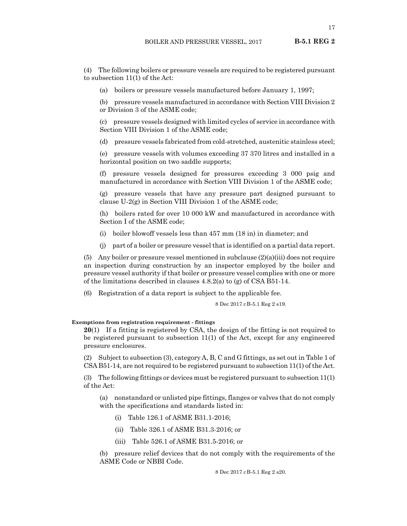**B-5.1 REG 2**

<span id="page-16-0"></span>(4) The following boilers or pressure vessels are required to be registered pursuant to subsection 11(1) of the Act:

(a) boilers or pressure vessels manufactured before January 1, 1997;

(b) pressure vessels manufactured in accordance with Section VIII Division 2 or Division 3 of the ASME code;

(c) pressure vessels designed with limited cycles of service in accordance with Section VIII Division 1 of the ASME code;

(d) pressure vessels fabricated from cold-stretched, austenitic stainless steel;

(e) pressure vessels with volumes exceeding 37 370 litres and installed in a horizontal position on two saddle supports;

(f) pressure vessels designed for pressures exceeding 3 000 psig and manufactured in accordance with Section VIII Division 1 of the ASME code;

(g) pressure vessels that have any pressure part designed pursuant to clause U-2(g) in Section VIII Division 1 of the ASME code;

(h) boilers rated for over 10 000 kW and manufactured in accordance with Section I of the ASME code;

(i) boiler blowoff vessels less than 457 mm (18 in) in diameter; and

(j) part of a boiler or pressure vessel that is identified on a partial data report.

(5) Any boiler or pressure vessel mentioned in subclause  $(2)(a)(iii)$  does not require an inspection during construction by an inspector employed by the boiler and pressure vessel authority if that boiler or pressure vessel complies with one or more of the limitations described in clauses 4.8.2(a) to (g) of CSA B51-14.

(6) Registration of a data report is subject to the applicable fee.

8 Dec 2017 cB-5.1 Reg 2 s19.

#### **Exemptions from registration requirement - fittings**

**20**(1) If a fitting is registered by CSA, the design of the fitting is not required to be registered pursuant to subsection 11(1) of the Act, except for any engineered pressure enclosures.

(2) Subject to subsection (3), category A, B, C and G fittings, as set out in Table 1 of CSA B51-14, are not required to be registered pursuant to subsection 11(1) of the Act.

(3) The following fittings or devices must be registered pursuant to subsection 11(1) of the Act:

(a) nonstandard or unlisted pipe fittings, flanges or valves that do not comply with the specifications and standards listed in:

- (i) Table 126.1 of ASME B31.1-2016;
- (ii) Table 326.1 of ASME B31.3-2016; or
- (iii) Table 526.1 of ASME B31.5-2016; or

(b) pressure relief devices that do not comply with the requirements of the ASME Code or NBBI Code.

8 Dec 2017 cB-5.1 Reg 2 s20.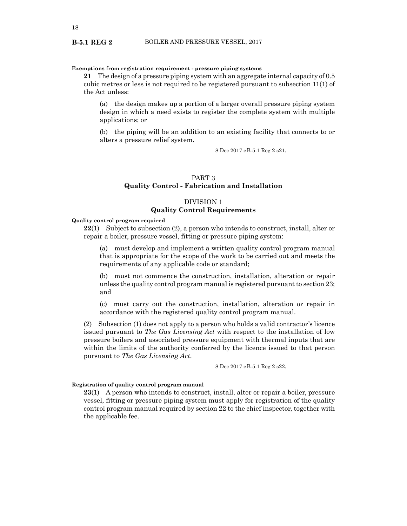# <span id="page-17-0"></span>**Exemptions from registration requirement - pressure piping systems**

**21** The design of a pressure piping system with an aggregate internal capacity of 0.5 cubic metres or less is not required to be registered pursuant to subsection 11(1) of the Act unless:

(a) the design makes up a portion of a larger overall pressure piping system design in which a need exists to register the complete system with multiple applications; or

(b) the piping will be an addition to an existing facility that connects to or alters a pressure relief system.

8 Dec 2017 cB-5.1 Reg 2 s21.

# PART 3 **Quality Control - Fabrication and Installation**

# DIVISION 1 **Quality Control Requirements**

# **Quality control program required**

**22**(1) Subject to subsection (2), a person who intends to construct, install, alter or repair a boiler, pressure vessel, fitting or pressure piping system:

(a) must develop and implement a written quality control program manual that is appropriate for the scope of the work to be carried out and meets the requirements of any applicable code or standard;

(b) must not commence the construction, installation, alteration or repair unless the quality control program manual is registered pursuant to section 23; and

(c) must carry out the construction, installation, alteration or repair in accordance with the registered quality control program manual.

(2) Subsection (1) does not apply to a person who holds a valid contractor's licence issued pursuant to *The Gas Licensing Act* with respect to the installation of low pressure boilers and associated pressure equipment with thermal inputs that are within the limits of the authority conferred by the licence issued to that person pursuant to *The Gas Licensing Act*.

8 Dec 2017 cB-5.1 Reg 2 s22.

# **Registration of quality control program manual**

**23**(1) A person who intends to construct, install, alter or repair a boiler, pressure vessel, fitting or pressure piping system must apply for registration of the quality control program manual required by section 22 to the chief inspector, together with the applicable fee.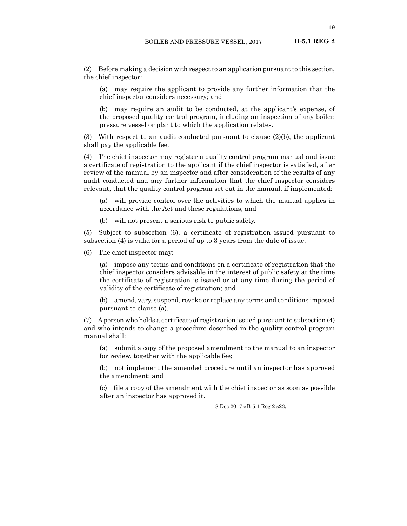19

**B-5.1 REG 2**

(2) Before making a decision with respect to an application pursuant to this section, the chief inspector:

(a) may require the applicant to provide any further information that the chief inspector considers necessary; and

(b) may require an audit to be conducted, at the applicant's expense, of the proposed quality control program, including an inspection of any boiler, pressure vessel or plant to which the application relates.

(3) With respect to an audit conducted pursuant to clause  $(2)(b)$ , the applicant shall pay the applicable fee.

(4) The chief inspector may register a quality control program manual and issue a certificate of registration to the applicant if the chief inspector is satisfied, after review of the manual by an inspector and after consideration of the results of any audit conducted and any further information that the chief inspector considers relevant, that the quality control program set out in the manual, if implemented:

(a) will provide control over the activities to which the manual applies in accordance with the Act and these regulations; and

(b) will not present a serious risk to public safety.

(5) Subject to subsection (6), a certificate of registration issued pursuant to subsection (4) is valid for a period of up to 3 years from the date of issue.

(6) The chief inspector may:

(a) impose any terms and conditions on a certificate of registration that the chief inspector considers advisable in the interest of public safety at the time the certificate of registration is issued or at any time during the period of validity of the certificate of registration; and

(b) amend, vary, suspend, revoke or replace any terms and conditions imposed pursuant to clause (a).

(7) A person who holds a certificate of registration issued pursuant to subsection (4) and who intends to change a procedure described in the quality control program manual shall:

(a) submit a copy of the proposed amendment to the manual to an inspector for review, together with the applicable fee;

(b) not implement the amended procedure until an inspector has approved the amendment; and

(c) file a copy of the amendment with the chief inspector as soon as possible after an inspector has approved it.

8 Dec 2017 cB-5.1 Reg 2 s23.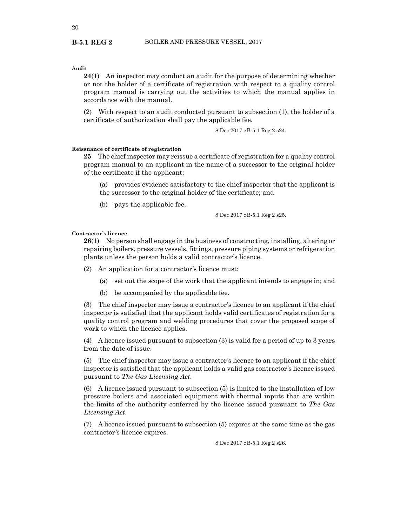<span id="page-19-0"></span>**B-5.1 REG 2**

# **Audit**

**24**(1) An inspector may conduct an audit for the purpose of determining whether or not the holder of a certificate of registration with respect to a quality control program manual is carrying out the activities to which the manual applies in accordance with the manual.

(2) With respect to an audit conducted pursuant to subsection (1), the holder of a certificate of authorization shall pay the applicable fee.

8 Dec 2017 cB-5.1 Reg 2 s24.

## **Reissuance of certificate of registration**

**25** The chief inspector may reissue a certificate of registration for a quality control program manual to an applicant in the name of a successor to the original holder of the certificate if the applicant:

(a) provides evidence satisfactory to the chief inspector that the applicant is the successor to the original holder of the certificate; and

(b) pays the applicable fee.

8 Dec 2017 cB-5.1 Reg 2 s25.

#### **Contractor's licence**

**26**(1) No person shall engage in the business of constructing, installing, altering or repairing boilers, pressure vessels, fittings, pressure piping systems or refrigeration plants unless the person holds a valid contractor's licence.

(2) An application for a contractor's licence must:

- (a) set out the scope of the work that the applicant intends to engage in; and
- (b) be accompanied by the applicable fee.

(3) The chief inspector may issue a contractor's licence to an applicant if the chief inspector is satisfied that the applicant holds valid certificates of registration for a quality control program and welding procedures that cover the proposed scope of work to which the licence applies.

(4) A licence issued pursuant to subsection (3) is valid for a period of up to 3 years from the date of issue.

(5) The chief inspector may issue a contractor's licence to an applicant if the chief inspector is satisfied that the applicant holds a valid gas contractor's licence issued pursuant to *The Gas Licensing Act*.

(6) A licence issued pursuant to subsection (5) is limited to the installation of low pressure boilers and associated equipment with thermal inputs that are within the limits of the authority conferred by the licence issued pursuant to *The Gas Licensing Act*.

(7) A licence issued pursuant to subsection (5) expires at the same time as the gas contractor's licence expires.

8 Dec 2017 cB-5.1 Reg 2 s26.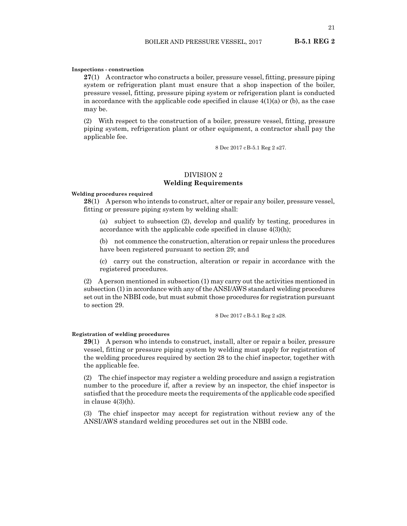#### <span id="page-20-0"></span>**Inspections - construction**

**27**(1) A contractor who constructs a boiler, pressure vessel, fitting, pressure piping system or refrigeration plant must ensure that a shop inspection of the boiler, pressure vessel, fitting, pressure piping system or refrigeration plant is conducted in accordance with the applicable code specified in clause  $4(1)(a)$  or (b), as the case may be.

(2) With respect to the construction of a boiler, pressure vessel, fitting, pressure piping system, refrigeration plant or other equipment, a contractor shall pay the applicable fee.

8 Dec 2017 cB-5.1 Reg 2 s27.

# DIVISION 2 **Welding Requirements**

#### **Welding procedures required**

**28**(1) A person who intends to construct, alter or repair any boiler, pressure vessel, fitting or pressure piping system by welding shall:

(a) subject to subsection (2), develop and qualify by testing, procedures in accordance with the applicable code specified in clause 4(3)(h);

(b) not commence the construction, alteration or repair unless the procedures have been registered pursuant to section 29; and

(c) carry out the construction, alteration or repair in accordance with the registered procedures.

(2) A person mentioned in subsection (1) may carry out the activities mentioned in subsection (1) in accordance with any of the ANSI/AWS standard welding procedures set out in the NBBI code, but must submit those procedures for registration pursuant to section 29.

8 Dec 2017 cB-5.1 Reg 2 s28.

#### **Registration of welding procedures**

**29**(1) A person who intends to construct, install, alter or repair a boiler, pressure vessel, fitting or pressure piping system by welding must apply for registration of the welding procedures required by section 28 to the chief inspector, together with the applicable fee.

(2) The chief inspector may register a welding procedure and assign a registration number to the procedure if, after a review by an inspector, the chief inspector is satisfied that the procedure meets the requirements of the applicable code specified in clause 4(3)(h).

(3) The chief inspector may accept for registration without review any of the ANSI/AWS standard welding procedures set out in the NBBI code.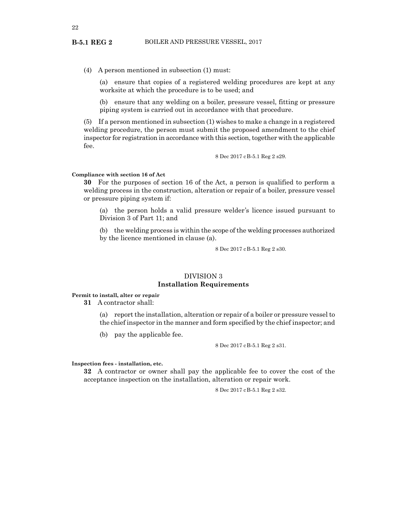(4) A person mentioned in subsection (1) must:

(a) ensure that copies of a registered welding procedures are kept at any worksite at which the procedure is to be used; and

(b) ensure that any welding on a boiler, pressure vessel, fitting or pressure piping system is carried out in accordance with that procedure.

(5) If a person mentioned in subsection (1) wishes to make a change in a registered welding procedure, the person must submit the proposed amendment to the chief inspector for registration in accordance with this section, together with the applicable fee.

8 Dec 2017 cB-5.1 Reg 2 s29.

#### **Compliance with section 16 of Act**

**30** For the purposes of section 16 of the Act, a person is qualified to perform a welding process in the construction, alteration or repair of a boiler, pressure vessel or pressure piping system if:

(a) the person holds a valid pressure welder's licence issued pursuant to Division 3 of Part 11; and

(b) the welding process is within the scope of the welding processes authorized by the licence mentioned in clause (a).

8 Dec 2017 cB-5.1 Reg 2 s30.

# DIVISION 3 **Installation Requirements**

**Permit to install, alter or repair**

**31** A contractor shall:

(a) report the installation, alteration or repair of a boiler or pressure vessel to the chief inspector in the manner and form specified by the chief inspector; and

(b) pay the applicable fee.

8 Dec 2017 cB-5.1 Reg 2 s31.

**Inspection fees - installation, etc.**

**32** A contractor or owner shall pay the applicable fee to cover the cost of the acceptance inspection on the installation, alteration or repair work.

8 Dec 2017 cB-5.1 Reg 2 s32.

<span id="page-21-0"></span>**B-5.1 REG 2**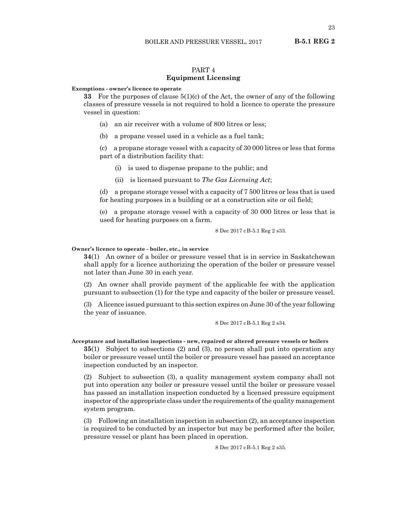# PART 4 **Equipment Licensing**

#### <span id="page-22-0"></span>**Exemptions - owner's licence to operate**

**33** For the purposes of clause 5(1)(c) of the Act, the owner of any of the following classes of pressure vessels is not required to hold a licence to operate the pressure vessel in question:

- (a) an air receiver with a volume of 800 litres or less;
- (b) a propane vessel used in a vehicle as a fuel tank;

(c) a propane storage vessel with a capacity of 30 000 litres or less that forms part of a distribution facility that:

- (i) is used to dispense propane to the public; and
- (ii) is licensed pursuant to *The Gas Licensing Act*;

(d) a propane storage vessel with a capacity of 7 500 litres or less that is used for heating purposes in a building or at a construction site or oil field;

(e) a propane storage vessel with a capacity of 30 000 litres or less that is used for heating purposes on a farm.

8 Dec 2017 cB-5.1 Reg 2 s33.

## **Owner's licence to operate - boiler, etc., in service**

**34**(1) An owner of a boiler or pressure vessel that is in service in Saskatchewan shall apply for a licence authorizing the operation of the boiler or pressure vessel not later than June 30 in each year.

(2) An owner shall provide payment of the applicable fee with the application pursuant to subsection (1) for the type and capacity of the boiler or pressure vessel.

(3) A licence issued pursuant to this section expires on June 30 of the year following the year of issuance.

8 Dec 2017 cB-5.1 Reg 2 s34.

**Acceptance and installation inspections - new, repaired or altered pressure vessels or boilers**

**35**(1) Subject to subsections (2) and (3), no person shall put into operation any boiler or pressure vessel until the boiler or pressure vessel has passed an acceptance inspection conducted by an inspector.

(2) Subject to subsection (3), a quality management system company shall not put into operation any boiler or pressure vessel until the boiler or pressure vessel has passed an installation inspection conducted by a licensed pressure equipment inspector of the appropriate class under the requirements of the quality management system program.

(3) Following an installation inspection in subsection (2), an acceptance inspection is required to be conducted by an inspector but may be performed after the boiler, pressure vessel or plant has been placed in operation.

8 Dec 2017 cB-5.1 Reg 2 s35.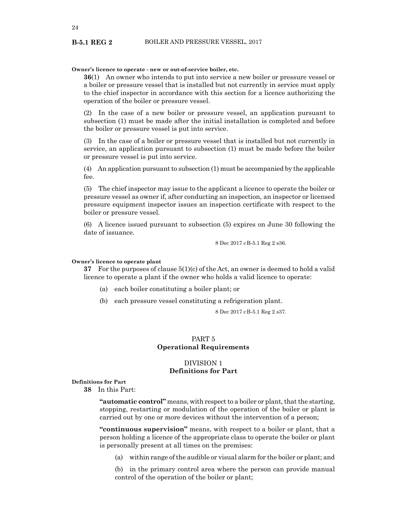## **Owner's licence to operate - new or out-of-service boiler, etc.**

**36**(1) An owner who intends to put into service a new boiler or pressure vessel or a boiler or pressure vessel that is installed but not currently in service must apply to the chief inspector in accordance with this section for a licence authorizing the operation of the boiler or pressure vessel.

(2) In the case of a new boiler or pressure vessel, an application pursuant to subsection (1) must be made after the initial installation is completed and before the boiler or pressure vessel is put into service.

(3) In the case of a boiler or pressure vessel that is installed but not currently in service, an application pursuant to subsection (1) must be made before the boiler or pressure vessel is put into service.

(4) An application pursuant to subsection (1) must be accompanied by the applicable fee.

(5) The chief inspector may issue to the applicant a licence to operate the boiler or pressure vessel as owner if, after conducting an inspection, an inspector or licensed pressure equipment inspector issues an inspection certificate with respect to the boiler or pressure vessel.

(6) A licence issued pursuant to subsection (5) expires on June 30 following the date of issuance.

8 Dec 2017 cB-5.1 Reg 2 s36.

#### **Owner's licence to operate plant**

**37** For the purposes of clause 5(1)(c) of the Act, an owner is deemed to hold a valid licence to operate a plant if the owner who holds a valid licence to operate:

- (a) each boiler constituting a boiler plant; or
- (b) each pressure vessel constituting a refrigeration plant.

8 Dec 2017 cB-5.1 Reg 2 s37.

# PART 5 **Operational Requirements**

# DIVISION 1 **Definitions for Part**

#### **Definitions for Part**

**38** In this Part:

**"automatic control"** means, with respect to a boiler or plant, that the starting, stopping, restarting or modulation of the operation of the boiler or plant is carried out by one or more devices without the intervention of a person;

**"continuous supervision"** means, with respect to a boiler or plant, that a person holding a licence of the appropriate class to operate the boiler or plant is personally present at all times on the premises:

(a) within range of the audible or visual alarm for the boiler or plant; and

(b) in the primary control area where the person can provide manual control of the operation of the boiler or plant;

<span id="page-23-0"></span>**B-5.1 REG 2**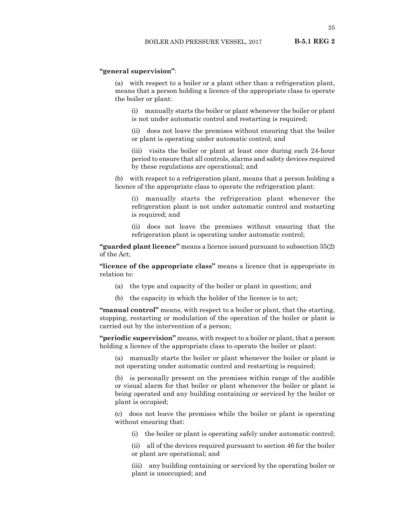25

# **B-5.1 REG 2**

# **"general supervision"**:

(a) with respect to a boiler or a plant other than a refrigeration plant, means that a person holding a licence of the appropriate class to operate the boiler or plant:

(i) manually starts the boiler or plant whenever the boiler or plant is not under automatic control and restarting is required;

(ii) does not leave the premises without ensuring that the boiler or plant is operating under automatic control; and

(iii) visits the boiler or plant at least once during each 24-hour period to ensure that all controls, alarms and safety devices required by these regulations are operational; and

(b) with respect to a refrigeration plant, means that a person holding a licence of the appropriate class to operate the refrigeration plant:

(i) manually starts the refrigeration plant whenever the refrigeration plant is not under automatic control and restarting is required; and

(ii) does not leave the premises without ensuring that the refrigeration plant is operating under automatic control;

**"guarded plant licence"** means a licence issued pursuant to subsection 35(2) of the Act;

**"licence of the appropriate class"** means a licence that is appropriate in relation to:

- (a) the type and capacity of the boiler or plant in question; and
- (b) the capacity in which the holder of the licence is to act;

**"manual control"** means, with respect to a boiler or plant, that the starting, stopping, restarting or modulation of the operation of the boiler or plant is carried out by the intervention of a person;

**"periodic supervision"** means, with respect to a boiler or plant, that a person holding a licence of the appropriate class to operate the boiler or plant:

(a) manually starts the boiler or plant whenever the boiler or plant is not operating under automatic control and restarting is required;

(b) is personally present on the premises within range of the audible or visual alarm for that boiler or plant whenever the boiler or plant is being operated and any building containing or serviced by the boiler or plant is occupied;

(c) does not leave the premises while the boiler or plant is operating without ensuring that:

(i) the boiler or plant is operating safely under automatic control;

(ii) all of the devices required pursuant to section 46 for the boiler or plant are operational; and

(iii) any building containing or serviced by the operating boiler or plant is unoccupied; and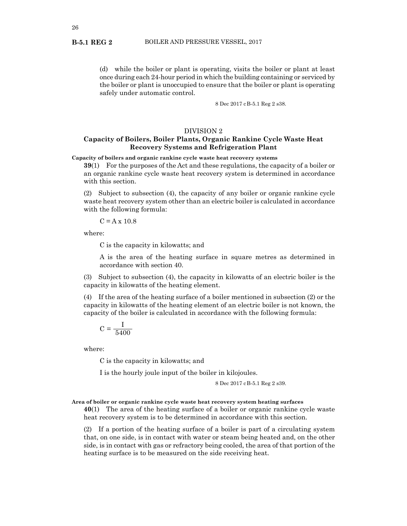(d) while the boiler or plant is operating, visits the boiler or plant at least once during each 24-hour period in which the building containing or serviced by the boiler or plant is unoccupied to ensure that the boiler or plant is operating safely under automatic control.

8 Dec 2017 cB-5.1 Reg 2 s38.

## DIVISION 2

# **Capacity of Boilers, Boiler Plants, Organic Rankine Cycle Waste Heat Recovery Systems and Refrigeration Plant**

**Capacity of boilers and organic rankine cycle waste heat recovery systems**

**39**(1) For the purposes of the Act and these regulations, the capacity of a boiler or an organic rankine cycle waste heat recovery system is determined in accordance with this section.

(2) Subject to subsection (4), the capacity of any boiler or organic rankine cycle waste heat recovery system other than an electric boiler is calculated in accordance with the following formula:

 $C = A \times 10.8$ 

where:

C is the capacity in kilowatts; and

A is the area of the heating surface in square metres as determined in accordance with section 40.

(3) Subject to subsection (4), the capacity in kilowatts of an electric boiler is the capacity in kilowatts of the heating element.

(4) If the area of the heating surface of a boiler mentioned in subsection (2) or the capacity in kilowatts of the heating element of an electric boiler is not known, the capacity of the boiler is calculated in accordance with the following formula:

$$
C = \frac{I}{5400}
$$

where:

C is the capacity in kilowatts; and

I is the hourly joule input of the boiler in kilojoules.

8 Dec 2017 cB-5.1 Reg 2 s39.

# **Area of boiler or organic rankine cycle waste heat recovery system heating surfaces**

**40**(1) The area of the heating surface of a boiler or organic rankine cycle waste heat recovery system is to be determined in accordance with this section.

(2) If a portion of the heating surface of a boiler is part of a circulating system that, on one side, is in contact with water or steam being heated and, on the other side, is in contact with gas or refractory being cooled, the area of that portion of the heating surface is to be measured on the side receiving heat.

<span id="page-25-0"></span>**B-5.1 REG 2**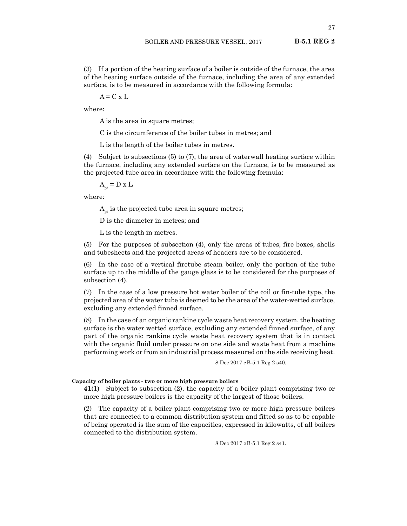<span id="page-26-0"></span>(3) If a portion of the heating surface of a boiler is outside of the furnace, the area of the heating surface outside of the furnace, including the area of any extended surface, is to be measured in accordance with the following formula:

 $A = C \times L$ 

where:

A is the area in square metres;

C is the circumference of the boiler tubes in metres; and

L is the length of the boiler tubes in metres.

(4) Subject to subsections (5) to (7), the area of waterwall heating surface within the furnace, including any extended surface on the furnace, is to be measured as the projected tube area in accordance with the following formula:

$$
A_{pt} = D \times L
$$

where:

 $A<sub>pt</sub>$  is the projected tube area in square metres;

D is the diameter in metres; and

L is the length in metres.

(5) For the purposes of subsection (4), only the areas of tubes, fire boxes, shells and tubesheets and the projected areas of headers are to be considered.

(6) In the case of a vertical firetube steam boiler, only the portion of the tube surface up to the middle of the gauge glass is to be considered for the purposes of subsection (4).

(7) In the case of a low pressure hot water boiler of the coil or fin-tube type, the projected area of the water tube is deemed to be the area of the water-wetted surface, excluding any extended finned surface.

(8) In the case of an organic rankine cycle waste heat recovery system, the heating surface is the water wetted surface, excluding any extended finned surface, of any part of the organic rankine cycle waste heat recovery system that is in contact with the organic fluid under pressure on one side and waste heat from a machine performing work or from an industrial process measured on the side receiving heat.

8 Dec 2017 cB-5.1 Reg 2 s40.

#### **Capacity of boiler plants - two or more high pressure boilers**

**41**(1) Subject to subsection (2), the capacity of a boiler plant comprising two or more high pressure boilers is the capacity of the largest of those boilers.

(2) The capacity of a boiler plant comprising two or more high pressure boilers that are connected to a common distribution system and fitted so as to be capable of being operated is the sum of the capacities, expressed in kilowatts, of all boilers connected to the distribution system.

8 Dec 2017 cB-5.1 Reg 2 s41.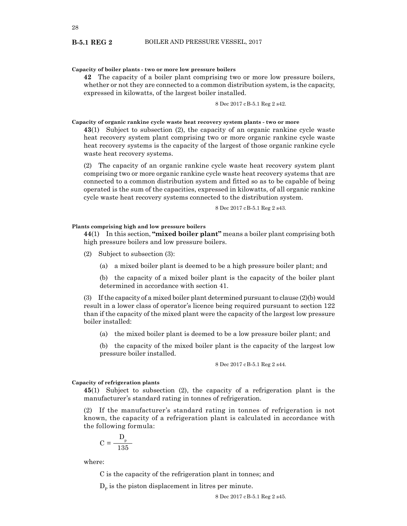## <span id="page-27-0"></span>**Capacity of boiler plants - two or more low pressure boilers**

**42** The capacity of a boiler plant comprising two or more low pressure boilers, whether or not they are connected to a common distribution system, is the capacity, expressed in kilowatts, of the largest boiler installed.

8 Dec 2017 cB-5.1 Reg 2 s42.

**Capacity of organic rankine cycle waste heat recovery system plants - two or more**

**43**(1) Subject to subsection (2), the capacity of an organic rankine cycle waste heat recovery system plant comprising two or more organic rankine cycle waste heat recovery systems is the capacity of the largest of those organic rankine cycle waste heat recovery systems.

(2) The capacity of an organic rankine cycle waste heat recovery system plant comprising two or more organic rankine cycle waste heat recovery systems that are connected to a common distribution system and fitted so as to be capable of being operated is the sum of the capacities, expressed in kilowatts, of all organic rankine cycle waste heat recovery systems connected to the distribution system.

8 Dec 2017 cB-5.1 Reg 2 s43.

## **Plants comprising high and low pressure boilers**

**44**(1) In this section, **"mixed boiler plant"** means a boiler plant comprising both high pressure boilers and low pressure boilers.

- (2) Subject to subsection (3):
	- (a) a mixed boiler plant is deemed to be a high pressure boiler plant; and

(b) the capacity of a mixed boiler plant is the capacity of the boiler plant determined in accordance with section 41.

(3) If the capacity of a mixed boiler plant determined pursuant to clause (2)(b) would result in a lower class of operator's licence being required pursuant to section 122 than if the capacity of the mixed plant were the capacity of the largest low pressure boiler installed:

(a) the mixed boiler plant is deemed to be a low pressure boiler plant; and

(b) the capacity of the mixed boiler plant is the capacity of the largest low pressure boiler installed.

8 Dec 2017 cB-5.1 Reg 2 s44.

## **Capacity of refrigeration plants**

**45**(1) Subject to subsection (2), the capacity of a refrigeration plant is the manufacturer's standard rating in tonnes of refrigeration.

(2) If the manufacturer's standard rating in tonnes of refrigeration is not known, the capacity of a refrigeration plant is calculated in accordance with the following formula:

$$
C = \frac{D_p}{135}
$$

where:

C is the capacity of the refrigeration plant in tonnes; and

 $D<sub>p</sub>$  is the piston displacement in litres per minute.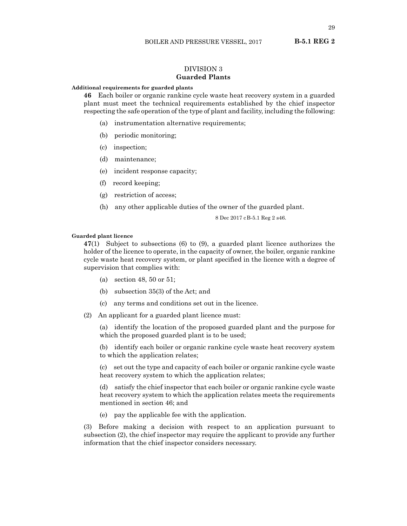# DIVISION 3 **Guarded Plants**

# <span id="page-28-0"></span>**Additional requirements for guarded plants**

**46** Each boiler or organic rankine cycle waste heat recovery system in a guarded plant must meet the technical requirements established by the chief inspector respecting the safe operation of the type of plant and facility, including the following:

- (a) instrumentation alternative requirements;
- (b) periodic monitoring;
- (c) inspection;
- (d) maintenance;
- (e) incident response capacity;
- (f) record keeping;
- (g) restriction of access;
- (h) any other applicable duties of the owner of the guarded plant.

8 Dec 2017 cB-5.1 Reg 2 s46.

#### **Guarded plant licence**

**47**(1) Subject to subsections (6) to (9), a guarded plant licence authorizes the holder of the licence to operate, in the capacity of owner, the boiler, organic rankine cycle waste heat recovery system, or plant specified in the licence with a degree of supervision that complies with:

- (a) section 48, 50 or 51;
- (b) subsection 35(3) of the Act; and
- (c) any terms and conditions set out in the licence.
- (2) An applicant for a guarded plant licence must:

(a) identify the location of the proposed guarded plant and the purpose for which the proposed guarded plant is to be used;

(b) identify each boiler or organic rankine cycle waste heat recovery system to which the application relates;

(c) set out the type and capacity of each boiler or organic rankine cycle waste heat recovery system to which the application relates;

(d) satisfy the chief inspector that each boiler or organic rankine cycle waste heat recovery system to which the application relates meets the requirements mentioned in section 46; and

(e) pay the applicable fee with the application.

(3) Before making a decision with respect to an application pursuant to subsection (2), the chief inspector may require the applicant to provide any further information that the chief inspector considers necessary.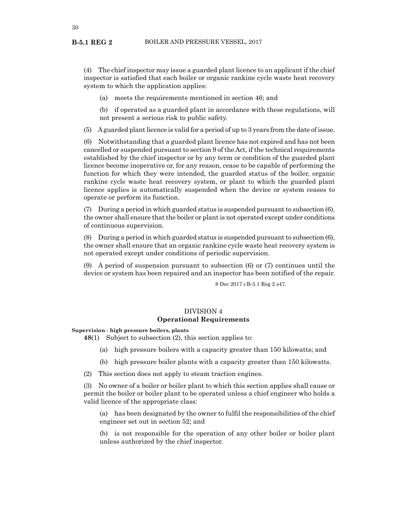<span id="page-29-0"></span>(4) The chief inspector may issue a guarded plant licence to an applicant if the chief inspector is satisfied that each boiler or organic rankine cycle waste heat recovery system to which the application applies:

(a) meets the requirements mentioned in section 46; and

(b) if operated as a guarded plant in accordance with these regulations, will not present a serious risk to public safety.

(5) A guarded plant licence is valid for a period of up to 3 years from the date of issue.

(6) Notwithstanding that a guarded plant licence has not expired and has not been cancelled or suspended pursuant to section 9 of the Act, if the technical requirements established by the chief inspector or by any term or condition of the guarded plant licence become inoperative or, for any reason, cease to be capable of performing the function for which they were intended, the guarded status of the boiler, organic rankine cycle waste heat recovery system, or plant to which the guarded plant licence applies is automatically suspended when the device or system ceases to operate or perform its function.

(7) During a period in which guarded status is suspended pursuant to subsection (6), the owner shall ensure that the boiler or plant is not operated except under conditions of continuous supervision.

(8) During a period in which guarded status is suspended pursuant to subsection (6), the owner shall ensure that an organic rankine cycle waste heat recovery system is not operated except under conditions of periodic supervision.

(9) A period of suspension pursuant to subsection (6) or (7) continues until the device or system has been repaired and an inspector has been notified of the repair.

8 Dec 2017 cB-5.1 Reg 2 s47.

# DIVISION 4 **Operational Requirements**

**Supervision - high pressure boilers, plants**

**48**(1) Subject to subsection (2), this section applies to:

- (a) high pressure boilers with a capacity greater than 150 kilowatts; and
- (b) high pressure boiler plants with a capacity greater than 150 kilowatts.

(2) This section does not apply to steam traction engines.

(3) No owner of a boiler or boiler plant to which this section applies shall cause or permit the boiler or boiler plant to be operated unless a chief engineer who holds a valid licence of the appropriate class:

(a) has been designated by the owner to fulfil the responsibilities of the chief engineer set out in section 52; and

(b) is not responsible for the operation of any other boiler or boiler plant unless authorized by the chief inspector.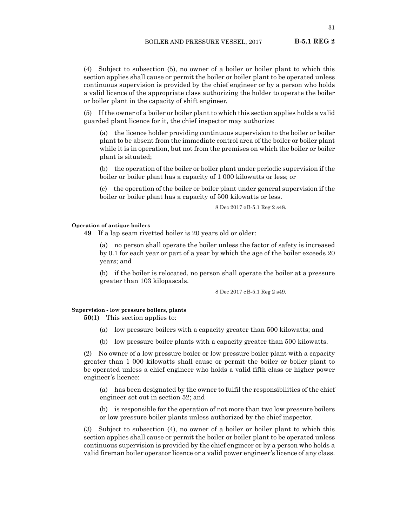<span id="page-30-0"></span>(4) Subject to subsection (5), no owner of a boiler or boiler plant to which this section applies shall cause or permit the boiler or boiler plant to be operated unless continuous supervision is provided by the chief engineer or by a person who holds a valid licence of the appropriate class authorizing the holder to operate the boiler or boiler plant in the capacity of shift engineer.

(5) If the owner of a boiler or boiler plant to which this section applies holds a valid guarded plant licence for it, the chief inspector may authorize:

(a) the licence holder providing continuous supervision to the boiler or boiler plant to be absent from the immediate control area of the boiler or boiler plant while it is in operation, but not from the premises on which the boiler or boiler plant is situated;

(b) the operation of the boiler or boiler plant under periodic supervision if the boiler or boiler plant has a capacity of 1 000 kilowatts or less; or

(c) the operation of the boiler or boiler plant under general supervision if the boiler or boiler plant has a capacity of 500 kilowatts or less.

8 Dec 2017 cB-5.1 Reg 2 s48.

#### **Operation of antique boilers**

**49** If a lap seam rivetted boiler is 20 years old or older:

(a) no person shall operate the boiler unless the factor of safety is increased by 0.1 for each year or part of a year by which the age of the boiler exceeds 20 years; and

(b) if the boiler is relocated, no person shall operate the boiler at a pressure greater than 103 kilopascals.

8 Dec 2017 cB-5.1 Reg 2 s49.

# **Supervision - low pressure boilers, plants**

**50**(1) This section applies to:

- (a) low pressure boilers with a capacity greater than 500 kilowatts; and
- (b) low pressure boiler plants with a capacity greater than 500 kilowatts.

(2) No owner of a low pressure boiler or low pressure boiler plant with a capacity greater than 1 000 kilowatts shall cause or permit the boiler or boiler plant to be operated unless a chief engineer who holds a valid fifth class or higher power engineer's licence:

(a) has been designated by the owner to fulfil the responsibilities of the chief engineer set out in section 52; and

(b) is responsible for the operation of not more than two low pressure boilers or low pressure boiler plants unless authorized by the chief inspector.

(3) Subject to subsection (4), no owner of a boiler or boiler plant to which this section applies shall cause or permit the boiler or boiler plant to be operated unless continuous supervision is provided by the chief engineer or by a person who holds a valid fireman boiler operator licence or a valid power engineer's licence of any class.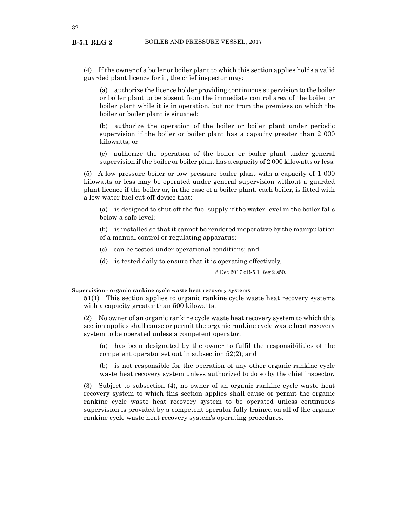<span id="page-31-0"></span>(4) If the owner of a boiler or boiler plant to which this section applies holds a valid guarded plant licence for it, the chief inspector may:

(a) authorize the licence holder providing continuous supervision to the boiler or boiler plant to be absent from the immediate control area of the boiler or boiler plant while it is in operation, but not from the premises on which the boiler or boiler plant is situated;

(b) authorize the operation of the boiler or boiler plant under periodic supervision if the boiler or boiler plant has a capacity greater than 2 000 kilowatts; or

(c) authorize the operation of the boiler or boiler plant under general supervision if the boiler or boiler plant has a capacity of 2 000 kilowatts or less.

(5) A low pressure boiler or low pressure boiler plant with a capacity of 1 000 kilowatts or less may be operated under general supervision without a guarded plant licence if the boiler or, in the case of a boiler plant, each boiler, is fitted with a low-water fuel cut-off device that:

(a) is designed to shut off the fuel supply if the water level in the boiler falls below a safe level;

(b) is installed so that it cannot be rendered inoperative by the manipulation of a manual control or regulating apparatus;

- (c) can be tested under operational conditions; and
- (d) is tested daily to ensure that it is operating effectively.

8 Dec 2017 cB-5.1 Reg 2 s50.

#### **Supervision - organic rankine cycle waste heat recovery systems**

**51**(1) This section applies to organic rankine cycle waste heat recovery systems with a capacity greater than 500 kilowatts.

(2) No owner of an organic rankine cycle waste heat recovery system to which this section applies shall cause or permit the organic rankine cycle waste heat recovery system to be operated unless a competent operator:

(a) has been designated by the owner to fulfil the responsibilities of the competent operator set out in subsection 52(2); and

(b) is not responsible for the operation of any other organic rankine cycle waste heat recovery system unless authorized to do so by the chief inspector.

(3) Subject to subsection (4), no owner of an organic rankine cycle waste heat recovery system to which this section applies shall cause or permit the organic rankine cycle waste heat recovery system to be operated unless continuous supervision is provided by a competent operator fully trained on all of the organic rankine cycle waste heat recovery system's operating procedures.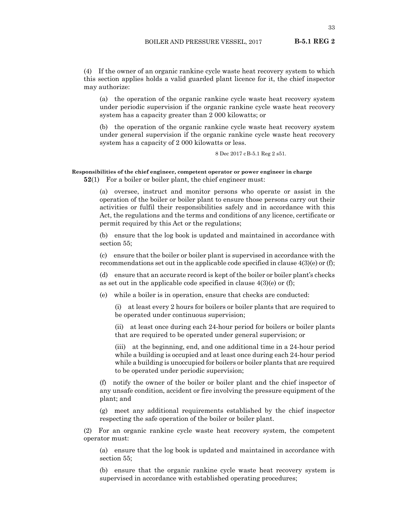<span id="page-32-0"></span>(4) If the owner of an organic rankine cycle waste heat recovery system to which this section applies holds a valid guarded plant licence for it, the chief inspector may authorize:

(a) the operation of the organic rankine cycle waste heat recovery system under periodic supervision if the organic rankine cycle waste heat recovery system has a capacity greater than 2 000 kilowatts; or

(b) the operation of the organic rankine cycle waste heat recovery system under general supervision if the organic rankine cycle waste heat recovery system has a capacity of 2 000 kilowatts or less.

8 Dec 2017 cB-5.1 Reg 2 s51.

# **Responsibilities of the chief engineer, competent operator or power engineer in charge**

**52(1)** For a boiler or boiler plant, the chief engineer must:

(a) oversee, instruct and monitor persons who operate or assist in the operation of the boiler or boiler plant to ensure those persons carry out their activities or fulfil their responsibilities safely and in accordance with this Act, the regulations and the terms and conditions of any licence, certificate or permit required by this Act or the regulations;

(b) ensure that the log book is updated and maintained in accordance with section 55;

(c) ensure that the boiler or boiler plant is supervised in accordance with the recommendations set out in the applicable code specified in clause  $4(3)(e)$  or (f);

(d) ensure that an accurate record is kept of the boiler or boiler plant's checks as set out in the applicable code specified in clause  $4(3)(e)$  or (f);

(e) while a boiler is in operation, ensure that checks are conducted:

(i) at least every 2 hours for boilers or boiler plants that are required to be operated under continuous supervision;

(ii) at least once during each 24-hour period for boilers or boiler plants that are required to be operated under general supervision; or

(iii) at the beginning, end, and one additional time in a 24-hour period while a building is occupied and at least once during each 24-hour period while a building is unoccupied for boilers or boiler plants that are required to be operated under periodic supervision;

(f) notify the owner of the boiler or boiler plant and the chief inspector of any unsafe condition, accident or fire involving the pressure equipment of the plant; and

(g) meet any additional requirements established by the chief inspector respecting the safe operation of the boiler or boiler plant.

(2) For an organic rankine cycle waste heat recovery system, the competent operator must:

(a) ensure that the log book is updated and maintained in accordance with section 55;

(b) ensure that the organic rankine cycle waste heat recovery system is supervised in accordance with established operating procedures;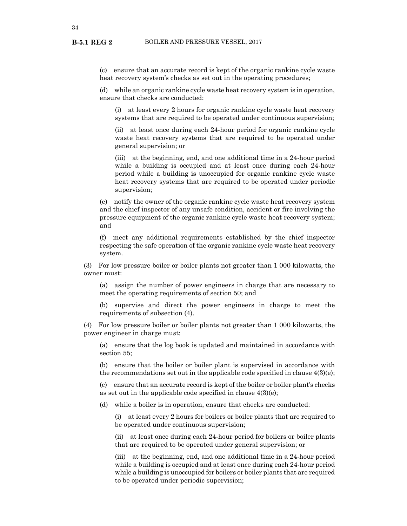(c) ensure that an accurate record is kept of the organic rankine cycle waste heat recovery system's checks as set out in the operating procedures;

(d) while an organic rankine cycle waste heat recovery system is in operation, ensure that checks are conducted:

(i) at least every 2 hours for organic rankine cycle waste heat recovery systems that are required to be operated under continuous supervision;

(ii) at least once during each 24-hour period for organic rankine cycle waste heat recovery systems that are required to be operated under general supervision; or

(iii) at the beginning, end, and one additional time in a 24-hour period while a building is occupied and at least once during each 24-hour period while a building is unoccupied for organic rankine cycle waste heat recovery systems that are required to be operated under periodic supervision;

(e) notify the owner of the organic rankine cycle waste heat recovery system and the chief inspector of any unsafe condition, accident or fire involving the pressure equipment of the organic rankine cycle waste heat recovery system; and

(f) meet any additional requirements established by the chief inspector respecting the safe operation of the organic rankine cycle waste heat recovery system.

(3) For low pressure boiler or boiler plants not greater than 1 000 kilowatts, the owner must:

(a) assign the number of power engineers in charge that are necessary to meet the operating requirements of section 50; and

(b) supervise and direct the power engineers in charge to meet the requirements of subsection (4).

(4) For low pressure boiler or boiler plants not greater than 1 000 kilowatts, the power engineer in charge must:

(a) ensure that the log book is updated and maintained in accordance with section 55;

(b) ensure that the boiler or boiler plant is supervised in accordance with the recommendations set out in the applicable code specified in clause 4(3)(e);

(c) ensure that an accurate record is kept of the boiler or boiler plant's checks as set out in the applicable code specified in clause 4(3)(e);

(d) while a boiler is in operation, ensure that checks are conducted:

(i) at least every 2 hours for boilers or boiler plants that are required to be operated under continuous supervision;

(ii) at least once during each 24-hour period for boilers or boiler plants that are required to be operated under general supervision; or

(iii) at the beginning, end, and one additional time in a 24-hour period while a building is occupied and at least once during each 24-hour period while a building is unoccupied for boilers or boiler plants that are required to be operated under periodic supervision;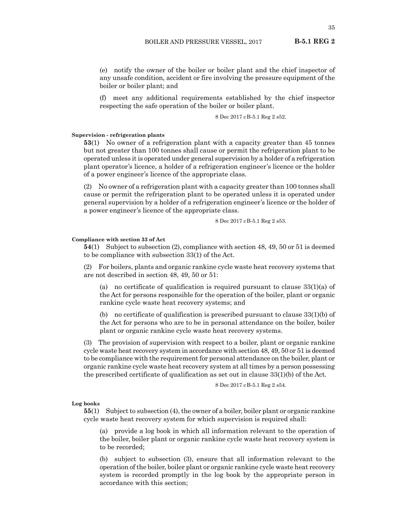<span id="page-34-0"></span>(e) notify the owner of the boiler or boiler plant and the chief inspector of any unsafe condition, accident or fire involving the pressure equipment of the boiler or boiler plant; and

(f) meet any additional requirements established by the chief inspector respecting the safe operation of the boiler or boiler plant.

8 Dec 2017 cB-5.1 Reg 2 s52.

# **Supervision - refrigeration plants**

**53**(1) No owner of a refrigeration plant with a capacity greater than 45 tonnes but not greater than 100 tonnes shall cause or permit the refrigeration plant to be operated unless it is operated under general supervision by a holder of a refrigeration plant operator's licence, a holder of a refrigeration engineer's licence or the holder of a power engineer's licence of the appropriate class.

(2) No owner of a refrigeration plant with a capacity greater than 100 tonnes shall cause or permit the refrigeration plant to be operated unless it is operated under general supervision by a holder of a refrigeration engineer's licence or the holder of a power engineer's licence of the appropriate class.

8 Dec 2017 cB-5.1 Reg 2 s53.

#### **Compliance with section 33 of Act**

**54**(1) Subject to subsection (2), compliance with section 48, 49, 50 or 51 is deemed to be compliance with subsection 33(1) of the Act.

(2) For boilers, plants and organic rankine cycle waste heat recovery systems that are not described in section 48, 49, 50 or 51:

(a) no certificate of qualification is required pursuant to clause  $33(1)(a)$  of the Act for persons responsible for the operation of the boiler, plant or organic rankine cycle waste heat recovery systems; and

(b) no certificate of qualification is prescribed pursuant to clause  $33(1)(b)$  of the Act for persons who are to be in personal attendance on the boiler, boiler plant or organic rankine cycle waste heat recovery systems.

(3) The provision of supervision with respect to a boiler, plant or organic rankine cycle waste heat recovery system in accordance with section 48, 49, 50 or 51 is deemed to be compliance with the requirement for personal attendance on the boiler, plant or organic rankine cycle waste heat recovery system at all times by a person possessing the prescribed certificate of qualification as set out in clause 33(1)(b) of the Act.

8 Dec 2017 cB-5.1 Reg 2 s54.

#### **Log books**

**55**(1) Subject to subsection (4), the owner of a boiler, boiler plant or organic rankine cycle waste heat recovery system for which supervision is required shall:

(a) provide a log book in which all information relevant to the operation of the boiler, boiler plant or organic rankine cycle waste heat recovery system is to be recorded;

(b) subject to subsection (3), ensure that all information relevant to the operation of the boiler, boiler plant or organic rankine cycle waste heat recovery system is recorded promptly in the log book by the appropriate person in accordance with this section;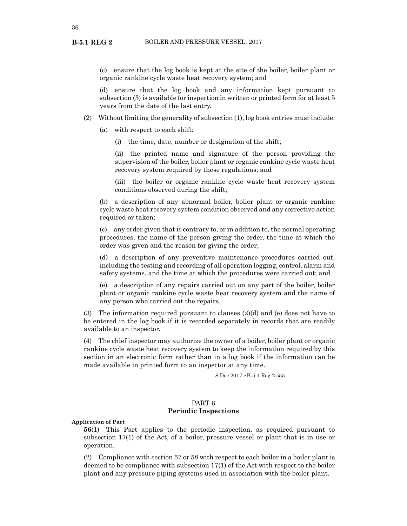<span id="page-35-0"></span>**B-5.1 REG 2**

(c) ensure that the log book is kept at the site of the boiler, boiler plant or organic rankine cycle waste heat recovery system; and

(d) ensure that the log book and any information kept pursuant to subsection (3) is available for inspection in written or printed form for at least 5 years from the date of the last entry.

- (2) Without limiting the generality of subsection (1), log book entries must include:
	- (a) with respect to each shift:
		- (i) the time, date, number or designation of the shift;

(ii) the printed name and signature of the person providing the supervision of the boiler, boiler plant or organic rankine cycle waste heat recovery system required by these regulations; and

(iii) the boiler or organic rankine cycle waste heat recovery system conditions observed during the shift;

(b) a description of any abnormal boiler, boiler plant or organic rankine cycle waste heat recovery system condition observed and any corrective action required or taken;

(c) any order given that is contrary to, or in addition to, the normal operating procedures, the name of the person giving the order, the time at which the order was given and the reason for giving the order;

(d) a description of any preventive maintenance procedures carried out, including the testing and recording of all operation logging, control, alarm and safety systems, and the time at which the procedures were carried out; and

(e) a description of any repairs carried out on any part of the boiler, boiler plant or organic rankine cycle waste heat recovery system and the name of any person who carried out the repairs.

(3) The information required pursuant to clauses (2)(d) and (e) does not have to be entered in the log book if it is recorded separately in records that are readily available to an inspector.

(4) The chief inspector may authorize the owner of a boiler, boiler plant or organic rankine cycle waste heat recovery system to keep the information required by this section in an electronic form rather than in a log book if the information can be made available in printed form to an inspector at any time.

8 Dec 2017 cB-5.1 Reg 2 s55.

# PART 6 **Periodic Inspections**

**Application of Part**

**56**(1) This Part applies to the periodic inspection, as required pursuant to subsection 17(1) of the Act, of a boiler, pressure vessel or plant that is in use or operation.

(2) Compliance with section 57 or 58 with respect to each boiler in a boiler plant is deemed to be compliance with subsection 17(1) of the Act with respect to the boiler plant and any pressure piping systems used in association with the boiler plant.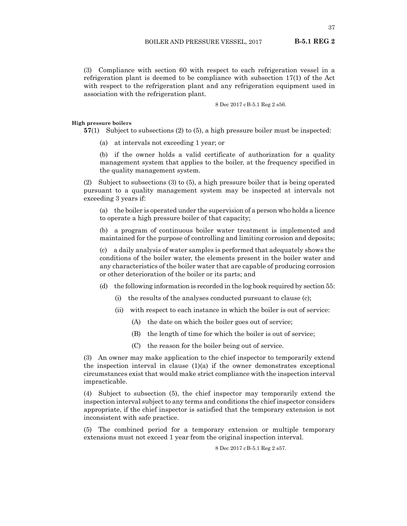(3) Compliance with section 60 with respect to each refrigeration vessel in a refrigeration plant is deemed to be compliance with subsection 17(1) of the Act with respect to the refrigeration plant and any refrigeration equipment used in association with the refrigeration plant.

8 Dec 2017 cB-5.1 Reg 2 s56.

### **High pressure boilers**

**57**(1) Subject to subsections (2) to (5), a high pressure boiler must be inspected:

(a) at intervals not exceeding 1 year; or

(b) if the owner holds a valid certificate of authorization for a quality management system that applies to the boiler, at the frequency specified in the quality management system.

(2) Subject to subsections (3) to (5), a high pressure boiler that is being operated pursuant to a quality management system may be inspected at intervals not exceeding 3 years if:

(a) the boiler is operated under the supervision of a person who holds a licence to operate a high pressure boiler of that capacity;

(b) a program of continuous boiler water treatment is implemented and maintained for the purpose of controlling and limiting corrosion and deposits;

(c) a daily analysis of water samples is performed that adequately shows the conditions of the boiler water, the elements present in the boiler water and any characteristics of the boiler water that are capable of producing corrosion or other deterioration of the boiler or its parts; and

- (d) the following information is recorded in the log book required by section 55:
	- (i) the results of the analyses conducted pursuant to clause (c);
	- (ii) with respect to each instance in which the boiler is out of service:
		- (A) the date on which the boiler goes out of service;
		- (B) the length of time for which the boiler is out of service;
		- (C) the reason for the boiler being out of service.

(3) An owner may make application to the chief inspector to temporarily extend the inspection interval in clause  $(1)(a)$  if the owner demonstrates exceptional circumstances exist that would make strict compliance with the inspection interval impracticable.

(4) Subject to subsection (5), the chief inspector may temporarily extend the inspection interval subject to any terms and conditions the chief inspector considers appropriate, if the chief inspector is satisfied that the temporary extension is not inconsistent with safe practice.

(5) The combined period for a temporary extension or multiple temporary extensions must not exceed 1 year from the original inspection interval.

8 Dec 2017 cB-5.1 Reg 2 s57.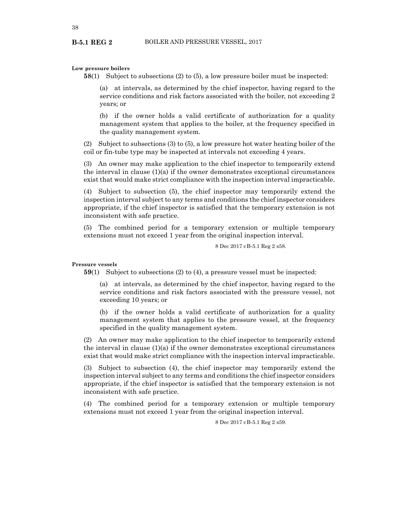# **Low pressure boilers**

**B-5.1 REG 2**

**58**(1) Subject to subsections (2) to (5), a low pressure boiler must be inspected:

(a) at intervals, as determined by the chief inspector, having regard to the service conditions and risk factors associated with the boiler, not exceeding 2 years; or

(b) if the owner holds a valid certificate of authorization for a quality management system that applies to the boiler, at the frequency specified in the quality management system.

(2) Subject to subsections (3) to (5), a low pressure hot water heating boiler of the coil or fin-tube type may be inspected at intervals not exceeding 4 years.

(3) An owner may make application to the chief inspector to temporarily extend the interval in clause  $(1)(a)$  if the owner demonstrates exceptional circumstances exist that would make strict compliance with the inspection interval impracticable.

(4) Subject to subsection (5), the chief inspector may temporarily extend the inspection interval subject to any terms and conditions the chief inspector considers appropriate, if the chief inspector is satisfied that the temporary extension is not inconsistent with safe practice.

(5) The combined period for a temporary extension or multiple temporary extensions must not exceed 1 year from the original inspection interval.

8 Dec 2017 cB-5.1 Reg 2 s58.

#### **Pressure vessels**

**59**(1) Subject to subsections (2) to (4), a pressure vessel must be inspected:

(a) at intervals, as determined by the chief inspector, having regard to the service conditions and risk factors associated with the pressure vessel, not exceeding 10 years; or

(b) if the owner holds a valid certificate of authorization for a quality management system that applies to the pressure vessel, at the frequency specified in the quality management system.

(2) An owner may make application to the chief inspector to temporarily extend the interval in clause  $(1)(a)$  if the owner demonstrates exceptional circumstances exist that would make strict compliance with the inspection interval impracticable.

(3) Subject to subsection (4), the chief inspector may temporarily extend the inspection interval subject to any terms and conditions the chief inspector considers appropriate, if the chief inspector is satisfied that the temporary extension is not inconsistent with safe practice.

(4) The combined period for a temporary extension or multiple temporary extensions must not exceed 1 year from the original inspection interval.

8 Dec 2017 cB-5.1 Reg 2 s59.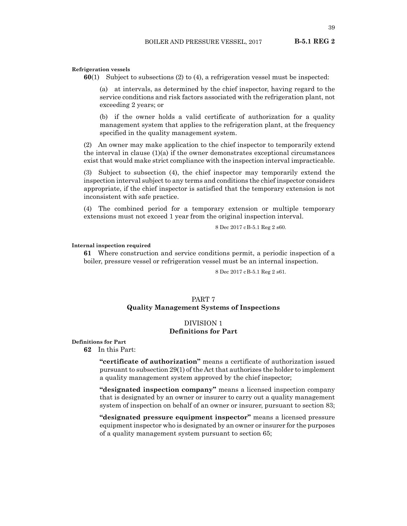39

#### **Refrigeration vessels**

**60**(1) Subject to subsections (2) to (4), a refrigeration vessel must be inspected:

(a) at intervals, as determined by the chief inspector, having regard to the service conditions and risk factors associated with the refrigeration plant, not exceeding 2 years; or

(b) if the owner holds a valid certificate of authorization for a quality management system that applies to the refrigeration plant, at the frequency specified in the quality management system.

(2) An owner may make application to the chief inspector to temporarily extend the interval in clause (1)(a) if the owner demonstrates exceptional circumstances exist that would make strict compliance with the inspection interval impracticable.

(3) Subject to subsection (4), the chief inspector may temporarily extend the inspection interval subject to any terms and conditions the chief inspector considers appropriate, if the chief inspector is satisfied that the temporary extension is not inconsistent with safe practice.

(4) The combined period for a temporary extension or multiple temporary extensions must not exceed 1 year from the original inspection interval.

8 Dec 2017 cB-5.1 Reg 2 s60.

### **Internal inspection required**

**61** Where construction and service conditions permit, a periodic inspection of a boiler, pressure vessel or refrigeration vessel must be an internal inspection.

8 Dec 2017 cB-5.1 Reg 2 s61.

### PART 7

# **Quality Management Systems of Inspections**

# DIVISION 1 **Definitions for Part**

**Definitions for Part**

**62** In this Part:

**"certificate of authorization"** means a certificate of authorization issued pursuant to subsection 29(1) of the Act that authorizes the holder to implement a quality management system approved by the chief inspector;

**"designated inspection company"** means a licensed inspection company that is designated by an owner or insurer to carry out a quality management system of inspection on behalf of an owner or insurer, pursuant to section 83;

**"designated pressure equipment inspector"** means a licensed pressure equipment inspector who is designated by an owner or insurer for the purposes of a quality management system pursuant to section 65;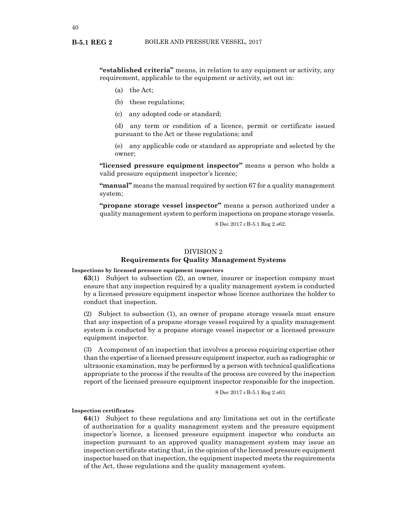**"established criteria"** means, in relation to any equipment or activity, any requirement, applicable to the equipment or activity, set out in:

- (a) the Act;
- (b) these regulations;
- (c) any adopted code or standard;

(d) any term or condition of a licence, permit or certificate issued pursuant to the Act or these regulations; and

(e) any applicable code or standard as appropriate and selected by the owner;

**"licensed pressure equipment inspector"** means a person who holds a valid pressure equipment inspector's licence;

**"manual"** means the manual required by section 67 for a quality management system;

**"propane storage vessel inspector"** means a person authorized under a quality management system to perform inspections on propane storage vessels.

8 Dec 2017 cB-5.1 Reg 2 s62.

# DIVISION 2

# **Requirements for Quality Management Systems**

### **Inspections by licensed pressure equipment inspectors**

**63**(1) Subject to subsection (2), an owner, insurer or inspection company must ensure that any inspection required by a quality management system is conducted by a licensed pressure equipment inspector whose licence authorizes the holder to conduct that inspection.

(2) Subject to subsection (1), an owner of propane storage vessels must ensure that any inspection of a propane storage vessel required by a quality management system is conducted by a propane storage vessel inspector or a licensed pressure equipment inspector.

(3) A component of an inspection that involves a process requiring expertise other than the expertise of a licensed pressure equipment inspector, such as radiographic or ultrasonic examination, may be performed by a person with technical qualifications appropriate to the process if the results of the process are covered by the inspection report of the licensed pressure equipment inspector responsible for the inspection.

8 Dec 2017 cB-5.1 Reg 2 s63.

#### **Inspection certificates**

**64**(1) Subject to these regulations and any limitations set out in the certificate of authorization for a quality management system and the pressure equipment inspector's licence, a licensed pressure equipment inspector who conducts an inspection pursuant to an approved quality management system may issue an inspection certificate stating that, in the opinion of the licensed pressure equipment inspector based on that inspection, the equipment inspected meets the requirements of the Act, these regulations and the quality management system.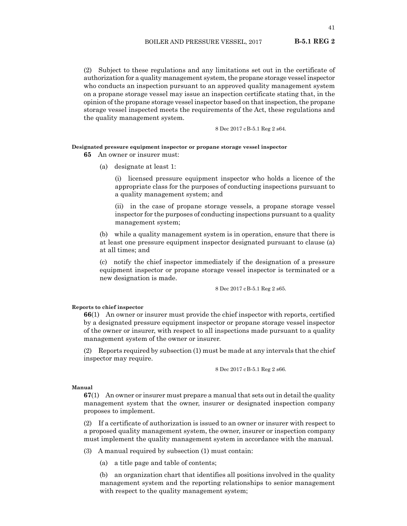(2) Subject to these regulations and any limitations set out in the certificate of authorization for a quality management system, the propane storage vessel inspector who conducts an inspection pursuant to an approved quality management system on a propane storage vessel may issue an inspection certificate stating that, in the opinion of the propane storage vessel inspector based on that inspection, the propane storage vessel inspected meets the requirements of the Act, these regulations and the quality management system.

8 Dec 2017 cB-5.1 Reg 2 s64.

#### **Designated pressure equipment inspector or propane storage vessel inspector**

**65** An owner or insurer must:

(a) designate at least 1:

(i) licensed pressure equipment inspector who holds a licence of the appropriate class for the purposes of conducting inspections pursuant to a quality management system; and

(ii) in the case of propane storage vessels, a propane storage vessel inspector for the purposes of conducting inspections pursuant to a quality management system;

(b) while a quality management system is in operation, ensure that there is at least one pressure equipment inspector designated pursuant to clause (a) at all times; and

(c) notify the chief inspector immediately if the designation of a pressure equipment inspector or propane storage vessel inspector is terminated or a new designation is made.

8 Dec 2017 cB-5.1 Reg 2 s65.

# **Reports to chief inspector**

**66**(1) An owner or insurer must provide the chief inspector with reports, certified by a designated pressure equipment inspector or propane storage vessel inspector of the owner or insurer, with respect to all inspections made pursuant to a quality management system of the owner or insurer.

(2) Reports required by subsection (1) must be made at any intervals that the chief inspector may require.

8 Dec 2017 cB-5.1 Reg 2 s66.

### **Manual**

**67**(1) An owner or insurer must prepare a manual that sets out in detail the quality management system that the owner, insurer or designated inspection company proposes to implement.

(2) If a certificate of authorization is issued to an owner or insurer with respect to a proposed quality management system, the owner, insurer or inspection company must implement the quality management system in accordance with the manual.

(3) A manual required by subsection (1) must contain:

(a) a title page and table of contents;

(b) an organization chart that identifies all positions involved in the quality management system and the reporting relationships to senior management with respect to the quality management system;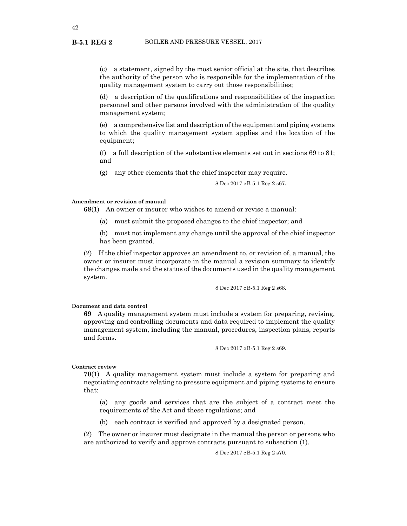(c) a statement, signed by the most senior official at the site, that describes the authority of the person who is responsible for the implementation of the quality management system to carry out those responsibilities;

(d) a description of the qualifications and responsibilities of the inspection personnel and other persons involved with the administration of the quality management system;

(e) a comprehensive list and description of the equipment and piping systems to which the quality management system applies and the location of the equipment;

(f) a full description of the substantive elements set out in sections 69 to 81; and

(g) any other elements that the chief inspector may require.

8 Dec 2017 cB-5.1 Reg 2 s67.

# **Amendment or revision of manual**

**68**(1) An owner or insurer who wishes to amend or revise a manual:

- (a) must submit the proposed changes to the chief inspector; and
- (b) must not implement any change until the approval of the chief inspector has been granted.

(2) If the chief inspector approves an amendment to, or revision of, a manual, the owner or insurer must incorporate in the manual a revision summary to identify the changes made and the status of the documents used in the quality management system.

8 Dec 2017 cB-5.1 Reg 2 s68.

# **Document and data control**

**69** A quality management system must include a system for preparing, revising, approving and controlling documents and data required to implement the quality management system, including the manual, procedures, inspection plans, reports and forms.

8 Dec 2017 cB-5.1 Reg 2 s69.

#### **Contract review**

**70**(1) A quality management system must include a system for preparing and negotiating contracts relating to pressure equipment and piping systems to ensure that:

(a) any goods and services that are the subject of a contract meet the requirements of the Act and these regulations; and

(b) each contract is verified and approved by a designated person.

(2) The owner or insurer must designate in the manual the person or persons who are authorized to verify and approve contracts pursuant to subsection (1).

8 Dec 2017 cB-5.1 Reg 2 s70.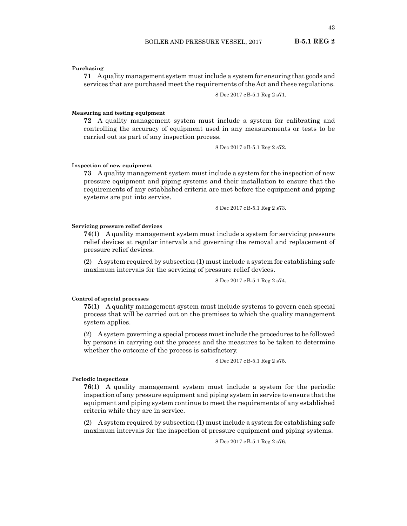# **Purchasing**

**71** A quality management system must include a system for ensuring that goods and services that are purchased meet the requirements of the Act and these regulations.

8 Dec 2017 cB-5.1 Reg 2 s71.

#### **Measuring and testing equipment**

**72** A quality management system must include a system for calibrating and controlling the accuracy of equipment used in any measurements or tests to be carried out as part of any inspection process.

8 Dec 2017 cB-5.1 Reg 2 s72.

#### **Inspection of new equipment**

**73** A quality management system must include a system for the inspection of new pressure equipment and piping systems and their installation to ensure that the requirements of any established criteria are met before the equipment and piping systems are put into service.

8 Dec 2017 cB-5.1 Reg 2 s73.

# **Servicing pressure relief devices**

**74**(1) A quality management system must include a system for servicing pressure relief devices at regular intervals and governing the removal and replacement of pressure relief devices.

(2) A system required by subsection (1) must include a system for establishing safe maximum intervals for the servicing of pressure relief devices.

8 Dec 2017 cB-5.1 Reg 2 s74.

### **Control of special processes**

**75**(1) A quality management system must include systems to govern each special process that will be carried out on the premises to which the quality management system applies.

(2) A system governing a special process must include the procedures to be followed by persons in carrying out the process and the measures to be taken to determine whether the outcome of the process is satisfactory.

8 Dec 2017 cB-5.1 Reg 2 s75.

# **Periodic inspections**

**76**(1) A quality management system must include a system for the periodic inspection of any pressure equipment and piping system in service to ensure that the equipment and piping system continue to meet the requirements of any established criteria while they are in service.

(2) A system required by subsection (1) must include a system for establishing safe maximum intervals for the inspection of pressure equipment and piping systems.

8 Dec 2017 cB-5.1 Reg 2 s76.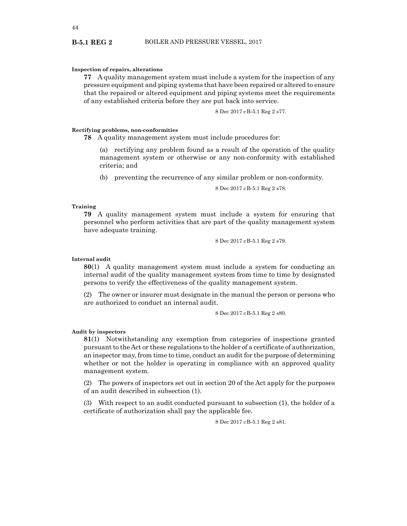#### **Inspection of repairs, alterations**

**77** A quality management system must include a system for the inspection of any pressure equipment and piping systems that have been repaired or altered to ensure that the repaired or altered equipment and piping systems meet the requirements of any established criteria before they are put back into service.

8 Dec 2017 cB-5.1 Reg 2 s77.

### **Rectifying problems, non-conformities**

**78** A quality management system must include procedures for:

(a) rectifying any problem found as a result of the operation of the quality management system or otherwise or any non-conformity with established criteria; and

(b) preventing the recurrence of any similar problem or non-conformity.

8 Dec 2017 cB-5.1 Reg 2 s78.

#### **Training**

**79** A quality management system must include a system for ensuring that personnel who perform activities that are part of the quality management system have adequate training.

8 Dec 2017 cB-5.1 Reg 2 s79.

### **Internal audit**

**80**(1) A quality management system must include a system for conducting an internal audit of the quality management system from time to time by designated persons to verify the effectiveness of the quality management system.

(2) The owner or insurer must designate in the manual the person or persons who are authorized to conduct an internal audit.

8 Dec 2017 cB-5.1 Reg 2 s80.

### **Audit by inspectors**

**81**(1) Notwithstanding any exemption from categories of inspections granted pursuant to the Act or these regulations to the holder of a certificate of authorization, an inspector may, from time to time, conduct an audit for the purpose of determining whether or not the holder is operating in compliance with an approved quality management system.

(2) The powers of inspectors set out in section 20 of the Act apply for the purposes of an audit described in subsection (1).

(3) With respect to an audit conducted pursuant to subsection (1), the holder of a certificate of authorization shall pay the applicable fee.

8 Dec 2017 cB-5.1 Reg 2 s81.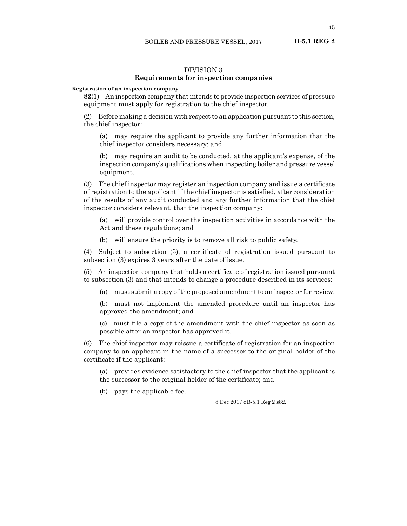# DIVISION 3

# **Requirements for inspection companies**

#### **Registration of an inspection company**

**82**(1) An inspection company that intends to provide inspection services of pressure equipment must apply for registration to the chief inspector.

(2) Before making a decision with respect to an application pursuant to this section, the chief inspector:

(a) may require the applicant to provide any further information that the chief inspector considers necessary; and

(b) may require an audit to be conducted, at the applicant's expense, of the inspection company's qualifications when inspecting boiler and pressure vessel equipment.

(3) The chief inspector may register an inspection company and issue a certificate of registration to the applicant if the chief inspector is satisfied, after consideration of the results of any audit conducted and any further information that the chief inspector considers relevant, that the inspection company:

(a) will provide control over the inspection activities in accordance with the Act and these regulations; and

(b) will ensure the priority is to remove all risk to public safety.

(4) Subject to subsection (5), a certificate of registration issued pursuant to subsection (3) expires 3 years after the date of issue.

(5) An inspection company that holds a certificate of registration issued pursuant to subsection (3) and that intends to change a procedure described in its services:

(a) must submit a copy of the proposed amendment to an inspector for review;

(b) must not implement the amended procedure until an inspector has approved the amendment; and

(c) must file a copy of the amendment with the chief inspector as soon as possible after an inspector has approved it.

(6) The chief inspector may reissue a certificate of registration for an inspection company to an applicant in the name of a successor to the original holder of the certificate if the applicant:

(a) provides evidence satisfactory to the chief inspector that the applicant is the successor to the original holder of the certificate; and

(b) pays the applicable fee.

8 Dec 2017 cB-5.1 Reg 2 s82.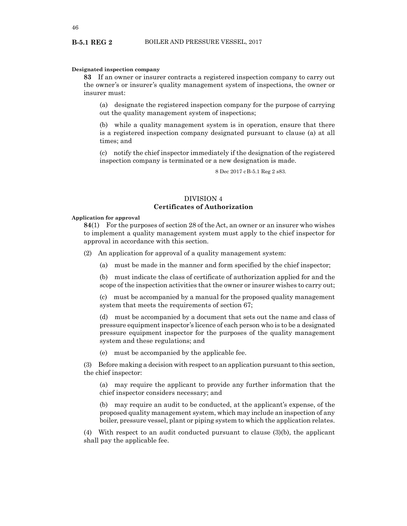#### **Designated inspection company**

**83** If an owner or insurer contracts a registered inspection company to carry out the owner's or insurer's quality management system of inspections, the owner or insurer must:

(a) designate the registered inspection company for the purpose of carrying out the quality management system of inspections;

(b) while a quality management system is in operation, ensure that there is a registered inspection company designated pursuant to clause (a) at all times; and

(c) notify the chief inspector immediately if the designation of the registered inspection company is terminated or a new designation is made.

8 Dec 2017 cB-5.1 Reg 2 s83.

# DIVISION 4 **Certificates of Authorization**

### **Application for approval**

**84**(1) For the purposes of section 28 of the Act, an owner or an insurer who wishes to implement a quality management system must apply to the chief inspector for approval in accordance with this section.

(2) An application for approval of a quality management system:

(a) must be made in the manner and form specified by the chief inspector;

(b) must indicate the class of certificate of authorization applied for and the scope of the inspection activities that the owner or insurer wishes to carry out;

(c) must be accompanied by a manual for the proposed quality management system that meets the requirements of section 67;

(d) must be accompanied by a document that sets out the name and class of pressure equipment inspector's licence of each person who is to be a designated pressure equipment inspector for the purposes of the quality management system and these regulations; and

(e) must be accompanied by the applicable fee.

(3) Before making a decision with respect to an application pursuant to this section, the chief inspector:

(a) may require the applicant to provide any further information that the chief inspector considers necessary; and

(b) may require an audit to be conducted, at the applicant's expense, of the proposed quality management system, which may include an inspection of any boiler, pressure vessel, plant or piping system to which the application relates.

(4) With respect to an audit conducted pursuant to clause (3)(b), the applicant shall pay the applicable fee.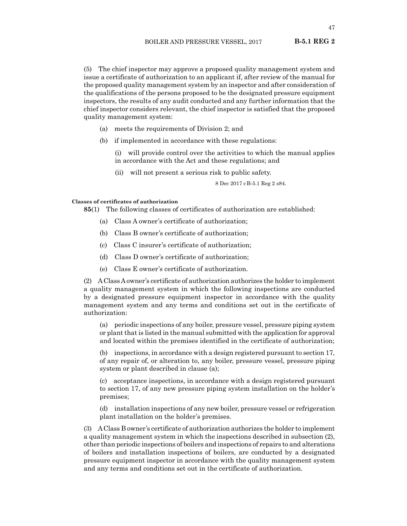(5) The chief inspector may approve a proposed quality management system and issue a certificate of authorization to an applicant if, after review of the manual for the proposed quality management system by an inspector and after consideration of the qualifications of the persons proposed to be the designated pressure equipment inspectors, the results of any audit conducted and any further information that the chief inspector considers relevant, the chief inspector is satisfied that the proposed quality management system:

- (a) meets the requirements of Division 2; and
- (b) if implemented in accordance with these regulations:

(i) will provide control over the activities to which the manual applies in accordance with the Act and these regulations; and

(ii) will not present a serious risk to public safety.

8 Dec 2017 cB-5.1 Reg 2 s84.

# **Classes of certificates of authorization**

**85**(1) The following classes of certificates of authorization are established:

- (a) Class A owner's certificate of authorization;
- (b) Class B owner's certificate of authorization;
- (c) Class C insurer's certificate of authorization;
- (d) Class D owner's certificate of authorization;
- (e) Class E owner's certificate of authorization.

(2) A Class A owner's certificate of authorization authorizes the holder to implement a quality management system in which the following inspections are conducted by a designated pressure equipment inspector in accordance with the quality management system and any terms and conditions set out in the certificate of authorization:

(a) periodic inspections of any boiler, pressure vessel, pressure piping system or plant that is listed in the manual submitted with the application for approval and located within the premises identified in the certificate of authorization;

(b) inspections, in accordance with a design registered pursuant to section 17, of any repair of, or alteration to, any boiler, pressure vessel, pressure piping system or plant described in clause (a);

(c) acceptance inspections, in accordance with a design registered pursuant to section 17, of any new pressure piping system installation on the holder's premises;

(d) installation inspections of any new boiler, pressure vessel or refrigeration plant installation on the holder's premises.

(3) A Class B owner's certificate of authorization authorizes the holder to implement a quality management system in which the inspections described in subsection (2), other than periodic inspections of boilers and inspections of repairs to and alterations of boilers and installation inspections of boilers, are conducted by a designated pressure equipment inspector in accordance with the quality management system and any terms and conditions set out in the certificate of authorization.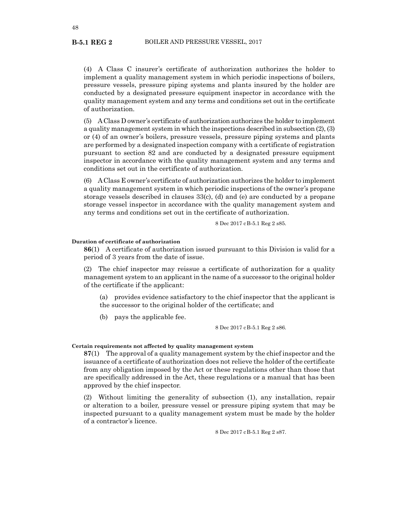(4) A Class C insurer's certificate of authorization authorizes the holder to implement a quality management system in which periodic inspections of boilers, pressure vessels, pressure piping systems and plants insured by the holder are conducted by a designated pressure equipment inspector in accordance with the quality management system and any terms and conditions set out in the certificate of authorization.

(5) A Class D owner's certificate of authorization authorizes the holder to implement a quality management system in which the inspections described in subsection (2), (3) or (4) of an owner's boilers, pressure vessels, pressure piping systems and plants are performed by a designated inspection company with a certificate of registration pursuant to section 82 and are conducted by a designated pressure equipment inspector in accordance with the quality management system and any terms and conditions set out in the certificate of authorization.

(6) A Class E owner's certificate of authorization authorizes the holder to implement a quality management system in which periodic inspections of the owner's propane storage vessels described in clauses 33(c), (d) and (e) are conducted by a propane storage vessel inspector in accordance with the quality management system and any terms and conditions set out in the certificate of authorization.

8 Dec 2017 cB-5.1 Reg 2 s85.

#### **Duration of certificate of authorization**

**86**(1) A certificate of authorization issued pursuant to this Division is valid for a period of 3 years from the date of issue.

(2) The chief inspector may reissue a certificate of authorization for a quality management system to an applicant in the name of a successor to the original holder of the certificate if the applicant:

(a) provides evidence satisfactory to the chief inspector that the applicant is the successor to the original holder of the certificate; and

(b) pays the applicable fee.

8 Dec 2017 cB-5.1 Reg 2 s86.

# **Certain requirements not affected by quality management system**

**87**(1) The approval of a quality management system by the chief inspector and the issuance of a certificate of authorization does not relieve the holder of the certificate from any obligation imposed by the Act or these regulations other than those that are specifically addressed in the Act, these regulations or a manual that has been approved by the chief inspector.

(2) Without limiting the generality of subsection (1), any installation, repair or alteration to a boiler, pressure vessel or pressure piping system that may be inspected pursuant to a quality management system must be made by the holder of a contractor's licence.

8 Dec 2017 cB-5.1 Reg 2 s87.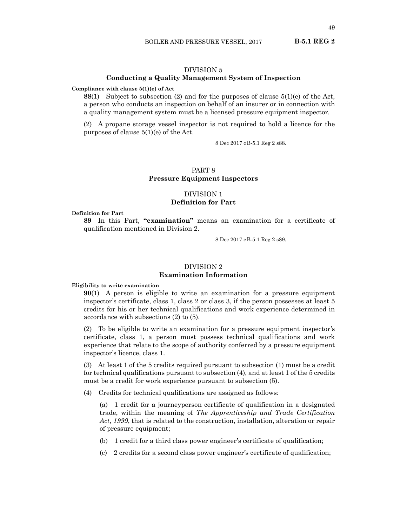### DIVISION 5

# **Conducting a Quality Management System of Inspection**

#### **Compliance with clause 5(1)(e) of Act**

**88**(1) Subject to subsection (2) and for the purposes of clause 5(1)(e) of the Act, a person who conducts an inspection on behalf of an insurer or in connection with a quality management system must be a licensed pressure equipment inspector.

(2) A propane storage vessel inspector is not required to hold a licence for the purposes of clause 5(1)(e) of the Act.

8 Dec 2017 cB-5.1 Reg 2 s88.

# PART 8 **Pressure Equipment Inspectors**

# DIVISION 1 **Definition for Part**

### **Definition for Part**

**89** In this Part, **"examination"** means an examination for a certificate of qualification mentioned in Division 2.

8 Dec 2017 cB-5.1 Reg 2 s89.

# DIVISION 2

# **Examination Information**

#### **Eligibility to write examination**

**90**(1) A person is eligible to write an examination for a pressure equipment inspector's certificate, class 1, class 2 or class 3, if the person possesses at least 5 credits for his or her technical qualifications and work experience determined in accordance with subsections (2) to (5).

(2) To be eligible to write an examination for a pressure equipment inspector's certificate, class 1, a person must possess technical qualifications and work experience that relate to the scope of authority conferred by a pressure equipment inspector's licence, class 1.

(3) At least 1 of the 5 credits required pursuant to subsection (1) must be a credit for technical qualifications pursuant to subsection (4), and at least 1 of the 5 credits must be a credit for work experience pursuant to subsection (5).

(4) Credits for technical qualifications are assigned as follows:

(a) 1 credit for a journeyperson certificate of qualification in a designated trade, within the meaning of *The Apprenticeship and Trade Certification Act, 1999*, that is related to the construction, installation, alteration or repair of pressure equipment;

- (b) 1 credit for a third class power engineer's certificate of qualification;
- (c) 2 credits for a second class power engineer's certificate of qualification;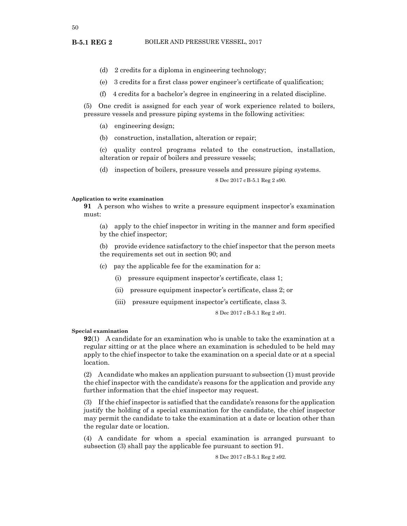50

**B-5.1 REG 2**

- (d) 2 credits for a diploma in engineering technology;
- (e) 3 credits for a first class power engineer's certificate of qualification;
- (f) 4 credits for a bachelor's degree in engineering in a related discipline.

(5) One credit is assigned for each year of work experience related to boilers, pressure vessels and pressure piping systems in the following activities:

- (a) engineering design;
- (b) construction, installation, alteration or repair;

(c) quality control programs related to the construction, installation, alteration or repair of boilers and pressure vessels;

(d) inspection of boilers, pressure vessels and pressure piping systems.

8 Dec 2017 cB-5.1 Reg 2 s90.

#### **Application to write examination**

**91** A person who wishes to write a pressure equipment inspector's examination must:

(a) apply to the chief inspector in writing in the manner and form specified by the chief inspector;

(b) provide evidence satisfactory to the chief inspector that the person meets the requirements set out in section 90; and

(c) pay the applicable fee for the examination for a:

- (i) pressure equipment inspector's certificate, class 1;
- (ii) pressure equipment inspector's certificate, class 2; or
- (iii) pressure equipment inspector's certificate, class 3.

8 Dec 2017 cB-5.1 Reg 2 s91.

# **Special examination**

**92**(1) A candidate for an examination who is unable to take the examination at a regular sitting or at the place where an examination is scheduled to be held may apply to the chief inspector to take the examination on a special date or at a special location.

(2) A candidate who makes an application pursuant to subsection (1) must provide the chief inspector with the candidate's reasons for the application and provide any further information that the chief inspector may request.

(3) If the chief inspector is satisfied that the candidate's reasons for the application justify the holding of a special examination for the candidate, the chief inspector may permit the candidate to take the examination at a date or location other than the regular date or location.

(4) A candidate for whom a special examination is arranged pursuant to subsection (3) shall pay the applicable fee pursuant to section 91.

8 Dec 2017 cB-5.1 Reg 2 s92.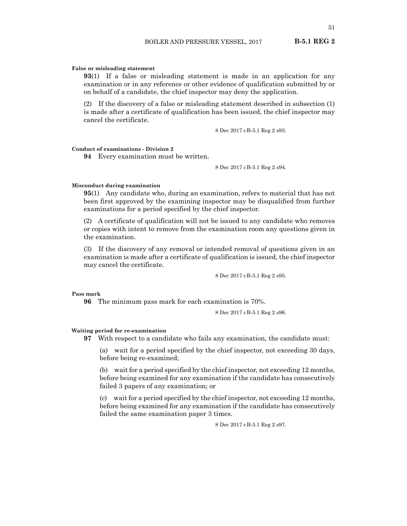### **False or misleading statement**

**93**(1) If a false or misleading statement is made in an application for any examination or in any reference or other evidence of qualification submitted by or on behalf of a candidate, the chief inspector may deny the application.

(2) If the discovery of a false or misleading statement described in subsection (1) is made after a certificate of qualification has been issued, the chief inspector may cancel the certificate.

8 Dec 2017 cB-5.1 Reg 2 s93.

# **Conduct of examinations - Division 2**

**94** Every examination must be written.

8 Dec 2017 cB-5.1 Reg 2 s94.

# **Misconduct during examination**

**95**(1) Any candidate who, during an examination, refers to material that has not been first approved by the examining inspector may be disqualified from further examinations for a period specified by the chief inspector.

(2) A certificate of qualification will not be issued to any candidate who removes or copies with intent to remove from the examination room any questions given in the examination.

(3) If the discovery of any removal or intended removal of questions given in an examination is made after a certificate of qualification is issued, the chief inspector may cancel the certificate.

8 Dec 2017 cB-5.1 Reg 2 s95.

#### **Pass mark**

**96** The minimum pass mark for each examination is 70%.

8 Dec 2017 cB-5.1 Reg 2 s96.

#### **Waiting period for re-examination**

**97** With respect to a candidate who fails any examination, the candidate must:

(a) wait for a period specified by the chief inspector, not exceeding 30 days, before being re-examined;

(b) wait for a period specified by the chief inspector, not exceeding 12 months, before being examined for any examination if the candidate has consecutively failed 3 papers of any examination; or

(c) wait for a period specified by the chief inspector, not exceeding 12 months, before being examined for any examination if the candidate has consecutively failed the same examination paper 3 times.

8 Dec 2017 cB-5.1 Reg 2 s97.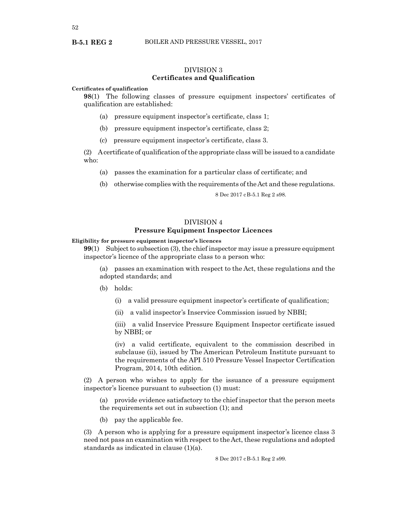52

**B-5.1 REG 2**

# DIVISION 3 **Certificates and Qualification**

#### **Certificates of qualification**

**98**(1) The following classes of pressure equipment inspectors' certificates of qualification are established:

- (a) pressure equipment inspector's certificate, class 1;
- (b) pressure equipment inspector's certificate, class 2;
- (c) pressure equipment inspector's certificate, class 3.

(2) A certificate of qualification of the appropriate class will be issued to a candidate who:

- (a) passes the examination for a particular class of certificate; and
- (b) otherwise complies with the requirements of the Act and these regulations.

8 Dec 2017 cB-5.1 Reg 2 s98.

# DIVISION 4 **Pressure Equipment Inspector Licences**

### **Eligibility for pressure equipment inspector's licences**

**99**(1) Subject to subsection (3), the chief inspector may issue a pressure equipment inspector's licence of the appropriate class to a person who:

(a) passes an examination with respect to the Act, these regulations and the adopted standards; and

- (b) holds:
	- (i) a valid pressure equipment inspector's certificate of qualification;
	- (ii) a valid inspector's Inservice Commission issued by NBBI;

(iii) a valid Inservice Pressure Equipment Inspector certificate issued by NBBI; or

(iv) a valid certificate, equivalent to the commission described in subclause (ii), issued by The American Petroleum Institute pursuant to the requirements of the API 510 Pressure Vessel Inspector Certification Program, 2014, 10th edition.

(2) A person who wishes to apply for the issuance of a pressure equipment inspector's licence pursuant to subsection (1) must:

(a) provide evidence satisfactory to the chief inspector that the person meets the requirements set out in subsection (1); and

(b) pay the applicable fee.

(3) A person who is applying for a pressure equipment inspector's licence class 3 need not pass an examination with respect to the Act, these regulations and adopted standards as indicated in clause (1)(a).

8 Dec 2017 cB-5.1 Reg 2 s99.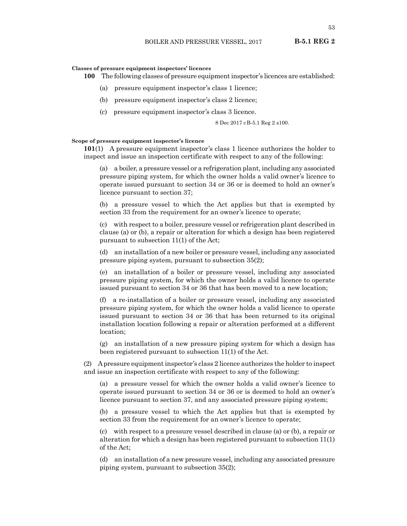#### **Classes of pressure equipment inspectors' licences**

**100** The following classes of pressure equipment inspector's licences are established:

- (a) pressure equipment inspector's class 1 licence;
- (b) pressure equipment inspector's class 2 licence;
- (c) pressure equipment inspector's class 3 licence.

8 Dec 2017 cB-5.1 Reg 2 s100.

#### **Scope of pressure equipment inspector's licence**

**101**(1) A pressure equipment inspector's class 1 licence authorizes the holder to inspect and issue an inspection certificate with respect to any of the following:

(a) a boiler, a pressure vessel or a refrigeration plant, including any associated pressure piping system, for which the owner holds a valid owner's licence to operate issued pursuant to section 34 or 36 or is deemed to hold an owner's licence pursuant to section 37;

(b) a pressure vessel to which the Act applies but that is exempted by section 33 from the requirement for an owner's licence to operate;

(c) with respect to a boiler, pressure vessel or refrigeration plant described in clause (a) or (b), a repair or alteration for which a design has been registered pursuant to subsection 11(1) of the Act;

(d) an installation of a new boiler or pressure vessel, including any associated pressure piping system, pursuant to subsection 35(2);

(e) an installation of a boiler or pressure vessel, including any associated pressure piping system, for which the owner holds a valid licence to operate issued pursuant to section 34 or 36 that has been moved to a new location;

(f) a re-installation of a boiler or pressure vessel, including any associated pressure piping system, for which the owner holds a valid licence to operate issued pursuant to section 34 or 36 that has been returned to its original installation location following a repair or alteration performed at a different location;

(g) an installation of a new pressure piping system for which a design has been registered pursuant to subsection 11(1) of the Act.

(2) A pressure equipment inspector's class 2 licence authorizes the holder to inspect and issue an inspection certificate with respect to any of the following:

(a) a pressure vessel for which the owner holds a valid owner's licence to operate issued pursuant to section 34 or 36 or is deemed to hold an owner's licence pursuant to section 37, and any associated pressure piping system;

(b) a pressure vessel to which the Act applies but that is exempted by section 33 from the requirement for an owner's licence to operate;

(c) with respect to a pressure vessel described in clause (a) or (b), a repair or alteration for which a design has been registered pursuant to subsection 11(1) of the Act;

(d) an installation of a new pressure vessel, including any associated pressure piping system, pursuant to subsection 35(2);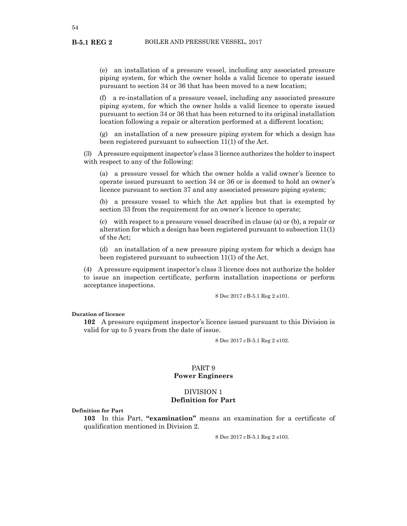(e) an installation of a pressure vessel, including any associated pressure piping system, for which the owner holds a valid licence to operate issued pursuant to section 34 or 36 that has been moved to a new location;

(f) a re-installation of a pressure vessel, including any associated pressure piping system, for which the owner holds a valid licence to operate issued pursuant to section 34 or 36 that has been returned to its original installation location following a repair or alteration performed at a different location;

(g) an installation of a new pressure piping system for which a design has been registered pursuant to subsection 11(1) of the Act.

(3) A pressure equipment inspector's class 3 licence authorizes the holder to inspect with respect to any of the following:

(a) a pressure vessel for which the owner holds a valid owner's licence to operate issued pursuant to section 34 or 36 or is deemed to hold an owner's licence pursuant to section 37 and any associated pressure piping system;

(b) a pressure vessel to which the Act applies but that is exempted by section 33 from the requirement for an owner's licence to operate;

(c) with respect to a pressure vessel described in clause (a) or (b), a repair or alteration for which a design has been registered pursuant to subsection 11(1) of the Act;

(d) an installation of a new pressure piping system for which a design has been registered pursuant to subsection 11(1) of the Act.

(4) A pressure equipment inspector's class 3 licence does not authorize the holder to issue an inspection certificate, perform installation inspections or perform acceptance inspections.

8 Dec 2017 cB-5.1 Reg 2 s101.

**Duration of licence**

**102** A pressure equipment inspector's licence issued pursuant to this Division is valid for up to 5 years from the date of issue.

8 Dec 2017 cB-5.1 Reg 2 s102.

# PART 9 **Power Engineers**

# DIVISION 1 **Definition for Part**

**Definition for Part**

**103** In this Part, **"examination"** means an examination for a certificate of qualification mentioned in Division 2.

8 Dec 2017 cB-5.1 Reg 2 s103.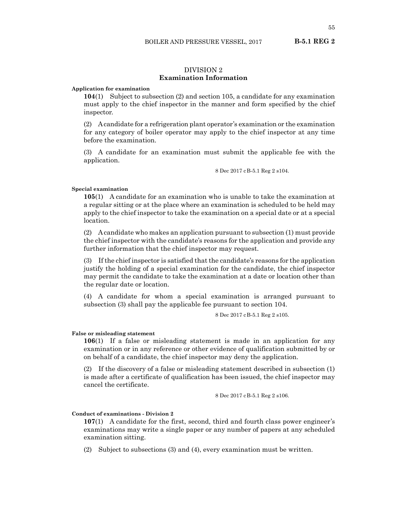# DIVISION 2 **Examination Information**

### **Application for examination**

**104**(1) Subject to subsection (2) and section 105, a candidate for any examination must apply to the chief inspector in the manner and form specified by the chief inspector.

(2) A candidate for a refrigeration plant operator's examination or the examination for any category of boiler operator may apply to the chief inspector at any time before the examination.

(3) A candidate for an examination must submit the applicable fee with the application.

8 Dec 2017 cB-5.1 Reg 2 s104.

# **Special examination**

**105**(1) A candidate for an examination who is unable to take the examination at a regular sitting or at the place where an examination is scheduled to be held may apply to the chief inspector to take the examination on a special date or at a special location.

(2) A candidate who makes an application pursuant to subsection (1) must provide the chief inspector with the candidate's reasons for the application and provide any further information that the chief inspector may request.

(3) If the chief inspector is satisfied that the candidate's reasons for the application justify the holding of a special examination for the candidate, the chief inspector may permit the candidate to take the examination at a date or location other than the regular date or location.

(4) A candidate for whom a special examination is arranged pursuant to subsection (3) shall pay the applicable fee pursuant to section 104.

8 Dec 2017 cB-5.1 Reg 2 s105.

#### **False or misleading statement**

**106**(1) If a false or misleading statement is made in an application for any examination or in any reference or other evidence of qualification submitted by or on behalf of a candidate, the chief inspector may deny the application.

(2) If the discovery of a false or misleading statement described in subsection (1) is made after a certificate of qualification has been issued, the chief inspector may cancel the certificate.

8 Dec 2017 cB-5.1 Reg 2 s106.

# **Conduct of examinations - Division 2**

**107**(1) A candidate for the first, second, third and fourth class power engineer's examinations may write a single paper or any number of papers at any scheduled examination sitting.

(2) Subject to subsections (3) and (4), every examination must be written.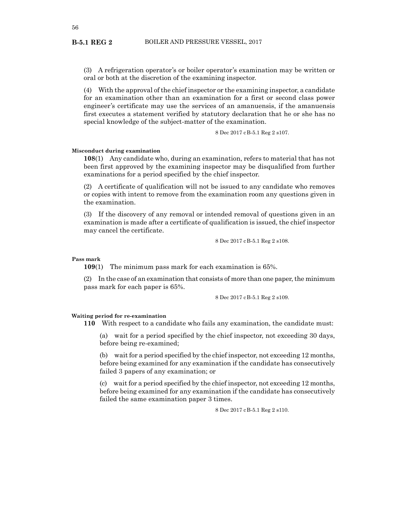(3) A refrigeration operator's or boiler operator's examination may be written or oral or both at the discretion of the examining inspector.

(4) With the approval of the chief inspector or the examining inspector, a candidate for an examination other than an examination for a first or second class power engineer's certificate may use the services of an amanuensis, if the amanuensis first executes a statement verified by statutory declaration that he or she has no special knowledge of the subject-matter of the examination.

8 Dec 2017 cB-5.1 Reg 2 s107.

### **Misconduct during examination**

**108**(1) Any candidate who, during an examination, refers to material that has not been first approved by the examining inspector may be disqualified from further examinations for a period specified by the chief inspector.

(2) A certificate of qualification will not be issued to any candidate who removes or copies with intent to remove from the examination room any questions given in the examination.

(3) If the discovery of any removal or intended removal of questions given in an examination is made after a certificate of qualification is issued, the chief inspector may cancel the certificate.

8 Dec 2017 cB-5.1 Reg 2 s108.

**Pass mark**

**109**(1) The minimum pass mark for each examination is 65%.

(2) In the case of an examination that consists of more than one paper, the minimum pass mark for each paper is 65%.

8 Dec 2017 cB-5.1 Reg 2 s109.

#### **Waiting period for re-examination**

**110** With respect to a candidate who fails any examination, the candidate must:

(a) wait for a period specified by the chief inspector, not exceeding 30 days, before being re-examined;

(b) wait for a period specified by the chief inspector, not exceeding 12 months, before being examined for any examination if the candidate has consecutively failed 3 papers of any examination; or

(c) wait for a period specified by the chief inspector, not exceeding 12 months, before being examined for any examination if the candidate has consecutively failed the same examination paper 3 times.

8 Dec 2017 cB-5.1 Reg 2 s110.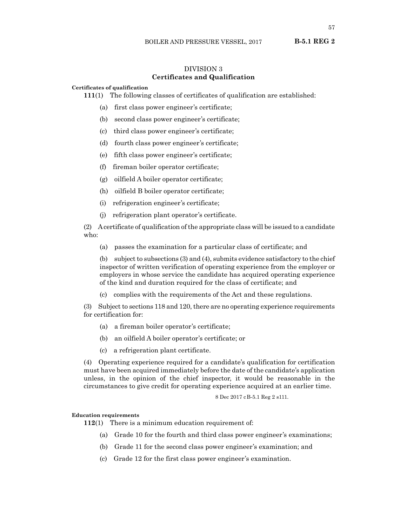# DIVISION 3 **Certificates and Qualification**

# **Certificates of qualification**

**111**(1) The following classes of certificates of qualification are established:

- (a) first class power engineer's certificate;
- (b) second class power engineer's certificate;
- (c) third class power engineer's certificate;
- (d) fourth class power engineer's certificate;
- (e) fifth class power engineer's certificate;
- (f) fireman boiler operator certificate;
- (g) oilfield A boiler operator certificate;
- (h) oilfield B boiler operator certificate;
- (i) refrigeration engineer's certificate;
- (j) refrigeration plant operator's certificate.

(2) A certificate of qualification of the appropriate class will be issued to a candidate who:

(a) passes the examination for a particular class of certificate; and

(b) subject to subsections (3) and (4), submits evidence satisfactory to the chief inspector of written verification of operating experience from the employer or employers in whose service the candidate has acquired operating experience of the kind and duration required for the class of certificate; and

(c) complies with the requirements of the Act and these regulations.

(3) Subject to sections 118 and 120, there are no operating experience requirements for certification for:

- (a) a fireman boiler operator's certificate;
- (b) an oilfield A boiler operator's certificate; or
- (c) a refrigeration plant certificate.

(4) Operating experience required for a candidate's qualification for certification must have been acquired immediately before the date of the candidate's application unless, in the opinion of the chief inspector, it would be reasonable in the circumstances to give credit for operating experience acquired at an earlier time.

8 Dec 2017 cB-5.1 Reg 2 s111.

#### **Education requirements**

**112**(1) There is a minimum education requirement of:

- (a) Grade 10 for the fourth and third class power engineer's examinations;
- (b) Grade 11 for the second class power engineer's examination; and
- (c) Grade 12 for the first class power engineer's examination.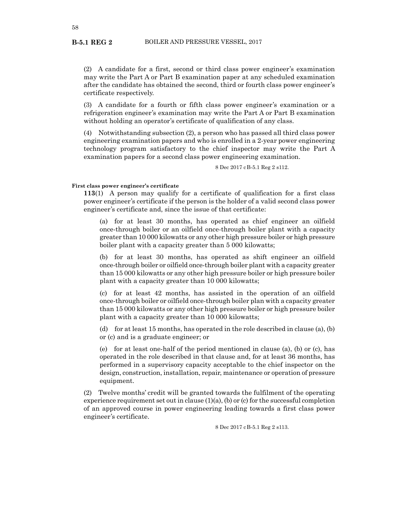(2) A candidate for a first, second or third class power engineer's examination may write the Part A or Part B examination paper at any scheduled examination after the candidate has obtained the second, third or fourth class power engineer's certificate respectively.

(3) A candidate for a fourth or fifth class power engineer's examination or a refrigeration engineer's examination may write the Part A or Part B examination without holding an operator's certificate of qualification of any class.

(4) Notwithstanding subsection (2), a person who has passed all third class power engineering examination papers and who is enrolled in a 2-year power engineering technology program satisfactory to the chief inspector may write the Part A examination papers for a second class power engineering examination.

8 Dec 2017 cB-5.1 Reg 2 s112.

# **First class power engineer's certificate**

**113**(1) A person may qualify for a certificate of qualification for a first class power engineer's certificate if the person is the holder of a valid second class power engineer's certificate and, since the issue of that certificate:

(a) for at least 30 months, has operated as chief engineer an oilfield once-through boiler or an oilfield once-through boiler plant with a capacity greater than 10 000 kilowatts or any other high pressure boiler or high pressure boiler plant with a capacity greater than 5 000 kilowatts;

(b) for at least 30 months, has operated as shift engineer an oilfield once-through boiler or oilfield once-through boiler plant with a capacity greater than 15 000 kilowatts or any other high pressure boiler or high pressure boiler plant with a capacity greater than 10 000 kilowatts;

(c) for at least 42 months, has assisted in the operation of an oilfield once-through boiler or oilfield once-through boiler plan with a capacity greater than 15 000 kilowatts or any other high pressure boiler or high pressure boiler plant with a capacity greater than 10 000 kilowatts;

(d) for at least 15 months, has operated in the role described in clause (a), (b) or (c) and is a graduate engineer; or

(e) for at least one-half of the period mentioned in clause (a), (b) or (c), has operated in the role described in that clause and, for at least 36 months, has performed in a supervisory capacity acceptable to the chief inspector on the design, construction, installation, repair, maintenance or operation of pressure equipment.

(2) Twelve months' credit will be granted towards the fulfilment of the operating experience requirement set out in clause  $(1)(a)$ ,  $(b)$  or  $(c)$  for the successful completion of an approved course in power engineering leading towards a first class power engineer's certificate.

8 Dec 2017 cB-5.1 Reg 2 s113.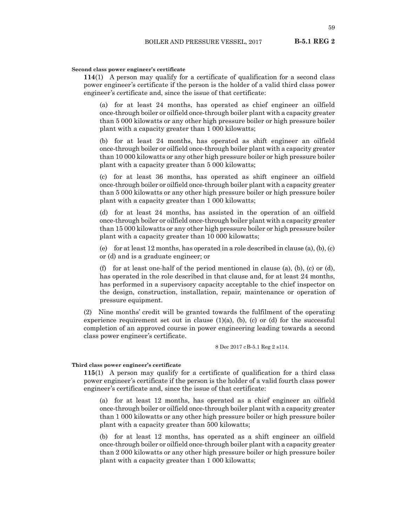#### **Second class power engineer's certificate**

**114**(1) A person may qualify for a certificate of qualification for a second class power engineer's certificate if the person is the holder of a valid third class power engineer's certificate and, since the issue of that certificate:

(a) for at least 24 months, has operated as chief engineer an oilfield once-through boiler or oilfield once-through boiler plant with a capacity greater than 5 000 kilowatts or any other high pressure boiler or high pressure boiler plant with a capacity greater than 1 000 kilowatts;

(b) for at least 24 months, has operated as shift engineer an oilfield once-through boiler or oilfield once-through boiler plant with a capacity greater than 10 000 kilowatts or any other high pressure boiler or high pressure boiler plant with a capacity greater than 5 000 kilowatts;

(c) for at least 36 months, has operated as shift engineer an oilfield once-through boiler or oilfield once-through boiler plant with a capacity greater than 5 000 kilowatts or any other high pressure boiler or high pressure boiler plant with a capacity greater than 1 000 kilowatts;

(d) for at least 24 months, has assisted in the operation of an oilfield once-through boiler or oilfield once-through boiler plant with a capacity greater than 15 000 kilowatts or any other high pressure boiler or high pressure boiler plant with a capacity greater than 10 000 kilowatts;

(e) for at least 12 months, has operated in a role described in clause (a), (b), (c) or (d) and is a graduate engineer; or

(f) for at least one-half of the period mentioned in clause (a), (b), (c) or (d), has operated in the role described in that clause and, for at least 24 months, has performed in a supervisory capacity acceptable to the chief inspector on the design, construction, installation, repair, maintenance or operation of pressure equipment.

(2) Nine months' credit will be granted towards the fulfilment of the operating experience requirement set out in clause  $(1)(a)$ ,  $(b)$ ,  $(c)$  or  $(d)$  for the successful completion of an approved course in power engineering leading towards a second class power engineer's certificate.

8 Dec 2017 cB-5.1 Reg 2 s114.

# **Third class power engineer's certificate**

**115**(1) A person may qualify for a certificate of qualification for a third class power engineer's certificate if the person is the holder of a valid fourth class power engineer's certificate and, since the issue of that certificate:

(a) for at least 12 months, has operated as a chief engineer an oilfield once-through boiler or oilfield once-through boiler plant with a capacity greater than 1 000 kilowatts or any other high pressure boiler or high pressure boiler plant with a capacity greater than 500 kilowatts;

(b) for at least 12 months, has operated as a shift engineer an oilfield once-through boiler or oilfield once-through boiler plant with a capacity greater than 2 000 kilowatts or any other high pressure boiler or high pressure boiler plant with a capacity greater than 1 000 kilowatts;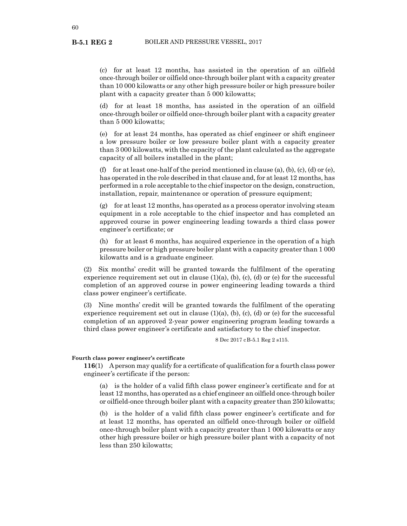(c) for at least 12 months, has assisted in the operation of an oilfield once-through boiler or oilfield once-through boiler plant with a capacity greater than 10 000 kilowatts or any other high pressure boiler or high pressure boiler plant with a capacity greater than 5 000 kilowatts;

(d) for at least 18 months, has assisted in the operation of an oilfield once-through boiler or oilfield once-through boiler plant with a capacity greater than 5 000 kilowatts;

(e) for at least 24 months, has operated as chief engineer or shift engineer a low pressure boiler or low pressure boiler plant with a capacity greater than 3 000 kilowatts, with the capacity of the plant calculated as the aggregate capacity of all boilers installed in the plant;

(f) for at least one-half of the period mentioned in clause (a), (b), (c), (d) or (e), has operated in the role described in that clause and, for at least 12 months, has performed in a role acceptable to the chief inspector on the design, construction, installation, repair, maintenance or operation of pressure equipment;

 $(g)$  for at least 12 months, has operated as a process operator involving steam equipment in a role acceptable to the chief inspector and has completed an approved course in power engineering leading towards a third class power engineer's certificate; or

(h) for at least 6 months, has acquired experience in the operation of a high pressure boiler or high pressure boiler plant with a capacity greater than 1 000 kilowatts and is a graduate engineer.

(2) Six months' credit will be granted towards the fulfilment of the operating experience requirement set out in clause  $(1)(a)$ ,  $(b)$ ,  $(c)$ ,  $(d)$  or  $(e)$  for the successful completion of an approved course in power engineering leading towards a third class power engineer's certificate.

(3) Nine months' credit will be granted towards the fulfilment of the operating experience requirement set out in clause  $(1)(a)$ ,  $(b)$ ,  $(c)$ ,  $(d)$  or  $(e)$  for the successful completion of an approved 2-year power engineering program leading towards a third class power engineer's certificate and satisfactory to the chief inspector.

8 Dec 2017 cB-5.1 Reg 2 s115.

# **Fourth class power engineer's certificate**

**116**(1) A person may qualify for a certificate of qualification for a fourth class power engineer's certificate if the person:

(a) is the holder of a valid fifth class power engineer's certificate and for at least 12 months, has operated as a chief engineer an oilfield once-through boiler or oilfield-once through boiler plant with a capacity greater than 250 kilowatts;

(b) is the holder of a valid fifth class power engineer's certificate and for at least 12 months, has operated an oilfield once-through boiler or oilfield once-through boiler plant with a capacity greater than 1 000 kilowatts or any other high pressure boiler or high pressure boiler plant with a capacity of not less than 250 kilowatts;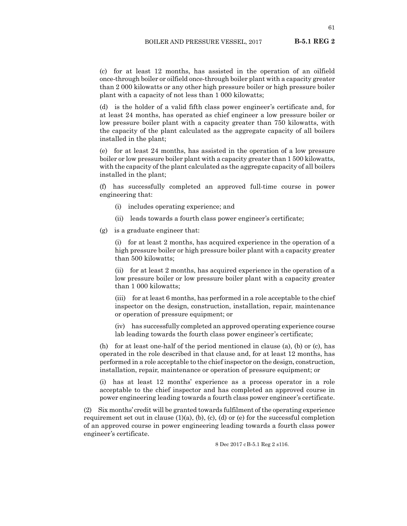(c) for at least 12 months, has assisted in the operation of an oilfield once-through boiler or oilfield once-through boiler plant with a capacity greater than 2 000 kilowatts or any other high pressure boiler or high pressure boiler plant with a capacity of not less than 1 000 kilowatts;

(d) is the holder of a valid fifth class power engineer's certificate and, for at least 24 months, has operated as chief engineer a low pressure boiler or low pressure boiler plant with a capacity greater than 750 kilowatts, with the capacity of the plant calculated as the aggregate capacity of all boilers installed in the plant;

(e) for at least 24 months, has assisted in the operation of a low pressure boiler or low pressure boiler plant with a capacity greater than 1 500 kilowatts, with the capacity of the plant calculated as the aggregate capacity of all boilers installed in the plant;

(f) has successfully completed an approved full-time course in power engineering that:

- (i) includes operating experience; and
- (ii) leads towards a fourth class power engineer's certificate;
- (g) is a graduate engineer that:

(i) for at least 2 months, has acquired experience in the operation of a high pressure boiler or high pressure boiler plant with a capacity greater than 500 kilowatts;

(ii) for at least 2 months, has acquired experience in the operation of a low pressure boiler or low pressure boiler plant with a capacity greater than 1 000 kilowatts;

(iii) for at least 6 months, has performed in a role acceptable to the chief inspector on the design, construction, installation, repair, maintenance or operation of pressure equipment; or

(iv) has successfully completed an approved operating experience course lab leading towards the fourth class power engineer's certificate;

(h) for at least one-half of the period mentioned in clause (a), (b) or (c), has operated in the role described in that clause and, for at least 12 months, has performed in a role acceptable to the chief inspector on the design, construction, installation, repair, maintenance or operation of pressure equipment; or

(i) has at least 12 months' experience as a process operator in a role acceptable to the chief inspector and has completed an approved course in power engineering leading towards a fourth class power engineer's certificate.

(2) Six months' credit will be granted towards fulfilment of the operating experience requirement set out in clause  $(1)(a)$ ,  $(b)$ ,  $(c)$ ,  $(d)$  or  $(e)$  for the successful completion of an approved course in power engineering leading towards a fourth class power engineer's certificate.

8 Dec 2017 cB-5.1 Reg 2 s116.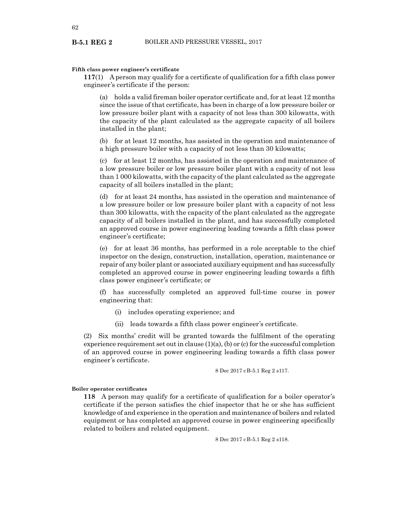### **Fifth class power engineer's certificate**

**117**(1) A person may qualify for a certificate of qualification for a fifth class power engineer's certificate if the person:

(a) holds a valid fireman boiler operator certificate and, for at least 12 months since the issue of that certificate, has been in charge of a low pressure boiler or low pressure boiler plant with a capacity of not less than 300 kilowatts, with the capacity of the plant calculated as the aggregate capacity of all boilers installed in the plant;

(b) for at least 12 months, has assisted in the operation and maintenance of a high pressure boiler with a capacity of not less than 30 kilowatts;

(c) for at least 12 months, has assisted in the operation and maintenance of a low pressure boiler or low pressure boiler plant with a capacity of not less than 1 000 kilowatts, with the capacity of the plant calculated as the aggregate capacity of all boilers installed in the plant;

(d) for at least 24 months, has assisted in the operation and maintenance of a low pressure boiler or low pressure boiler plant with a capacity of not less than 300 kilowatts, with the capacity of the plant calculated as the aggregate capacity of all boilers installed in the plant, and has successfully completed an approved course in power engineering leading towards a fifth class power engineer's certificate;

(e) for at least 36 months, has performed in a role acceptable to the chief inspector on the design, construction, installation, operation, maintenance or repair of any boiler plant or associated auxiliary equipment and has successfully completed an approved course in power engineering leading towards a fifth class power engineer's certificate; or

(f) has successfully completed an approved full-time course in power engineering that:

- (i) includes operating experience; and
- (ii) leads towards a fifth class power engineer's certificate.

(2) Six months' credit will be granted towards the fulfilment of the operating experience requirement set out in clause  $(1)(a)$ ,  $(b)$  or  $(c)$  for the successful completion of an approved course in power engineering leading towards a fifth class power engineer's certificate.

8 Dec 2017 cB-5.1 Reg 2 s117.

#### **Boiler operator certificates**

**118** A person may qualify for a certificate of qualification for a boiler operator's certificate if the person satisfies the chief inspector that he or she has sufficient knowledge of and experience in the operation and maintenance of boilers and related equipment or has completed an approved course in power engineering specifically related to boilers and related equipment.

8 Dec 2017 cB-5.1 Reg 2 s118.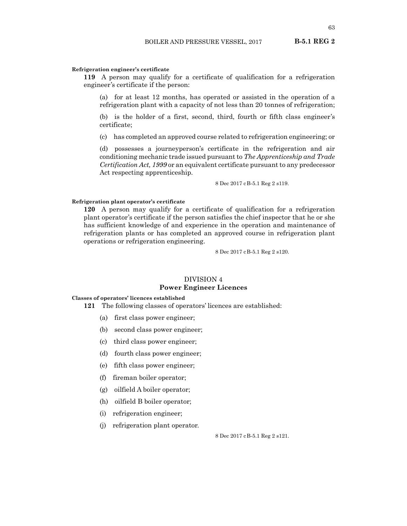#### **Refrigeration engineer's certificate**

**119** A person may qualify for a certificate of qualification for a refrigeration engineer's certificate if the person:

(a) for at least 12 months, has operated or assisted in the operation of a refrigeration plant with a capacity of not less than 20 tonnes of refrigeration;

(b) is the holder of a first, second, third, fourth or fifth class engineer's certificate;

(c) has completed an approved course related to refrigeration engineering; or

(d) possesses a journeyperson's certificate in the refrigeration and air conditioning mechanic trade issued pursuant to *The Apprenticeship and Trade Certification Act, 1999* or an equivalent certificate pursuant to any predecessor Act respecting apprenticeship.

8 Dec 2017 cB-5.1 Reg 2 s119.

### **Refrigeration plant operator's certificate**

**120** A person may qualify for a certificate of qualification for a refrigeration plant operator's certificate if the person satisfies the chief inspector that he or she has sufficient knowledge of and experience in the operation and maintenance of refrigeration plants or has completed an approved course in refrigeration plant operations or refrigeration engineering.

8 Dec 2017 cB-5.1 Reg 2 s120.

# DIVISION 4 **Power Engineer Licences**

#### **Classes of operators' licences established**

**121** The following classes of operators' licences are established:

- (a) first class power engineer;
- (b) second class power engineer;
- (c) third class power engineer;
- (d) fourth class power engineer;
- (e) fifth class power engineer;
- (f) fireman boiler operator;
- (g) oilfield A boiler operator;
- (h) oilfield B boiler operator;
- (i) refrigeration engineer;
- (j) refrigeration plant operator.

8 Dec 2017 cB-5.1 Reg 2 s121.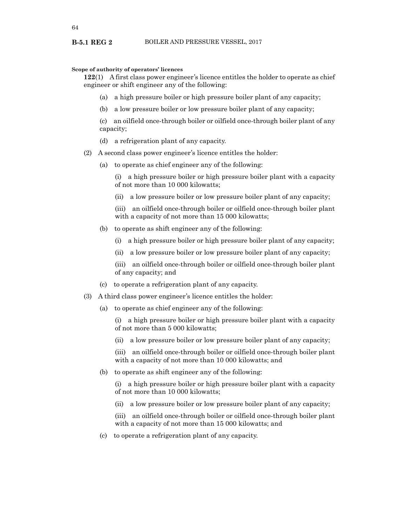### **Scope of authority of operators' licences**

**122**(1) A first class power engineer's licence entitles the holder to operate as chief engineer or shift engineer any of the following:

- (a) a high pressure boiler or high pressure boiler plant of any capacity;
- (b) a low pressure boiler or low pressure boiler plant of any capacity;

(c) an oilfield once-through boiler or oilfield once-through boiler plant of any capacity;

- (d) a refrigeration plant of any capacity.
- (2) A second class power engineer's licence entitles the holder:
	- (a) to operate as chief engineer any of the following:

(i) a high pressure boiler or high pressure boiler plant with a capacity of not more than 10 000 kilowatts;

(ii) a low pressure boiler or low pressure boiler plant of any capacity;

(iii) an oilfield once-through boiler or oilfield once-through boiler plant with a capacity of not more than 15 000 kilowatts;

- (b) to operate as shift engineer any of the following:
	- (i) a high pressure boiler or high pressure boiler plant of any capacity;
	- (ii) a low pressure boiler or low pressure boiler plant of any capacity;

(iii) an oilfield once-through boiler or oilfield once-through boiler plant of any capacity; and

- (c) to operate a refrigeration plant of any capacity.
- (3) A third class power engineer's licence entitles the holder:
	- (a) to operate as chief engineer any of the following:

(i) a high pressure boiler or high pressure boiler plant with a capacity of not more than 5 000 kilowatts;

(ii) a low pressure boiler or low pressure boiler plant of any capacity;

(iii) an oilfield once-through boiler or oilfield once-through boiler plant with a capacity of not more than 10 000 kilowatts; and

(b) to operate as shift engineer any of the following:

(i) a high pressure boiler or high pressure boiler plant with a capacity of not more than 10 000 kilowatts;

(ii) a low pressure boiler or low pressure boiler plant of any capacity;

(iii) an oilfield once-through boiler or oilfield once-through boiler plant with a capacity of not more than 15 000 kilowatts; and

(c) to operate a refrigeration plant of any capacity.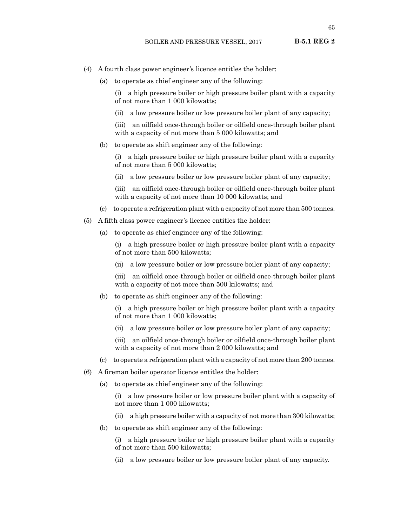- (4) A fourth class power engineer's licence entitles the holder:
	- (a) to operate as chief engineer any of the following:

(i) a high pressure boiler or high pressure boiler plant with a capacity of not more than 1 000 kilowatts;

(ii) a low pressure boiler or low pressure boiler plant of any capacity;

(iii) an oilfield once-through boiler or oilfield once-through boiler plant with a capacity of not more than 5 000 kilowatts; and

(b) to operate as shift engineer any of the following:

(i) a high pressure boiler or high pressure boiler plant with a capacity of not more than 5 000 kilowatts;

- (ii) a low pressure boiler or low pressure boiler plant of any capacity;
- (iii) an oilfield once-through boiler or oilfield once-through boiler plant with a capacity of not more than 10 000 kilowatts; and
- (c) to operate a refrigeration plant with a capacity of not more than 500 tonnes.
- (5) A fifth class power engineer's licence entitles the holder:
	- (a) to operate as chief engineer any of the following:

(i) a high pressure boiler or high pressure boiler plant with a capacity of not more than 500 kilowatts;

- (ii) a low pressure boiler or low pressure boiler plant of any capacity;
- (iii) an oilfield once-through boiler or oilfield once-through boiler plant with a capacity of not more than 500 kilowatts; and
- (b) to operate as shift engineer any of the following:
	- (i) a high pressure boiler or high pressure boiler plant with a capacity of not more than 1 000 kilowatts;
	- (ii) a low pressure boiler or low pressure boiler plant of any capacity;
	- (iii) an oilfield once-through boiler or oilfield once-through boiler plant with a capacity of not more than 2 000 kilowatts; and
- (c) to operate a refrigeration plant with a capacity of not more than 200 tonnes.
- (6) A fireman boiler operator licence entitles the holder:
	- (a) to operate as chief engineer any of the following:
		- (i) a low pressure boiler or low pressure boiler plant with a capacity of not more than 1 000 kilowatts;
		- (ii) a high pressure boiler with a capacity of not more than 300 kilowatts;
	- (b) to operate as shift engineer any of the following:

(i) a high pressure boiler or high pressure boiler plant with a capacity of not more than 500 kilowatts;

(ii) a low pressure boiler or low pressure boiler plant of any capacity.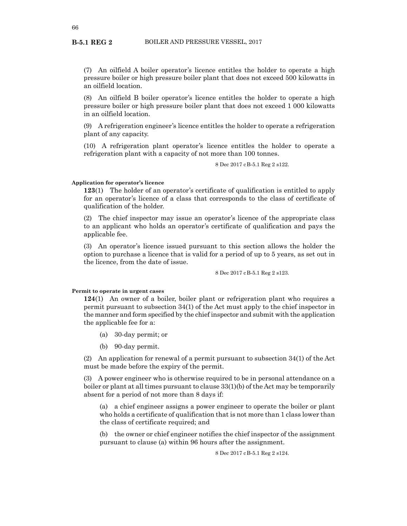(7) An oilfield A boiler operator's licence entitles the holder to operate a high pressure boiler or high pressure boiler plant that does not exceed 500 kilowatts in an oilfield location.

(8) An oilfield B boiler operator's licence entitles the holder to operate a high pressure boiler or high pressure boiler plant that does not exceed 1 000 kilowatts in an oilfield location.

(9) A refrigeration engineer's licence entitles the holder to operate a refrigeration plant of any capacity.

(10) A refrigeration plant operator's licence entitles the holder to operate a refrigeration plant with a capacity of not more than 100 tonnes.

8 Dec 2017 cB-5.1 Reg 2 s122.

### **Application for operator's licence**

**123**(1) The holder of an operator's certificate of qualification is entitled to apply for an operator's licence of a class that corresponds to the class of certificate of qualification of the holder.

(2) The chief inspector may issue an operator's licence of the appropriate class to an applicant who holds an operator's certificate of qualification and pays the applicable fee.

(3) An operator's licence issued pursuant to this section allows the holder the option to purchase a licence that is valid for a period of up to 5 years, as set out in the licence, from the date of issue.

8 Dec 2017 cB-5.1 Reg 2 s123.

#### **Permit to operate in urgent cases**

**124**(1) An owner of a boiler, boiler plant or refrigeration plant who requires a permit pursuant to subsection 34(1) of the Act must apply to the chief inspector in the manner and form specified by the chief inspector and submit with the application the applicable fee for a:

- (a) 30-day permit; or
- (b) 90-day permit.

(2) An application for renewal of a permit pursuant to subsection 34(1) of the Act must be made before the expiry of the permit.

(3) A power engineer who is otherwise required to be in personal attendance on a boiler or plant at all times pursuant to clause 33(1)(b) of the Act may be temporarily absent for a period of not more than 8 days if:

(a) a chief engineer assigns a power engineer to operate the boiler or plant who holds a certificate of qualification that is not more than 1 class lower than the class of certificate required; and

(b) the owner or chief engineer notifies the chief inspector of the assignment pursuant to clause (a) within 96 hours after the assignment.

8 Dec 2017 cB-5.1 Reg 2 s124.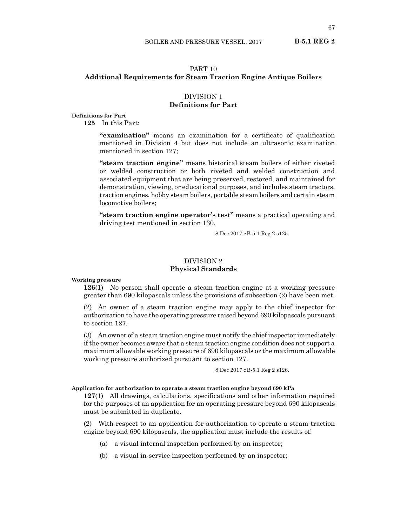# PART 10 **Additional Requirements for Steam Traction Engine Antique Boilers**

# DIVISION 1 **Definitions for Part**

**Definitions for Part**

**125** In this Part:

**"examination"** means an examination for a certificate of qualification mentioned in Division 4 but does not include an ultrasonic examination mentioned in section 127;

**"steam traction engine"** means historical steam boilers of either riveted or welded construction or both riveted and welded construction and associated equipment that are being preserved, restored, and maintained for demonstration, viewing, or educational purposes, and includes steam tractors, traction engines, hobby steam boilers, portable steam boilers and certain steam locomotive boilers;

**"steam traction engine operator's test"** means a practical operating and driving test mentioned in section 130.

8 Dec 2017 cB-5.1 Reg 2 s125.

# DIVISION 2 **Physical Standards**

**Working pressure**

**126**(1) No person shall operate a steam traction engine at a working pressure greater than 690 kilopascals unless the provisions of subsection (2) have been met.

(2) An owner of a steam traction engine may apply to the chief inspector for authorization to have the operating pressure raised beyond 690 kilopascals pursuant to section 127.

(3) An owner of a steam traction engine must notify the chief inspector immediately if the owner becomes aware that a steam traction engine condition does not support a maximum allowable working pressure of 690 kilopascals or the maximum allowable working pressure authorized pursuant to section 127.

8 Dec 2017 cB-5.1 Reg 2 s126.

#### **Application for authorization to operate a steam traction engine beyond 690 kPa**

**127**(1) All drawings, calculations, specifications and other information required for the purposes of an application for an operating pressure beyond 690 kilopascals must be submitted in duplicate.

(2) With respect to an application for authorization to operate a steam traction engine beyond 690 kilopascals, the application must include the results of:

- (a) a visual internal inspection performed by an inspector;
- (b) a visual in-service inspection performed by an inspector;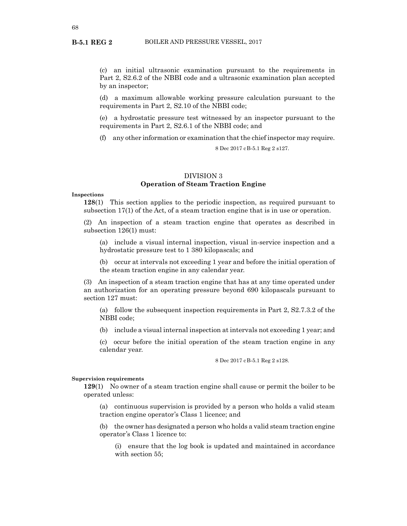(c) an initial ultrasonic examination pursuant to the requirements in Part 2, S2.6.2 of the NBBI code and a ultrasonic examination plan accepted by an inspector;

(d) a maximum allowable working pressure calculation pursuant to the requirements in Part 2, S2.10 of the NBBI code;

(e) a hydrostatic pressure test witnessed by an inspector pursuant to the requirements in Part 2, S2.6.1 of the NBBI code; and

(f) any other information or examination that the chief inspector may require.

8 Dec 2017 cB-5.1 Reg 2 s127.

# DIVISION 3 **Operation of Steam Traction Engine**

### **Inspections**

**128**(1) This section applies to the periodic inspection, as required pursuant to subsection 17(1) of the Act, of a steam traction engine that is in use or operation.

(2) An inspection of a steam traction engine that operates as described in subsection 126(1) must:

(a) include a visual internal inspection, visual in-service inspection and a hydrostatic pressure test to 1 380 kilopascals; and

(b) occur at intervals not exceeding 1 year and before the initial operation of the steam traction engine in any calendar year.

(3) An inspection of a steam traction engine that has at any time operated under an authorization for an operating pressure beyond 690 kilopascals pursuant to section 127 must:

(a) follow the subsequent inspection requirements in Part 2, S2.7.3.2 of the NBBI code;

(b) include a visual internal inspection at intervals not exceeding 1 year; and

(c) occur before the initial operation of the steam traction engine in any calendar year.

8 Dec 2017 cB-5.1 Reg 2 s128.

#### **Supervision requirements**

**129**(1) No owner of a steam traction engine shall cause or permit the boiler to be operated unless:

(a) continuous supervision is provided by a person who holds a valid steam traction engine operator's Class 1 licence; and

(b) the owner has designated a person who holds a valid steam traction engine operator's Class 1 licence to:

(i) ensure that the log book is updated and maintained in accordance with section 55;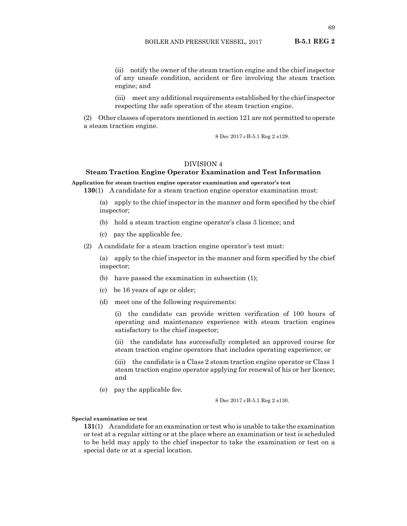(ii) notify the owner of the steam traction engine and the chief inspector of any unsafe condition, accident or fire involving the steam traction engine; and

(iii) meet any additional requirements established by the chief inspector respecting the safe operation of the steam traction engine.

(2) Other classes of operators mentioned in section 121 are not permitted to operate a steam traction engine.

8 Dec 2017 cB-5.1 Reg 2 s129.

# DIVISION 4

# **Steam Traction Engine Operator Examination and Test Information**

**Application for steam traction engine operator examination and operator's test**

**130**(1) A candidate for a steam traction engine operator examination must:

(a) apply to the chief inspector in the manner and form specified by the chief inspector;

- (b) hold a steam traction engine operator's class 3 licence; and
- (c) pay the applicable fee.

(2) A candidate for a steam traction engine operator's test must:

(a) apply to the chief inspector in the manner and form specified by the chief inspector;

- (b) have passed the examination in subsection (1);
- (c) be 16 years of age or older;
- (d) meet one of the following requirements:

(i) the candidate can provide written verification of 100 hours of operating and maintenance experience with steam traction engines satisfactory to the chief inspector;

(ii) the candidate has successfully completed an approved course for steam traction engine operators that includes operating experience; or

(iii) the candidate is a Class 2 steam traction engine operator or Class 1 steam traction engine operator applying for renewal of his or her licence; and

(e) pay the applicable fee.

8 Dec 2017 cB-5.1 Reg 2 s130.

#### **Special examination or test**

**131**(1) A candidate for an examination or test who is unable to take the examination or test at a regular sitting or at the place where an examination or test is scheduled to be held may apply to the chief inspector to take the examination or test on a special date or at a special location.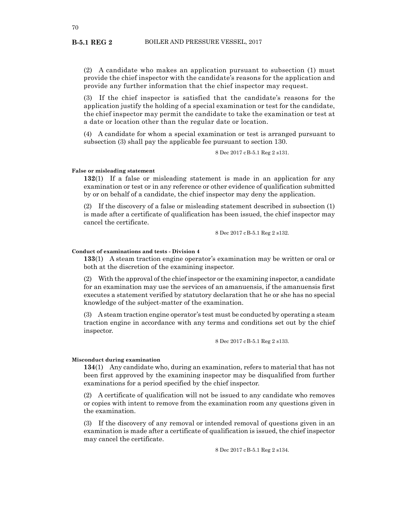(2) A candidate who makes an application pursuant to subsection (1) must provide the chief inspector with the candidate's reasons for the application and provide any further information that the chief inspector may request.

(3) If the chief inspector is satisfied that the candidate's reasons for the application justify the holding of a special examination or test for the candidate, the chief inspector may permit the candidate to take the examination or test at a date or location other than the regular date or location.

(4) A candidate for whom a special examination or test is arranged pursuant to subsection (3) shall pay the applicable fee pursuant to section 130.

8 Dec 2017 cB-5.1 Reg 2 s131.

#### **False or misleading statement**

**132**(1) If a false or misleading statement is made in an application for any examination or test or in any reference or other evidence of qualification submitted by or on behalf of a candidate, the chief inspector may deny the application.

(2) If the discovery of a false or misleading statement described in subsection (1) is made after a certificate of qualification has been issued, the chief inspector may cancel the certificate.

8 Dec 2017 cB-5.1 Reg 2 s132.

# **Conduct of examinations and tests - Division 4**

**133**(1) A steam traction engine operator's examination may be written or oral or both at the discretion of the examining inspector.

(2) With the approval of the chief inspector or the examining inspector, a candidate for an examination may use the services of an amanuensis, if the amanuensis first executes a statement verified by statutory declaration that he or she has no special knowledge of the subject-matter of the examination.

(3) A steam traction engine operator's test must be conducted by operating a steam traction engine in accordance with any terms and conditions set out by the chief inspector.

8 Dec 2017 cB-5.1 Reg 2 s133.

### **Misconduct during examination**

**134**(1) Any candidate who, during an examination, refers to material that has not been first approved by the examining inspector may be disqualified from further examinations for a period specified by the chief inspector.

(2) A certificate of qualification will not be issued to any candidate who removes or copies with intent to remove from the examination room any questions given in the examination.

(3) If the discovery of any removal or intended removal of questions given in an examination is made after a certificate of qualification is issued, the chief inspector may cancel the certificate.

8 Dec 2017 cB-5.1 Reg 2 s134.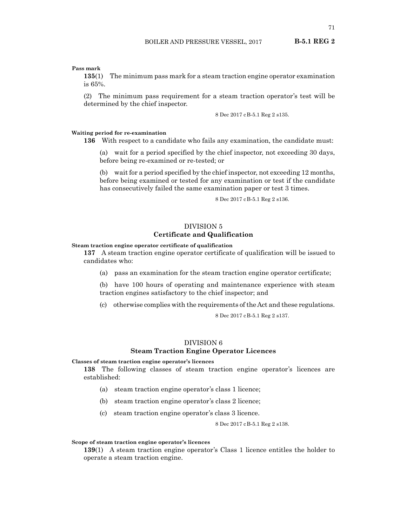### **Pass mark**

**135**(1) The minimum pass mark for a steam traction engine operator examination is 65%.

(2) The minimum pass requirement for a steam traction operator's test will be determined by the chief inspector.

8 Dec 2017 cB-5.1 Reg 2 s135.

# **Waiting period for re-examination**

**136** With respect to a candidate who fails any examination, the candidate must:

(a) wait for a period specified by the chief inspector, not exceeding 30 days, before being re-examined or re-tested; or

(b) wait for a period specified by the chief inspector, not exceeding 12 months, before being examined or tested for any examination or test if the candidate has consecutively failed the same examination paper or test 3 times.

8 Dec 2017 cB-5.1 Reg 2 s136.

# DIVISION 5 **Certificate and Qualification**

### **Steam traction engine operator certificate of qualification**

**137** A steam traction engine operator certificate of qualification will be issued to candidates who:

(a) pass an examination for the steam traction engine operator certificate;

(b) have 100 hours of operating and maintenance experience with steam traction engines satisfactory to the chief inspector; and

(c) otherwise complies with the requirements of the Act and these regulations.

8 Dec 2017 cB-5.1 Reg 2 s137.

### DIVISION 6

# **Steam Traction Engine Operator Licences**

# **Classes of steam traction engine operator's licences**

**138** The following classes of steam traction engine operator's licences are established:

- (a) steam traction engine operator's class 1 licence;
- (b) steam traction engine operator's class 2 licence;
- (c) steam traction engine operator's class 3 licence.

8 Dec 2017 cB-5.1 Reg 2 s138.

#### **Scope of steam traction engine operator's licences**

**139**(1) A steam traction engine operator's Class 1 licence entitles the holder to operate a steam traction engine.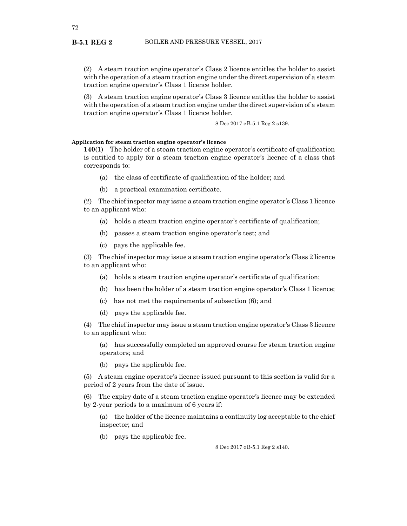(2) A steam traction engine operator's Class 2 licence entitles the holder to assist with the operation of a steam traction engine under the direct supervision of a steam traction engine operator's Class 1 licence holder.

(3) A steam traction engine operator's Class 3 licence entitles the holder to assist with the operation of a steam traction engine under the direct supervision of a steam traction engine operator's Class 1 licence holder.

8 Dec 2017 cB-5.1 Reg 2 s139.

**Application for steam traction engine operator's licence**

**140**(1) The holder of a steam traction engine operator's certificate of qualification is entitled to apply for a steam traction engine operator's licence of a class that corresponds to:

- (a) the class of certificate of qualification of the holder; and
- (b) a practical examination certificate.

(2) The chief inspector may issue a steam traction engine operator's Class 1 licence to an applicant who:

- (a) holds a steam traction engine operator's certificate of qualification;
- (b) passes a steam traction engine operator's test; and
- (c) pays the applicable fee.

(3) The chief inspector may issue a steam traction engine operator's Class 2 licence to an applicant who:

- (a) holds a steam traction engine operator's certificate of qualification;
- (b) has been the holder of a steam traction engine operator's Class 1 licence;
- (c) has not met the requirements of subsection (6); and
- (d) pays the applicable fee.

(4) The chief inspector may issue a steam traction engine operator's Class 3 licence to an applicant who:

(a) has successfully completed an approved course for steam traction engine operators; and

(b) pays the applicable fee.

(5) A steam engine operator's licence issued pursuant to this section is valid for a period of 2 years from the date of issue.

(6) The expiry date of a steam traction engine operator's licence may be extended by 2-year periods to a maximum of 6 years if:

(a) the holder of the licence maintains a continuity log acceptable to the chief inspector; and

(b) pays the applicable fee.

8 Dec 2017 cB-5.1 Reg 2 s140.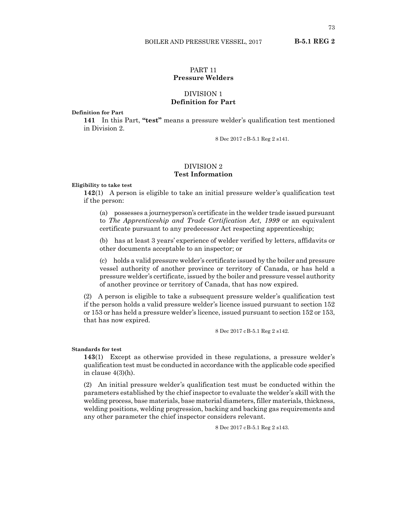# PART 11

# **Pressure Welders**

# DIVISION 1 **Definition for Part**

**Definition for Part**

**141** In this Part, **"test"** means a pressure welder's qualification test mentioned in Division 2.

8 Dec 2017 cB-5.1 Reg 2 s141.

# DIVISION 2 **Test Information**

**Eligibility to take test**

**142**(1) A person is eligible to take an initial pressure welder's qualification test if the person:

(a) possesses a journeyperson's certificate in the welder trade issued pursuant to *The Apprenticeship and Trade Certification Act, 1999* or an equivalent certificate pursuant to any predecessor Act respecting apprenticeship;

(b) has at least 3 years' experience of welder verified by letters, affidavits or other documents acceptable to an inspector; or

(c) holds a valid pressure welder's certificate issued by the boiler and pressure vessel authority of another province or territory of Canada, or has held a pressure welder's certificate, issued by the boiler and pressure vessel authority of another province or territory of Canada, that has now expired.

(2) A person is eligible to take a subsequent pressure welder's qualification test if the person holds a valid pressure welder's licence issued pursuant to section 152 or 153 or has held a pressure welder's licence, issued pursuant to section 152 or 153, that has now expired.

8 Dec 2017 cB-5.1 Reg 2 s142.

### **Standards for test**

**143**(1) Except as otherwise provided in these regulations, a pressure welder's qualification test must be conducted in accordance with the applicable code specified in clause 4(3)(h).

(2) An initial pressure welder's qualification test must be conducted within the parameters established by the chief inspector to evaluate the welder's skill with the welding process, base materials, base material diameters, filler materials, thickness, welding positions, welding progression, backing and backing gas requirements and any other parameter the chief inspector considers relevant.

8 Dec 2017 cB-5.1 Reg 2 s143.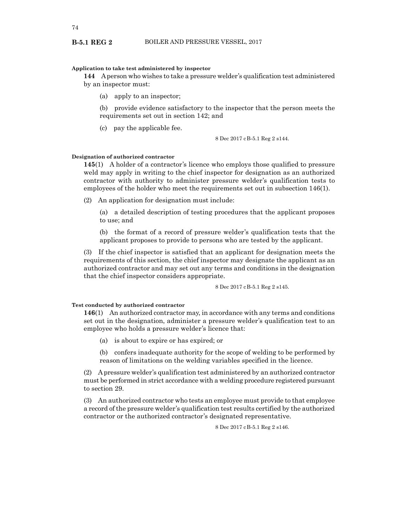# **Application to take test administered by inspector**

**144** A person who wishes to take a pressure welder's qualification test administered by an inspector must:

(a) apply to an inspector;

(b) provide evidence satisfactory to the inspector that the person meets the requirements set out in section 142; and

(c) pay the applicable fee.

8 Dec 2017 cB-5.1 Reg 2 s144.

#### **Designation of authorized contractor**

**145**(1) A holder of a contractor's licence who employs those qualified to pressure weld may apply in writing to the chief inspector for designation as an authorized contractor with authority to administer pressure welder's qualification tests to employees of the holder who meet the requirements set out in subsection 146(1).

(2) An application for designation must include:

(a) a detailed description of testing procedures that the applicant proposes to use; and

(b) the format of a record of pressure welder's qualification tests that the applicant proposes to provide to persons who are tested by the applicant.

(3) If the chief inspector is satisfied that an applicant for designation meets the requirements of this section, the chief inspector may designate the applicant as an authorized contractor and may set out any terms and conditions in the designation that the chief inspector considers appropriate.

8 Dec 2017 cB-5.1 Reg 2 s145.

## **Test conducted by authorized contractor**

**146**(1) An authorized contractor may, in accordance with any terms and conditions set out in the designation, administer a pressure welder's qualification test to an employee who holds a pressure welder's licence that:

- (a) is about to expire or has expired; or
- (b) confers inadequate authority for the scope of welding to be performed by reason of limitations on the welding variables specified in the licence.

(2) A pressure welder's qualification test administered by an authorized contractor must be performed in strict accordance with a welding procedure registered pursuant to section 29.

(3) An authorized contractor who tests an employee must provide to that employee a record of the pressure welder's qualification test results certified by the authorized contractor or the authorized contractor's designated representative.

8 Dec 2017 cB-5.1 Reg 2 s146.

#### **B-5.1 REG 2**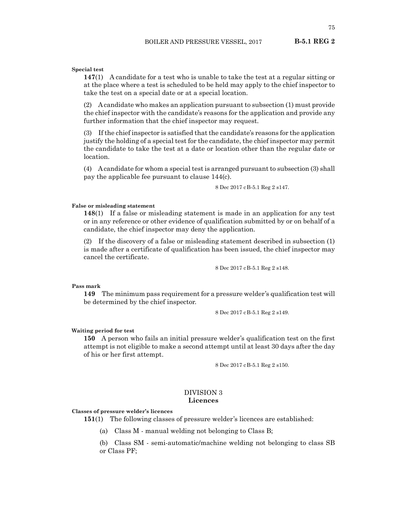#### **Special test**

**147**(1) A candidate for a test who is unable to take the test at a regular sitting or at the place where a test is scheduled to be held may apply to the chief inspector to take the test on a special date or at a special location.

(2) A candidate who makes an application pursuant to subsection (1) must provide the chief inspector with the candidate's reasons for the application and provide any further information that the chief inspector may request.

(3) If the chief inspector is satisfied that the candidate's reasons for the application justify the holding of a special test for the candidate, the chief inspector may permit the candidate to take the test at a date or location other than the regular date or location.

(4) A candidate for whom a special test is arranged pursuant to subsection (3) shall pay the applicable fee pursuant to clause 144(c).

8 Dec 2017 cB-5.1 Reg 2 s147.

#### **False or misleading statement**

**148**(1) If a false or misleading statement is made in an application for any test or in any reference or other evidence of qualification submitted by or on behalf of a candidate, the chief inspector may deny the application.

(2) If the discovery of a false or misleading statement described in subsection (1) is made after a certificate of qualification has been issued, the chief inspector may cancel the certificate.

8 Dec 2017 cB-5.1 Reg 2 s148.

**Pass mark**

**149** The minimum pass requirement for a pressure welder's qualification test will be determined by the chief inspector.

8 Dec 2017 cB-5.1 Reg 2 s149.

#### **Waiting period for test**

**150** A person who fails an initial pressure welder's qualification test on the first attempt is not eligible to make a second attempt until at least 30 days after the day of his or her first attempt.

8 Dec 2017 cB-5.1 Reg 2 s150.

### DIVISION 3 **Licences**

#### **Classes of pressure welder's licences**

**151**(1) The following classes of pressure welder's licences are established:

(a) Class M - manual welding not belonging to Class B;

(b) Class SM - semi-automatic/machine welding not belonging to class SB or Class PF;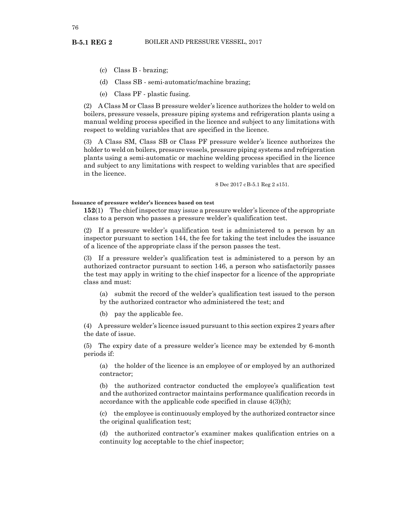- **B-5.1 REG 2**
	- (c) Class B brazing;
	- (d) Class SB semi-automatic/machine brazing;
	- (e) Class PF plastic fusing.

(2) A Class M or Class B pressure welder's licence authorizes the holder to weld on boilers, pressure vessels, pressure piping systems and refrigeration plants using a manual welding process specified in the licence and subject to any limitations with respect to welding variables that are specified in the licence.

(3) A Class SM, Class SB or Class PF pressure welder's licence authorizes the holder to weld on boilers, pressure vessels, pressure piping systems and refrigeration plants using a semi-automatic or machine welding process specified in the licence and subject to any limitations with respect to welding variables that are specified in the licence.

8 Dec 2017 cB-5.1 Reg 2 s151.

#### **Issuance of pressure welder's licences based on test**

**152**(1) The chief inspector may issue a pressure welder's licence of the appropriate class to a person who passes a pressure welder's qualification test.

(2) If a pressure welder's qualification test is administered to a person by an inspector pursuant to section 144, the fee for taking the test includes the issuance of a licence of the appropriate class if the person passes the test.

(3) If a pressure welder's qualification test is administered to a person by an authorized contractor pursuant to section 146, a person who satisfactorily passes the test may apply in writing to the chief inspector for a licence of the appropriate class and must:

(a) submit the record of the welder's qualification test issued to the person by the authorized contractor who administered the test; and

(b) pay the applicable fee.

(4) A pressure welder's licence issued pursuant to this section expires 2 years after the date of issue.

(5) The expiry date of a pressure welder's licence may be extended by 6-month periods if:

(a) the holder of the licence is an employee of or employed by an authorized contractor;

(b) the authorized contractor conducted the employee's qualification test and the authorized contractor maintains performance qualification records in accordance with the applicable code specified in clause 4(3)(h);

(c) the employee is continuously employed by the authorized contractor since the original qualification test;

(d) the authorized contractor's examiner makes qualification entries on a continuity log acceptable to the chief inspector;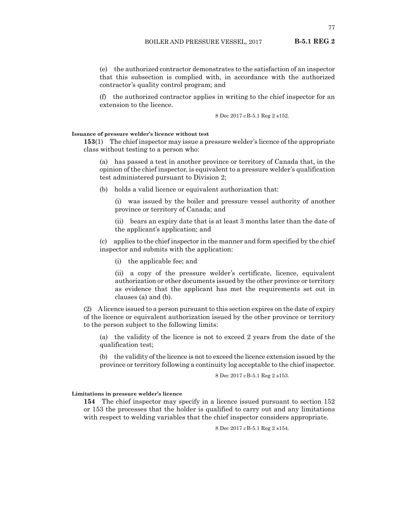(e) the authorized contractor demonstrates to the satisfaction of an inspector that this subsection is complied with, in accordance with the authorized contractor's quality control program; and

(f) the authorized contractor applies in writing to the chief inspector for an extension to the licence.

8 Dec 2017 cB-5.1 Reg 2 s152.

## **Issuance of pressure welder's licence without test**

**153**(1) The chief inspector may issue a pressure welder's licence of the appropriate class without testing to a person who:

(a) has passed a test in another province or territory of Canada that, in the opinion of the chief inspector, is equivalent to a pressure welder's qualification test administered pursuant to Division 2;

(b) holds a valid licence or equivalent authorization that:

(i) was issued by the boiler and pressure vessel authority of another province or territory of Canada; and

(ii) bears an expiry date that is at least 3 months later than the date of the applicant's application; and

(c) applies to the chief inspector in the manner and form specified by the chief inspector and submits with the application:

(i) the applicable fee; and

(ii) a copy of the pressure welder's certificate, licence, equivalent authorization or other documents issued by the other province or territory as evidence that the applicant has met the requirements set out in clauses (a) and (b).

(2) A licence issued to a person pursuant to this section expires on the date of expiry of the licence or equivalent authorization issued by the other province or territory to the person subject to the following limits:

(a) the validity of the licence is not to exceed 2 years from the date of the qualification test;

(b) the validity of the licence is not to exceed the licence extension issued by the province or territory following a continuity log acceptable to the chief inspector.

8 Dec 2017 cB-5.1 Reg 2 s153.

**Limitations in pressure welder's licence**

**154** The chief inspector may specify in a licence issued pursuant to section 152 or 153 the processes that the holder is qualified to carry out and any limitations with respect to welding variables that the chief inspector considers appropriate.

8 Dec 2017 cB-5.1 Reg 2 s154.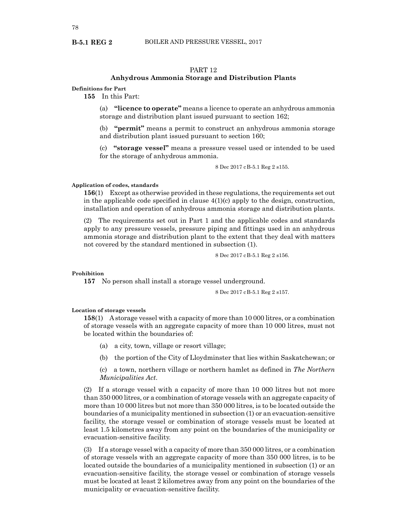### PART 12

## **Anhydrous Ammonia Storage and Distribution Plants**

**Definitions for Part**

**B-5.1 REG 2**

**155** In this Part:

(a) **"licence to operate"** means a licence to operate an anhydrous ammonia storage and distribution plant issued pursuant to section 162;

(b) **"permit"** means a permit to construct an anhydrous ammonia storage and distribution plant issued pursuant to section 160;

(c) **"storage vessel"** means a pressure vessel used or intended to be used for the storage of anhydrous ammonia.

8 Dec 2017 cB-5.1 Reg 2 s155.

#### **Application of codes, standards**

**156**(1) Except as otherwise provided in these regulations, the requirements set out in the applicable code specified in clause 4(1)(c) apply to the design, construction, installation and operation of anhydrous ammonia storage and distribution plants.

(2) The requirements set out in Part 1 and the applicable codes and standards apply to any pressure vessels, pressure piping and fittings used in an anhydrous ammonia storage and distribution plant to the extent that they deal with matters not covered by the standard mentioned in subsection (1).

8 Dec 2017 cB-5.1 Reg 2 s156.

#### **Prohibition**

**157** No person shall install a storage vessel underground.

8 Dec 2017 cB-5.1 Reg 2 s157.

#### **Location of storage vessels**

**158**(1) A storage vessel with a capacity of more than 10 000 litres, or a combination of storage vessels with an aggregate capacity of more than 10 000 litres, must not be located within the boundaries of:

- (a) a city, town, village or resort village;
- (b) the portion of the City of Lloydminster that lies within Saskatchewan; or

(c) a town, northern village or northern hamlet as defined in *The Northern Municipalities Act*.

(2) If a storage vessel with a capacity of more than 10 000 litres but not more than 350 000 litres, or a combination of storage vessels with an aggregate capacity of more than 10 000 litres but not more than 350 000 litres, is to be located outside the boundaries of a municipality mentioned in subsection (1) or an evacuation-sensitive facility, the storage vessel or combination of storage vessels must be located at least 1.5 kilometres away from any point on the boundaries of the municipality or evacuation-sensitive facility.

(3) If a storage vessel with a capacity of more than 350 000 litres, or a combination of storage vessels with an aggregate capacity of more than 350 000 litres, is to be located outside the boundaries of a municipality mentioned in subsection (1) or an evacuation-sensitive facility, the storage vessel or combination of storage vessels must be located at least 2 kilometres away from any point on the boundaries of the municipality or evacuation-sensitive facility.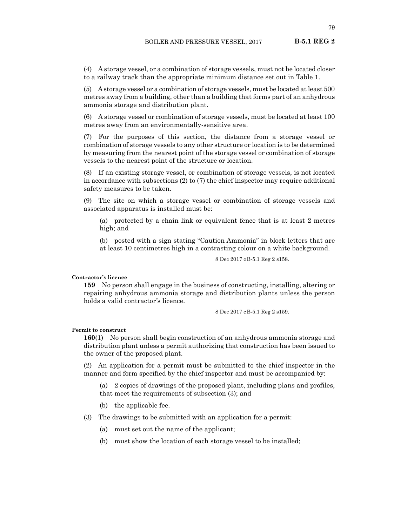(4) A storage vessel, or a combination of storage vessels, must not be located closer to a railway track than the appropriate minimum distance set out in Table 1.

(5) A storage vessel or a combination of storage vessels, must be located at least 500 metres away from a building, other than a building that forms part of an anhydrous ammonia storage and distribution plant.

(6) A storage vessel or combination of storage vessels, must be located at least 100 metres away from an environmentally-sensitive area.

(7) For the purposes of this section, the distance from a storage vessel or combination of storage vessels to any other structure or location is to be determined by measuring from the nearest point of the storage vessel or combination of storage vessels to the nearest point of the structure or location.

(8) If an existing storage vessel, or combination of storage vessels, is not located in accordance with subsections (2) to (7) the chief inspector may require additional safety measures to be taken.

(9) The site on which a storage vessel or combination of storage vessels and associated apparatus is installed must be:

(a) protected by a chain link or equivalent fence that is at least 2 metres high; and

(b) posted with a sign stating "Caution Ammonia" in block letters that are at least 10 centimetres high in a contrasting colour on a white background.

8 Dec 2017 cB-5.1 Reg 2 s158.

### **Contractor's licence**

**159** No person shall engage in the business of constructing, installing, altering or repairing anhydrous ammonia storage and distribution plants unless the person holds a valid contractor's licence.

8 Dec 2017 cB-5.1 Reg 2 s159.

#### **Permit to construct**

**160**(1) No person shall begin construction of an anhydrous ammonia storage and distribution plant unless a permit authorizing that construction has been issued to the owner of the proposed plant.

(2) An application for a permit must be submitted to the chief inspector in the manner and form specified by the chief inspector and must be accompanied by:

(a) 2 copies of drawings of the proposed plant, including plans and profiles, that meet the requirements of subsection (3); and

- (b) the applicable fee.
- (3) The drawings to be submitted with an application for a permit:
	- (a) must set out the name of the applicant;
	- (b) must show the location of each storage vessel to be installed;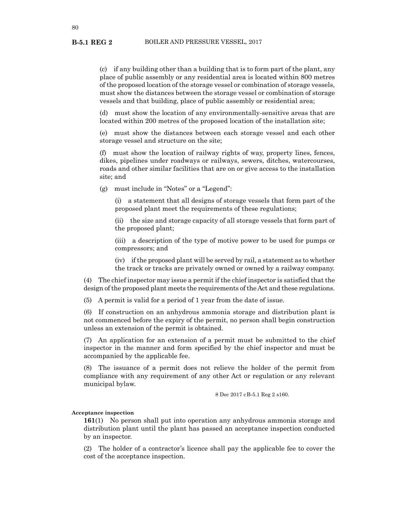(c) if any building other than a building that is to form part of the plant, any place of public assembly or any residential area is located within 800 metres of the proposed location of the storage vessel or combination of storage vessels, must show the distances between the storage vessel or combination of storage vessels and that building, place of public assembly or residential area;

(d) must show the location of any environmentally-sensitive areas that are located within 200 metres of the proposed location of the installation site;

(e) must show the distances between each storage vessel and each other storage vessel and structure on the site;

(f) must show the location of railway rights of way, property lines, fences, dikes, pipelines under roadways or railways, sewers, ditches, watercourses, roads and other similar facilities that are on or give access to the installation site; and

(g) must include in "Notes" or a "Legend":

(i) a statement that all designs of storage vessels that form part of the proposed plant meet the requirements of these regulations;

(ii) the size and storage capacity of all storage vessels that form part of the proposed plant;

(iii) a description of the type of motive power to be used for pumps or compressors; and

(iv) if the proposed plant will be served by rail, a statement as to whether the track or tracks are privately owned or owned by a railway company.

(4) The chief inspector may issue a permit if the chief inspector is satisfied that the design of the proposed plant meets the requirements of the Act and these regulations.

(5) A permit is valid for a period of 1 year from the date of issue.

(6) If construction on an anhydrous ammonia storage and distribution plant is not commenced before the expiry of the permit, no person shall begin construction unless an extension of the permit is obtained.

(7) An application for an extension of a permit must be submitted to the chief inspector in the manner and form specified by the chief inspector and must be accompanied by the applicable fee.

(8) The issuance of a permit does not relieve the holder of the permit from compliance with any requirement of any other Act or regulation or any relevant municipal bylaw.

8 Dec 2017 cB-5.1 Reg 2 s160.

#### **Acceptance inspection**

**161**(1) No person shall put into operation any anhydrous ammonia storage and distribution plant until the plant has passed an acceptance inspection conducted by an inspector.

(2) The holder of a contractor's licence shall pay the applicable fee to cover the cost of the acceptance inspection.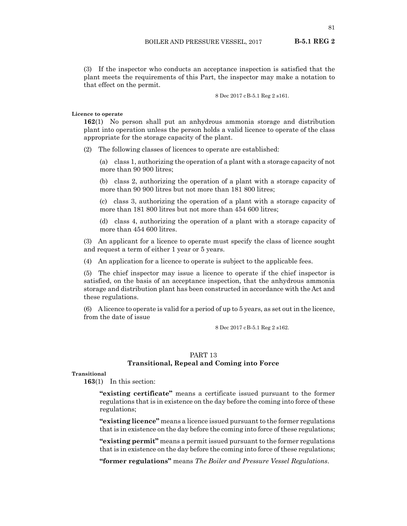(3) If the inspector who conducts an acceptance inspection is satisfied that the plant meets the requirements of this Part, the inspector may make a notation to that effect on the permit.

8 Dec 2017 cB-5.1 Reg 2 s161.

#### **Licence to operate**

**162**(1) No person shall put an anhydrous ammonia storage and distribution plant into operation unless the person holds a valid licence to operate of the class appropriate for the storage capacity of the plant.

(2) The following classes of licences to operate are established:

(a) class 1, authorizing the operation of a plant with a storage capacity of not more than 90 900 litres;

(b) class 2, authorizing the operation of a plant with a storage capacity of more than 90 900 litres but not more than 181 800 litres;

(c) class 3, authorizing the operation of a plant with a storage capacity of more than 181 800 litres but not more than 454 600 litres:

(d) class 4, authorizing the operation of a plant with a storage capacity of more than 454 600 litres.

(3) An applicant for a licence to operate must specify the class of licence sought and request a term of either 1 year or 5 years.

(4) An application for a licence to operate is subject to the applicable fees.

(5) The chief inspector may issue a licence to operate if the chief inspector is satisfied, on the basis of an acceptance inspection, that the anhydrous ammonia storage and distribution plant has been constructed in accordance with the Act and these regulations.

(6) A licence to operate is valid for a period of up to 5 years, as set out in the licence, from the date of issue

8 Dec 2017 cB-5.1 Reg 2 s162.

## PART 13

## **Transitional, Repeal and Coming into Force**

### **Transitional**

**163**(1) In this section:

**"existing certificate"** means a certificate issued pursuant to the former regulations that is in existence on the day before the coming into force of these regulations;

**"existing licence"** means a licence issued pursuant to the former regulations that is in existence on the day before the coming into force of these regulations;

**"existing permit"** means a permit issued pursuant to the former regulations that is in existence on the day before the coming into force of these regulations;

**"former regulations"** means *The Boiler and Pressure Vessel Regulations*.